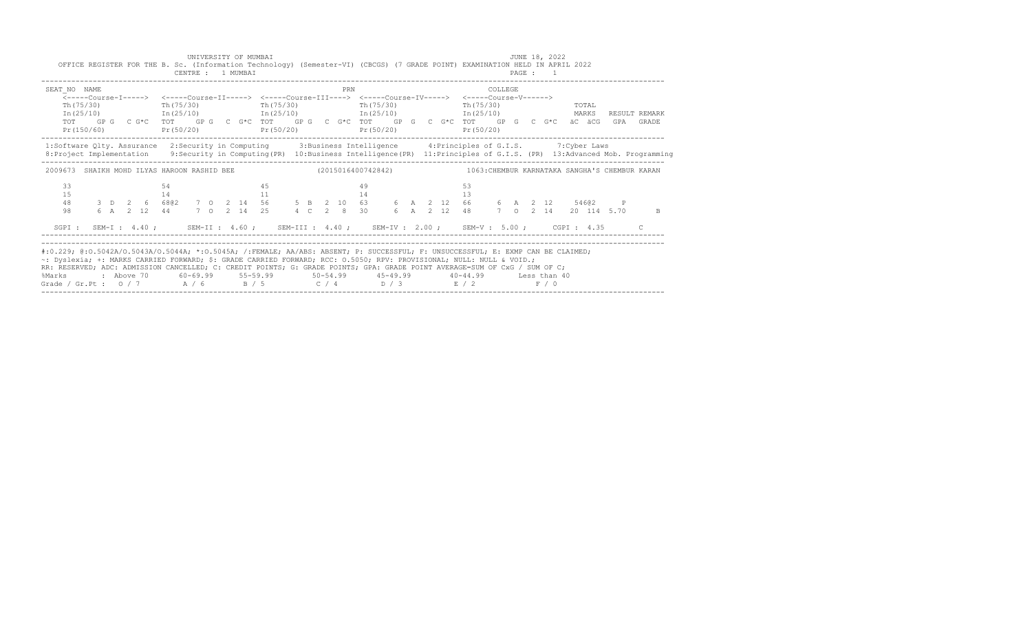| OFFICE REGISTER FOR THE B. Sc. (Information Technology) (Semester-VI) (CBCGS) (7 GRADE POINT) EXAMINATION HELD IN APRIL 2022                                                                                                                                                                                                                                                                                                                                  |  |  |          | CENTRE : 1 MUMBAI |  | UNIVERSITY OF MUMBAI |    |           |  |     |          |                                                                                                                            |  |  |                         |         |  | JUNE 18, 2022<br>PAGE : 1 |                      |  |                            |
|---------------------------------------------------------------------------------------------------------------------------------------------------------------------------------------------------------------------------------------------------------------------------------------------------------------------------------------------------------------------------------------------------------------------------------------------------------------|--|--|----------|-------------------|--|----------------------|----|-----------|--|-----|----------|----------------------------------------------------------------------------------------------------------------------------|--|--|-------------------------|---------|--|---------------------------|----------------------|--|----------------------------|
| SEAT NO NAME<br>$Th(75/30)$ Th( $75/30$ )<br>$\text{In (25/10)}$ $\text{In (25/10)}$ $\text{In (25/10)}$ $\text{In (25/11)}$ $\text{In (25/11)}$ $\text{In (25/12)}$ $\text{MARKS}$<br>TOT GPG CG*C TOT GPG CG*C TOT GPG CG*C TOT GPG CG*C TOT GPG CG*C ÄCÄCGG<br>$Pr(150/60)$ $Pr(50/20)$ $Pr(50/20)$ $Pr(50/20)$                                                                                                                                            |  |  |          |                   |  |                      |    | Th(75/30) |  | PRN |          | <-----Course-T-----> <-----Course-TT-----> <-----Course-TTT----> <-----Course-TV-----> <-----Course-V------><br>Th (75/30) |  |  | Th (75/30)<br>Pr(50/20) | COLLEGE |  | TOTAL                     |                      |  | RESULT REMARK<br>GPA GRADE |
| 1:Software Qlty. Assurance 2:Security in Computing 3:Business Intelligence 4:Principles of G.I.S. 7:Cyber Laws<br>8: Project Implementation 9: Security in Computing (PR) 10: Business Intelligence (PR) 11: Principles of G.I.S. (PR) 13: Advanced Mob. Programming                                                                                                                                                                                          |  |  |          |                   |  |                      |    |           |  |     |          |                                                                                                                            |  |  |                         |         |  |                           |                      |  |                            |
| 2009673 SHAIKH MOHD ILYAS HAROON RASHID BEE (2015016400742842) 1063: CHEMBUR KARNATAKA SANGHA'S CHEMBUR KARAN                                                                                                                                                                                                                                                                                                                                                 |  |  |          |                   |  |                      |    |           |  |     |          |                                                                                                                            |  |  |                         |         |  |                           |                      |  |                            |
| 33<br>15<br>48<br>98                                                                                                                                                                                                                                                                                                                                                                                                                                          |  |  | 54<br>14 |                   |  |                      | 45 | 11 \,     |  |     | 49<br>14 |                                                                                                                            |  |  | 53<br>13                |         |  |                           | 7 0 2 14 20 114 5.70 |  | B.                         |
| SGPI: SEM-I: 4.40; SEM-II: 4.60; SEM-III: 4.40; SEM-IV: 2.00; SEM-V: 5.00; CGPI: 4.35                                                                                                                                                                                                                                                                                                                                                                         |  |  |          |                   |  |                      |    |           |  |     |          |                                                                                                                            |  |  |                         |         |  |                           |                      |  |                            |
| #:0.229; @:0.5042A/0.5043A/0.5044A; *:0.5045A; /:FEMALE; AA/ABS: ABSENT; P: SUCCESSFUL; F: UNSUCCESSFUL; E: EXMP CAN BE CLAIMED;<br>~: Dyslexia; +: MARKS CARRIED FORWARD; \$: GRADE CARRIED FORWARD; RCC: 0.5050; RPV: PROVISIONAL; NULL: NULL & VOID.;<br>RR: RESERVED; ADC: ADMISSION CANCELLED; C: CREDIT POINTS; G: GRADE POINTS; GPA: GRADE POINT AVERAGE=SUM OF CxG / SUM OF C;<br>%Marks<br>Grade / Gr.Pt : $0/7$ A / 6 B / 5 C / 4 D / 3 E / 2 F / 0 |  |  |          |                   |  |                      |    |           |  |     |          | : Above 70    60-69.99    55-59.99     50-54.99     45-49.99     40-44.99     Less than 40                                 |  |  |                         |         |  |                           |                      |  |                            |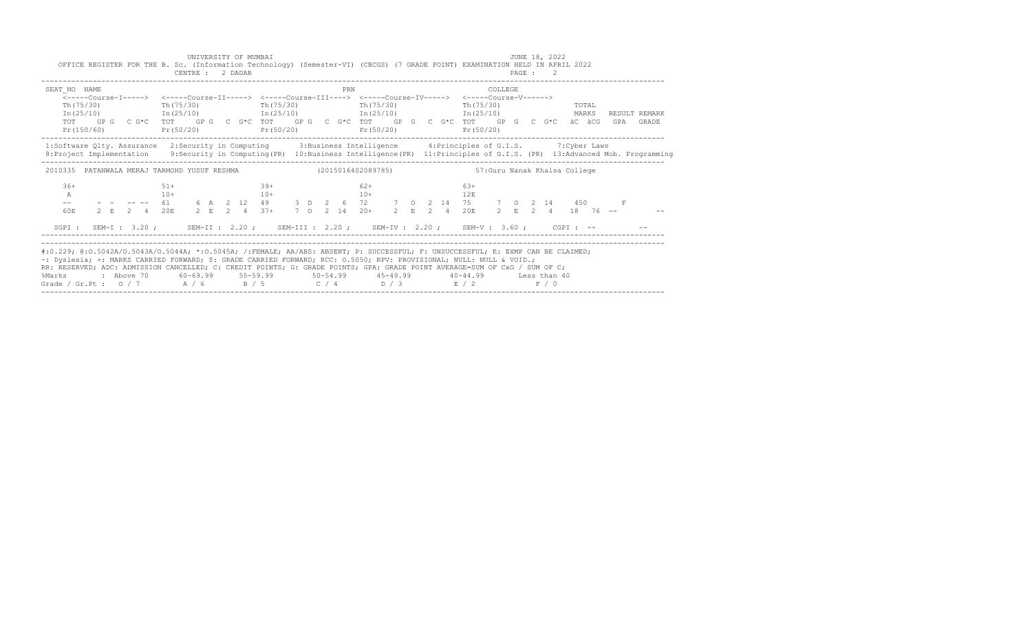| OFFICE REGISTER FOR THE B. Sc. (Information Technology) (Semester-VI) (CBCGS) (7 GRADE POINT) EXAMINATION HELD IN APRIL 2022                                                                                                                                                                                                                                                                                                                                                                                                                                |                                                                                                                 |                | UNIVERSITY OF MUMBAI<br>CENTRE : 2 DADAR |  |                 |  |     |                |  |               |                                    |  | JUNE 18, 2022<br>PAGE : 2 |                         |  |                            |
|-------------------------------------------------------------------------------------------------------------------------------------------------------------------------------------------------------------------------------------------------------------------------------------------------------------------------------------------------------------------------------------------------------------------------------------------------------------------------------------------------------------------------------------------------------------|-----------------------------------------------------------------------------------------------------------------|----------------|------------------------------------------|--|-----------------|--|-----|----------------|--|---------------|------------------------------------|--|---------------------------|-------------------------|--|----------------------------|
| SEAT NO NAME<br><-----Course-T-----> <-----Course-TT-----> <-----Course-TTT----> <-----Course-TV-----> <-----Course-V------><br>$Th(75/30)$ Th( $75/30$ )<br>$\text{In (25/10)}$ $\text{In (25/10)}$ $\text{In (25/10)}$ $\text{In (25/11)}$ $\text{In (25/11)}$ $\text{In (25/12)}$ $\text{MARKS}$<br>TOT GP G C G*C TOT GP G C G*C TOT GP G C G*C TOT GP G C G*C TOT GP G C G*C äC äCG<br>$Pr(150/60)$ $Pr(50/20)$ $Pr(50/20)$ $Pr(50/20)$                                                                                                                |                                                                                                                 |                |                                          |  | Th (75/30)      |  | PRN | Th (75/30)     |  |               | COLLEGE<br>Th (75/30)<br>Pr(50/20) |  |                           | <b>TOTAL</b>            |  | RESULT REMARK<br>GPA GRADE |
| 1:Software Qlty. Assurance 2:Security in Computing 3:Business Intelligence 4:Principles of G.I.S. 7:Cyber Laws<br>8: Project Implementation 9: Security in Computing (PR) 10: Business Intelligence (PR) 11: Principles of G.I.S. (PR) 13: Advanced Mob. Programming                                                                                                                                                                                                                                                                                        |                                                                                                                 |                |                                          |  |                 |  |     |                |  |               |                                    |  |                           |                         |  |                            |
| 2010335 PATANWALA MERAJ TARMOHD YUSUF RESHMA (2015016402089785)                                                                                                                                                                                                                                                                                                                                                                                                                                                                                             |                                                                                                                 |                |                                          |  |                 |  |     |                |  |               | 57: Guru Nanak Khalsa College      |  |                           |                         |  |                            |
| $36+$<br>$\mathbb{A}$<br>60E                                                                                                                                                                                                                                                                                                                                                                                                                                                                                                                                | - - -- 61 6 A 2 12 49 3 D 2 6 72 7 0 2 14 75 7 0 2 14 450 F<br>2 E 2 4 20E 2 E 2 4 37+ 7 O 2 14 20+ 2 E 2 4 20E | $51+$<br>$10+$ |                                          |  | $39+$<br>$10 +$ |  |     | $62+$<br>$10+$ |  | $6.3+$<br>12E |                                    |  |                           | $2$ F, $2$ 4, $18$ 76 - |  |                            |
| SGPI: SEM-I: 3.20; SEM-II: 2.20; SEM-III: 2.20; SEM-IV: 2.20; SEM-V: 3.60; CGPI: --                                                                                                                                                                                                                                                                                                                                                                                                                                                                         |                                                                                                                 |                |                                          |  |                 |  |     |                |  |               |                                    |  |                           |                         |  |                            |
| #:0.229; @:0.5042A/0.5043A/0.5044A; *:0.5045A; /:FEMALE; AA/ABS: ABSENT; P: SUCCESSFUL; F: UNSUCCESSFUL; E: EXMP CAN BE CLAIMED;<br>~: Dyslexia; +: MARKS CARRIED FORWARD; \$: GRADE CARRIED FORWARD; RCC: 0.5050; RPV: PROVISIONAL; NULL: NULL & VOID.;<br>RR: RESERVED; ADC: ADMISSION CANCELLED; C: CREDIT POINTS; G: GRADE POINTS; GPA: GRADE POINT AVERAGE=SUM OF CxG / SUM OF C;<br>: Above 70    60-69.99    55-59.99     50-54.99     45-49.99     40-44.99     Less than 40<br>%Marks<br>Grade / Gr.Pt : $0/7$ $A/6$ $B/5$ $C/4$ $D/3$ $E/2$ $F/0$ |                                                                                                                 |                |                                          |  |                 |  |     |                |  |               |                                    |  |                           |                         |  |                            |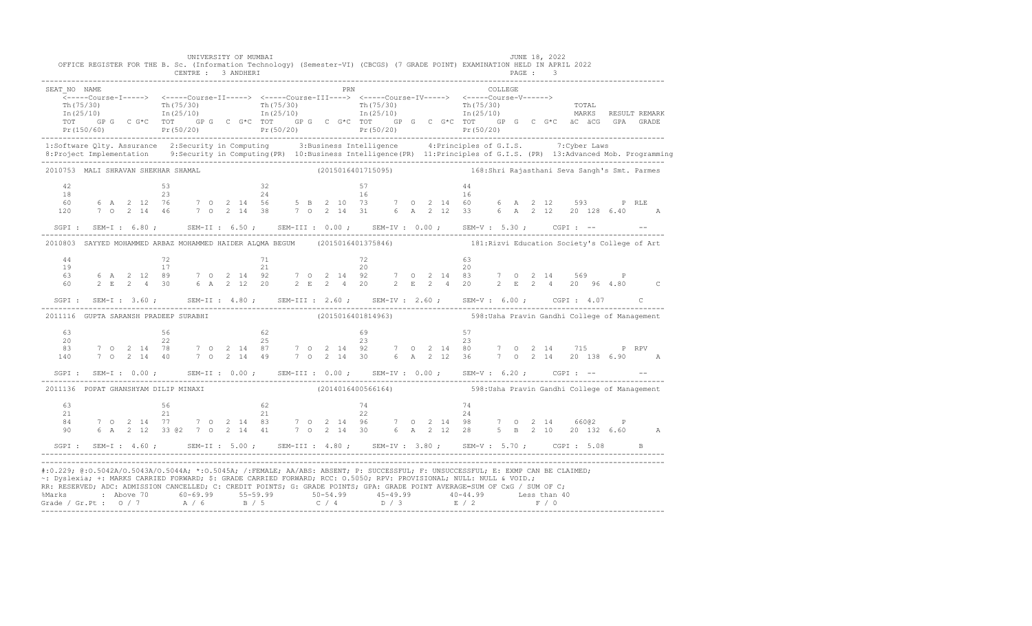|                                                  | UNIVERSITY OF MUMBAI<br>OFFICE REGISTER FOR THE B. Sc. (Information Technology) (Semester-VI) (CBCGS) (7 GRADE POINT) EXAMINATION HELD IN APRIL 2022                                                                                                                                                                                                                                                                                                       |             | JUNE 18, 2022                                                    |  |
|--------------------------------------------------|------------------------------------------------------------------------------------------------------------------------------------------------------------------------------------------------------------------------------------------------------------------------------------------------------------------------------------------------------------------------------------------------------------------------------------------------------------|-------------|------------------------------------------------------------------|--|
| SEAT NO NAME<br>TOT                              | $\frac{\text{Th}(75/30)}{\text{In}(25/10)}$ $\frac{\text{Th}(75/30)}{\text{In}(25/10)}$ $\frac{\text{Th}(75/30)}{\text{In}(25/10)}$ $\frac{\text{Th}(75/30)}{\text{In}(25/10)}$ $\frac{\text{Th}(75/30)}{\text{In}(25/10)}$ $\frac{\text{Th}(75/30)}{\text{In}(25/10)}$ $\frac{\text{Tr}(75/30)}{\text{In}(25/10)}$ $\frac{\text{Tr}(75/30)}{\text{In}(25/10)}$<br>GP G C G*C TOT GP G C G*C TOT GP G C G*C TOT GP G C G*C TOT GP G C G*C äC äCG GPA GRADE | PRN COLLEGE |                                                                  |  |
|                                                  | 1:Software Qlty. Assurance 2:Security in Computing 3:Business Intelligence 4:Principles of G.I.S. 7:Cyber Laws<br>8: Project Implementation 9: Security in Computing (PR) 10: Business Intelligence (PR) 11: Principles of G.I.S. (PR) 13: Advanced Mob. Programming                                                                                                                                                                                       |             |                                                                  |  |
|                                                  | 2010753 MALI SHRAVAN SHEKHAR SHAMAL                                                                                                                                                                                                                                                                                                                                                                                                                        |             | (2015016401715095) 168:Shri Rajasthani Seva Sangh's Smt. Parmes  |  |
|                                                  | $\begin{array}{cccccccccccccccc} 42 & & & & & & & & & 53 & & & & 32 & & & & 57 & & & & & 44 \\ 18 & & & & & & & & & & & & & & & & 16 & & & & & & & 16 \\ 60 & & 6 & A & 2 & 12 & 76 & & 7 & 0 & 2 & 14 & 56 & & 5 & B & 2 & 10 & 73 & & 7 & 0 & 2 & 14 & 60 & & 6 & A & 2 & 12 & 593 & & P & RLE \\ 120 & & 7 & 0 & 2 & 14 & 46 & & 7 & 0 & 2 & 14 & 38 &$                                                                                                 |             |                                                                  |  |
|                                                  | SGPI: SEM-I: 6.80; SEM-II: 6.50; SEM-III: 0.00; SEM-IV: 0.00; SEM-V: 5.30; CGPI: -- - -                                                                                                                                                                                                                                                                                                                                                                    |             |                                                                  |  |
|                                                  | 2010803 SAYYED MOHAMMED ARBAZ MOHAMMED HAIDER ALQMA BEGUM (2015016401375846) 181:Rizvi Education Society's College of Art                                                                                                                                                                                                                                                                                                                                  |             |                                                                  |  |
| 44<br>19<br>63<br>60                             |                                                                                                                                                                                                                                                                                                                                                                                                                                                            |             |                                                                  |  |
|                                                  | SGPI: SEM-I: 3.60; SEM-II: 4.80; SEM-III: 2.60; SEM-IV: 2.60; SEM-V: 6.00; CGPI: 4.07 C                                                                                                                                                                                                                                                                                                                                                                    |             |                                                                  |  |
|                                                  | 2011116 GUPTA SARANSH PRADEEP SURABHI (2015016401814963) 598:Usha Pravin Gandhi College of Management                                                                                                                                                                                                                                                                                                                                                      |             |                                                                  |  |
|                                                  | $\begin{array}{cccccccccccc} 63 &&&&56 &&&&62 &&&&69 &&&57 &&&&&\\ 20 &&&&22 &&&&25 &&&&23 &&&&23 &&&\\ 22 &&&&25 &&&&23 &&&&23 &&&&\\ 83 && 7 && 0 && 2 && 14 && 78 && 7 && 0 && 2 && 14 && 87 && 7 && 0 && 2 && 14 && 92 && 7 && 0 && 2 && 14 && 80 && 7 && 0 && 2 && 14 && 715 && && P &RPV &\\ 140 && 7 && 0 && 2 && 14 && 40 && 7 && 0 && 2 && 14 && 49 && 7 && 0 && 2 && 14$                                                                         |             |                                                                  |  |
|                                                  | SGPI: SEM-I: 0.00; SEM-II: 0.00; SEM-III: 0.00; SEM-IV: 0.00; SEM-V: 6.20; CGPI: -- - -                                                                                                                                                                                                                                                                                                                                                                    |             |                                                                  |  |
| 2011136 POPAT GHANSHYAM DILIP MINAXI<br>63<br>21 |                                                                                                                                                                                                                                                                                                                                                                                                                                                            |             | (2014016400566164) 598: Usha Pravin Gandhi College of Management |  |
| 84 - 10<br>90                                    |                                                                                                                                                                                                                                                                                                                                                                                                                                                            |             |                                                                  |  |
|                                                  | SGPI: SEM-I: 4.60; SEM-II: 5.00; SEM-III: 4.80; SEM-IV: 3.80; SEM-V: 5.70; CGPI: 5.08 B                                                                                                                                                                                                                                                                                                                                                                    |             |                                                                  |  |
|                                                  | #:0.229; @:0.5042A/0.5043A/0.5044A; *:0.5045A; /:FEMALE; AA/ABS: ABSENT; P: SUCCESSFUL; F: UNSUCCESSFUL; E: EXMP CAN BE CLAIMED;<br>~: Dyslexia; +: MARKS CARRIED FORWARD; \$: GRADE CARRIED FORWARD; RCC: 0.5050; RPV: PROVISIONAL; NULL: NULL & VOID.;<br>RR: RESERVED; ADC: ADMISSION CANCELLED; C: CREDIT POINTS; G: GRADE POINTS; GPA: GRADE POINT AVERAGE=SUM OF CxG / SUM OF C;                                                                     |             |                                                                  |  |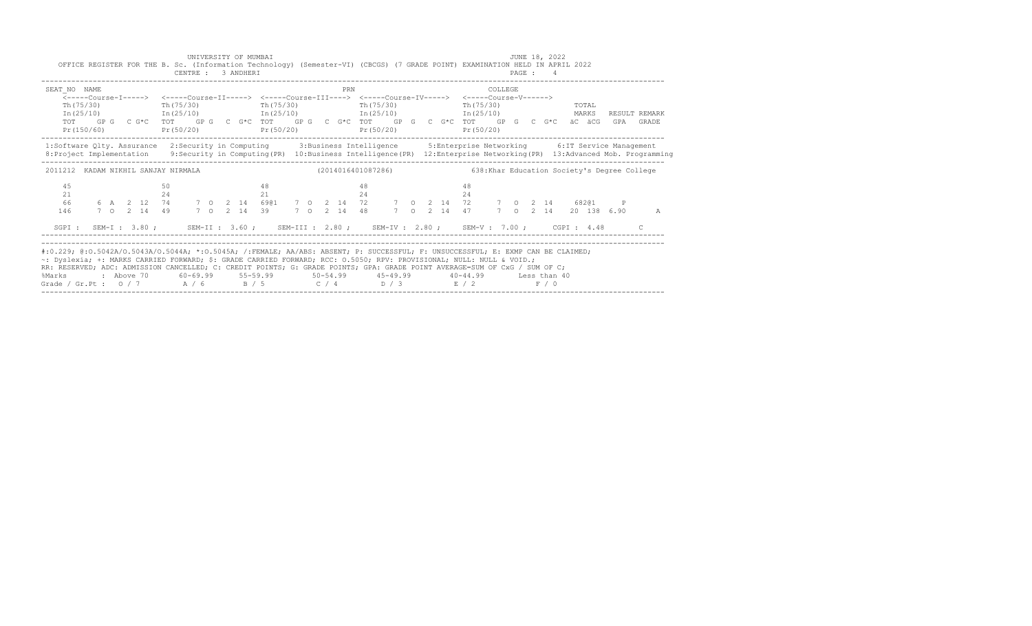| SEAT NO NAME<br>Th (75/30)          | $Th(75/30)$ The $(75/30)$<br>$Pr(150/60)$ $Pr(50/20)$ $Pr(50/20)$ | PRN<br><-----Course-I-----> <-----Course-II-----> <-----Course-III----> <-----Course-IV-----> <-----Course-V------><br>Th (75/30) | COLLEGE<br>TOTAL<br>Th $(75/30)$<br>$In (25/10)$ $In (25/10)$ $In (25/10)$ $In (25/10)$ $In (25/10)$ $In (25/10)$ $In (25/10)$ $In (25/10)$<br>TOT GPG C G*C TOT GPG C G*C TOT GPG C G*C TOT GPG C G*C TOT GPG C G*C äC äCG GPA GRADE<br>$Pr(50/20)$ $Pr(50/20)$                  |
|-------------------------------------|-------------------------------------------------------------------|-----------------------------------------------------------------------------------------------------------------------------------|-----------------------------------------------------------------------------------------------------------------------------------------------------------------------------------------------------------------------------------------------------------------------------------|
|                                     |                                                                   |                                                                                                                                   | 1:Software Qlty. Assurance 2:Security in Computing 3:Business Intelligence 5:Enterprise Networking 6:IT Service Management<br>8: Project Implementation 9: Security in Computing (PR) 10: Business Intelligence (PR) 12: Enterprise Networking (PR) 13: Advanced Mob. Programming |
| 2011212 KADAM NIKHIL SANJAY NIRMALA |                                                                   | (2014016401087286)                                                                                                                | 638: Khar Education Society's Degree College                                                                                                                                                                                                                                      |
| 45<br>21<br>66<br>146               | 50<br>24                                                          | 48<br>48<br>21<br>24                                                                                                              | 48<br>24<br>6 A 2 12 74 7 0 2 14 6901 7 0 2 14 72 7 0 2 14 72 7 0 2 14 68201<br>7 0 2 14 49 7 0 2 14 39 7 0 2 14 48 7 0 2 14 47 7 0 2 14 20 138 6.90<br>A                                                                                                                         |
|                                     |                                                                   |                                                                                                                                   | SGPI: SEM-I: 3.80; SEM-II: 3.60; SEM-III: 2.80; SEM-IV: 2.80; SEM-V: 7.00; CGPI: 4.48 C                                                                                                                                                                                           |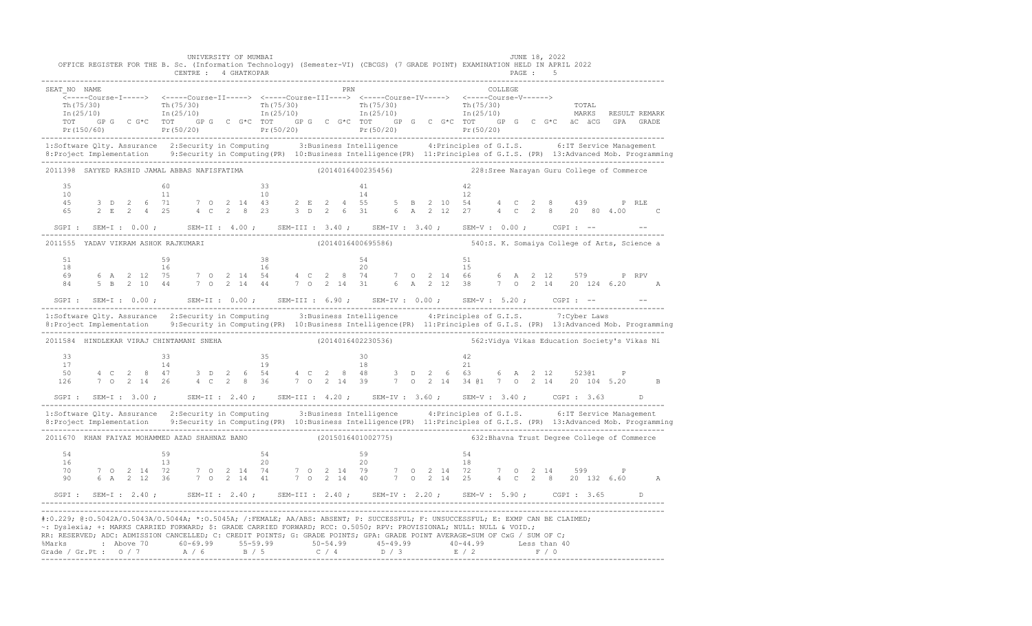|                                                                                                                                                                                                                                                                                                                                                                                                                                                                                                                                     |                 |  |    |  | UNIVERSITY OF MUMBAI |    | OFFICE REGISTER FOR THE B. Sc. (Information Technology) (Semester-VI) (CBCGS) (7 GRADE POINT) EXAMINATION HELD IN APRIL 2022                                                                                                                                                                                                                                      |  |    |                                                                  |  |    |  |  | JUNE 18, 2022 |  |  |  |
|-------------------------------------------------------------------------------------------------------------------------------------------------------------------------------------------------------------------------------------------------------------------------------------------------------------------------------------------------------------------------------------------------------------------------------------------------------------------------------------------------------------------------------------|-----------------|--|----|--|----------------------|----|-------------------------------------------------------------------------------------------------------------------------------------------------------------------------------------------------------------------------------------------------------------------------------------------------------------------------------------------------------------------|--|----|------------------------------------------------------------------|--|----|--|--|---------------|--|--|--|
| SEAT NO NAME                                                                                                                                                                                                                                                                                                                                                                                                                                                                                                                        |                 |  |    |  |                      |    | <b>PRN</b> COLLEGE<br>_______Course-I-----> <----Course-II-----> <----Course-III----> <-----Course-IV-----> <-----Course-V------><br>(π) contract of the contract of the contract of the contract of the contract of the contract of the contract of the contract of the contract of the contract of the contract of the contract of the contract of the contract |  |    |                                                                  |  |    |  |  |               |  |  |  |
| 1:Software Qlty. Assurance 2:Security in Computing 3:Business Intelligence 4:Principles of G.I.S. 6:IT Service Management<br>8: Project Implementation 9: Security in Computing (PR) 10: Business Intelligence (PR) 11: Principles of G.I.S. (PR) 13: Advanced Mob. Programming                                                                                                                                                                                                                                                     |                 |  |    |  |                      |    |                                                                                                                                                                                                                                                                                                                                                                   |  |    |                                                                  |  |    |  |  |               |  |  |  |
| 2011398 SAYYED RASHID JAMAL ABBAS NAFISFATIMA (2014016400235456) 228:Sree Narayan Guru College of Commerce                                                                                                                                                                                                                                                                                                                                                                                                                          |                 |  |    |  |                      |    |                                                                                                                                                                                                                                                                                                                                                                   |  |    |                                                                  |  |    |  |  |               |  |  |  |
| 35<br>4.5<br>65                                                                                                                                                                                                                                                                                                                                                                                                                                                                                                                     | $\frac{10}{10}$ |  |    |  |                      |    |                                                                                                                                                                                                                                                                                                                                                                   |  |    |                                                                  |  |    |  |  |               |  |  |  |
| SGPI: SEM-I: 0.00; SEM-II: 4.00; SEM-III: 3.40; SEM-IV: 3.40; SEM-V: 0.00; CGPI: -- --                                                                                                                                                                                                                                                                                                                                                                                                                                              |                 |  |    |  |                      |    |                                                                                                                                                                                                                                                                                                                                                                   |  |    |                                                                  |  |    |  |  |               |  |  |  |
| 2011555 YADAV VIKRAM ASHOK RAJKUMARI (2014016400695586) 540:S. K. Somaiya College of Arts, Science a                                                                                                                                                                                                                                                                                                                                                                                                                                |                 |  |    |  |                      |    |                                                                                                                                                                                                                                                                                                                                                                   |  |    |                                                                  |  |    |  |  |               |  |  |  |
| 51                                                                                                                                                                                                                                                                                                                                                                                                                                                                                                                                  |                 |  | 59 |  |                      | 38 |                                                                                                                                                                                                                                                                                                                                                                   |  | 54 |                                                                  |  | 51 |  |  |               |  |  |  |
|                                                                                                                                                                                                                                                                                                                                                                                                                                                                                                                                     |                 |  |    |  |                      |    |                                                                                                                                                                                                                                                                                                                                                                   |  |    |                                                                  |  |    |  |  |               |  |  |  |
| 1:Software Qlty. Assurance 2:Security in Computing 3:Business Intelligence 4:Principles of G.I.S. 7:Cyber Laws<br>8: Project Implementation 9: Security in Computing (PR) 10: Business Intelligence (PR) 11: Principles of G.I.S. (PR) 13: Advanced Mob. Programming                                                                                                                                                                                                                                                                |                 |  |    |  |                      |    |                                                                                                                                                                                                                                                                                                                                                                   |  |    |                                                                  |  |    |  |  |               |  |  |  |
| 2011584 HINDLEKAR VIRAJ CHINTAMANI SNEHA                                                                                                                                                                                                                                                                                                                                                                                                                                                                                            |                 |  |    |  |                      |    |                                                                                                                                                                                                                                                                                                                                                                   |  |    | (2014016402230536) 562: Vidya Vikas Education Society's Vikas Ni |  |    |  |  |               |  |  |  |
| $\begin{array}{cccccccccccccccc} 33 & & & & 33 & & & 35 & & & 30 & & & 42 \\ 17 & & & & 14 & & & 19 & & & 18 & & & 21 & & 523@1 & & P \\ 50 & & 4 & C & 2 & 8 & 47 & & 3 & D & 2 & 6 & 54 & & 4 & C & 2 & 8 & 48 & & 3 & D & 2 & 6 & 54 & 6 & A & 2 & 12 & & 523@1 & & P \\ 50 & & & 4 & C & 2 & 8 & 47 & & 3 & D & 2 & 6 & 54 & & 4 & C & 2 & 8 & $<br>126 7 0 2 14 26 4 C 2 8 36 7 0 2 14 39 7 0 2 14 34 @1 7 0 2 14 20 104 5.20 B                                                                                                |                 |  |    |  |                      |    |                                                                                                                                                                                                                                                                                                                                                                   |  |    |                                                                  |  |    |  |  |               |  |  |  |
|                                                                                                                                                                                                                                                                                                                                                                                                                                                                                                                                     |                 |  |    |  |                      |    |                                                                                                                                                                                                                                                                                                                                                                   |  |    |                                                                  |  |    |  |  |               |  |  |  |
| 1:Software Qlty. Assurance 2:Security in Computing 3:Business Intelligence 4:Principles of G.I.S. 6:IT Service Management                                                                                                                                                                                                                                                                                                                                                                                                           |                 |  |    |  |                      |    |                                                                                                                                                                                                                                                                                                                                                                   |  |    |                                                                  |  |    |  |  |               |  |  |  |
| 2011670 KHAN FAIYAZ MOHAMMED AZAD SHAHNAZ BANO (2015016401002775) 632:Bhavna Trust Degree College of Commerce                                                                                                                                                                                                                                                                                                                                                                                                                       |                 |  |    |  |                      |    |                                                                                                                                                                                                                                                                                                                                                                   |  |    |                                                                  |  |    |  |  |               |  |  |  |
|                                                                                                                                                                                                                                                                                                                                                                                                                                                                                                                                     |                 |  |    |  |                      |    |                                                                                                                                                                                                                                                                                                                                                                   |  |    |                                                                  |  |    |  |  |               |  |  |  |
|                                                                                                                                                                                                                                                                                                                                                                                                                                                                                                                                     |                 |  |    |  |                      |    |                                                                                                                                                                                                                                                                                                                                                                   |  |    |                                                                  |  |    |  |  |               |  |  |  |
| #:0.229; @:0.5042A/O.5043A/O.5044A; *:0.5045A; /:FEMALE; AA/ABS: ABSENT; P: SUCCESSFUL; F: UNSUCCESSFUL; E: EXMP CAN BE CLAIMED;<br>~: Dyslexia; +: MARKS CARRIED FORWARD; \$: GRADE CARRIED FORWARD; RCC: 0.5050; RPV: PROVISIONAL; NULL: NULL & VOID.;<br>RR: RESERVED; ADC: ADMISSION CANCELLED; C: CREDIT POINTS; G: GRADE POINTS; GPA: GRADE POINT AVERAGE=SUM OF CxG / SUM OF C;<br>% Marks : Above 70 60-69.99 55-59.99 50-54.99 45-49.99 40-44.99 Less than 40<br>Grade / Gr.Pt : 0 / 7 A / 6 B / 5 C / 4 D / 3 E / 2 F / 0 |                 |  |    |  |                      |    |                                                                                                                                                                                                                                                                                                                                                                   |  |    |                                                                  |  |    |  |  |               |  |  |  |

-------------------------------------------------------------------------------------------------------------------------------------------------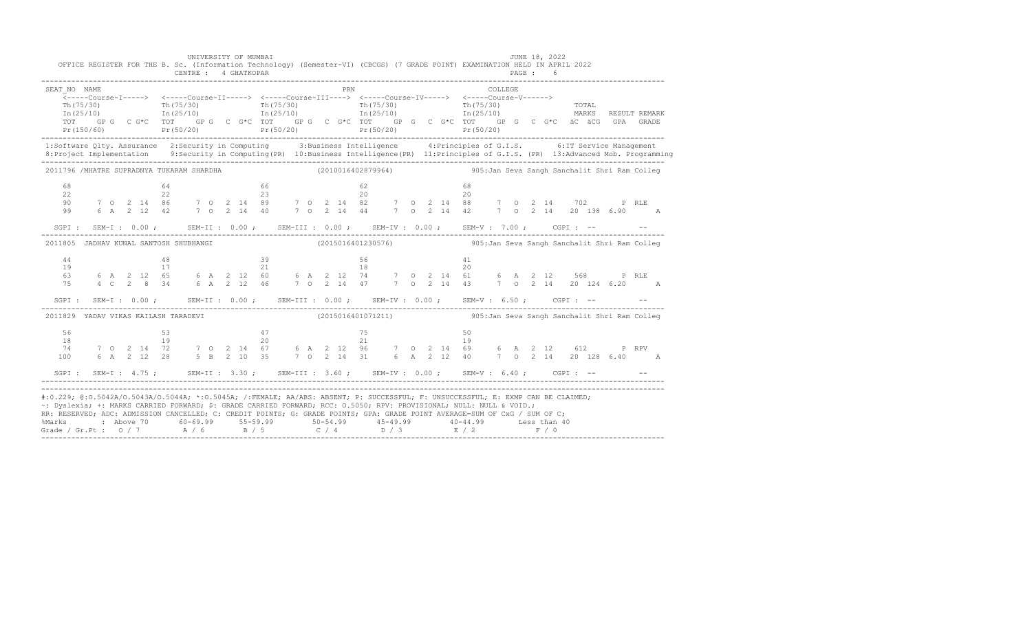|                                                                                                                                                                                                                                                                                                                                                                                        |  |  | OFFICE REGISTER FOR THE B. Sc. (Information Technology) (Semester-VI) (CBCGS) (7 GRADE POINT) EXAMINATION HELD IN APRIL 2022 |  | UNIVERSITY OF MUMBAI |  |  |  |            |  |  | <b>JUNE 18, 2022</b> |  |         |  |  |  |                                                                                                                                                                                                                                                                                                                            |
|----------------------------------------------------------------------------------------------------------------------------------------------------------------------------------------------------------------------------------------------------------------------------------------------------------------------------------------------------------------------------------------|--|--|------------------------------------------------------------------------------------------------------------------------------|--|----------------------|--|--|--|------------|--|--|----------------------|--|---------|--|--|--|----------------------------------------------------------------------------------------------------------------------------------------------------------------------------------------------------------------------------------------------------------------------------------------------------------------------------|
| SEAT NO NAME                                                                                                                                                                                                                                                                                                                                                                           |  |  |                                                                                                                              |  |                      |  |  |  | <b>PRN</b> |  |  |                      |  | COLLEGE |  |  |  | Th(75/30) Th(75/30) Th(75/30) Th(75/30) Th(75/30) Th(75/30) Th(75/30) Th(75/30) TOTAL<br>Th(25/10) Th(25/10) Th(25/10) Th(25/10) Th(25/10) Th(25/10) Th(25/10) MARKS RESULT REMARK<br>TOT GPG CG*C TOT GPG CG*C TOT GPG CG*C TOT GPG CG*C TOT GPG CG*C GPG CG*C äC äCG GPA GRADE                                           |
| 1:Software Qlty. Assurance 2:Security in Computing 3:Business Intelligence 4:Principles of G.I.S. 6:IT Service Management                                                                                                                                                                                                                                                              |  |  |                                                                                                                              |  |                      |  |  |  |            |  |  |                      |  |         |  |  |  | Pr(150/60) Pr(50/20) Pr(50/20) Pr(50/20) Pr(50/20) Pr(50/20) Pr(50/20) Pr(50/20)<br>8: Project Implementation 9: Security in Computing (PR) 10: Business Intelligence (PR) 11: Principles of G.I.S. (PR) 13: Advanced Mob. Programming                                                                                     |
| 2011796 /MHATRE SUPRADNYA TUKARAM SHARDHA                                                                                                                                                                                                                                                                                                                                              |  |  |                                                                                                                              |  |                      |  |  |  |            |  |  |                      |  |         |  |  |  | (2010016402879964) 305:Jan Seva Sangh Sanchalit Shri Ram Colleg                                                                                                                                                                                                                                                            |
|                                                                                                                                                                                                                                                                                                                                                                                        |  |  |                                                                                                                              |  |                      |  |  |  |            |  |  |                      |  |         |  |  |  |                                                                                                                                                                                                                                                                                                                            |
|                                                                                                                                                                                                                                                                                                                                                                                        |  |  | SGPI: SEM-I: $0.00$ ; SEM-II: $0.00$ ; SEM-III: $0.00$ ; SEM-IV: $0.00$ ; SEM-V: $7.00$ ; CGPI: --                           |  |                      |  |  |  |            |  |  |                      |  |         |  |  |  |                                                                                                                                                                                                                                                                                                                            |
| 2011805 JADHAV KUNAL SANTOSH SHUBHANGI                                                                                                                                                                                                                                                                                                                                                 |  |  |                                                                                                                              |  |                      |  |  |  |            |  |  |                      |  |         |  |  |  | (2015016401230576) 905:Jan Seva Sangh Sanchalit Shri Ram Colleg                                                                                                                                                                                                                                                            |
|                                                                                                                                                                                                                                                                                                                                                                                        |  |  | SGPI: SEM-I: $0.00$ ; SEM-II: $0.00$ ; SEM-III: $0.00$ ; SEM-IV: $0.00$ ; SEM-V: $6.50$ ; CGPI: --                           |  |                      |  |  |  |            |  |  |                      |  |         |  |  |  | $\begin{array}{cccccccccccccccc} 44 & 48 & 39 & 56 & 41 \\ 19 & 17 & 21 & 18 & 20 \\ 63 & 6 A & 2 & 12 & 65 & 6 A & 2 & 12 & 60 & 6 A & 2 & 12 & 74 & 7 & 0 & 2 & 14 & 61 & 6 & A & 2 & 12 & 568 & & P & RLE \\ 75 & 4 & 2 & 2 & 8 & 34 & 6 & A & 2 & 12 & 46 & 7 & 0 & 2 & 14 & 47 & 7 & 0 & 2 & 14 & 43 & 7 & 0 & 2 & 1$ |
| 2011829 YADAV VIKAS KAILASH TARADEVI                                                                                                                                                                                                                                                                                                                                                   |  |  |                                                                                                                              |  |                      |  |  |  |            |  |  |                      |  |         |  |  |  | (2015016401071211) 905:Jan Seva Sangh Sanchalit Shri Ram Colleg                                                                                                                                                                                                                                                            |
| 100                                                                                                                                                                                                                                                                                                                                                                                    |  |  | SGPI: SEM-I: 4.75; SEM-II: 3.30; SEM-III: 3.60; SEM-IV: 0.00; SEM-V: 6.40; CGPI: -- - -                                      |  |                      |  |  |  |            |  |  |                      |  |         |  |  |  |                                                                                                                                                                                                                                                                                                                            |
| #:0.229; @:0.5042A/0.5043A/0.5044A; *:0.5045A; /:FEMALE; AA/ABS: ABSENT; P: SUCCESSFUL; F: UNSUCCESSFUL; E: EXMP CAN BE CLAIMED;<br>~: Dyslexia; +: MARKS CARRIED FORWARD; \$: GRADE CARRIED FORWARD; RCC: 0.5050; RPV: PROVISIONAL; NULL: NULL & VOID.;<br>RR: RESERVED; ADC: ADMISSION CANCELLED; C: CREDIT POINTS; G: GRADE POINTS; GPA: GRADE POINT AVERAGE=SUM OF CxG / SUM OF C; |  |  |                                                                                                                              |  |                      |  |  |  |            |  |  |                      |  |         |  |  |  |                                                                                                                                                                                                                                                                                                                            |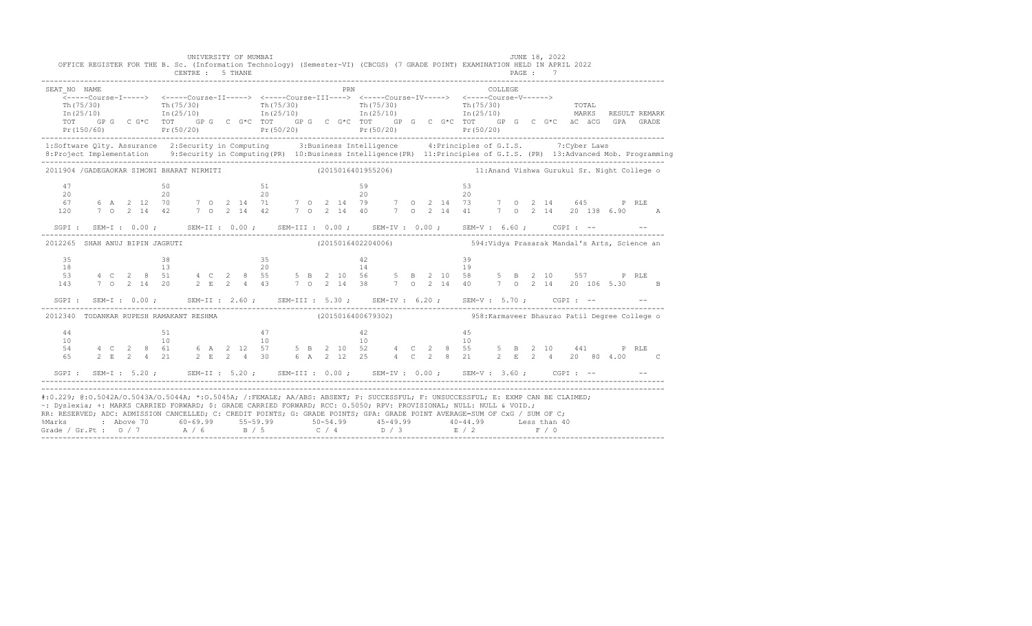|                                         |  |                                         |  | UNIVERSITY OF MUMBAI                    |  |                                         |          |  |  | JUNE 18, 2022<br>OFFICE REGISTER FOR THE B. Sc. (Information Technology) (Semester-VI) (CBCGS) (7 GRADE POINT) EXAMINATION HELD IN APRIL 2022                                                                                                                                                                                                                                                                                                                     |
|-----------------------------------------|--|-----------------------------------------|--|-----------------------------------------|--|-----------------------------------------|----------|--|--|-------------------------------------------------------------------------------------------------------------------------------------------------------------------------------------------------------------------------------------------------------------------------------------------------------------------------------------------------------------------------------------------------------------------------------------------------------------------|
| SEAT NO NAME                            |  |                                         |  |                                         |  | PRN                                     |          |  |  | COLLEGE.<br>$\begin{array}{cccccccccc} \texttt{Th(75/30)} & & & & \texttt{Th(75/30)} & & & & \texttt{Th(75/30)} & & & & \texttt{Th(75/30)} & & & & \texttt{Th(75/30)} & & & & \texttt{Th(25/10)} & & & & \texttt{Th(25/10)} & & & & \texttt{In(25/10)} & & & & \end{array}$<br>TOT GPG CG*C TOT GPG CG*C TOT GPG CG*C TOT GPG CG*C TOT GPG CG*C TOT GPG CG*C äC äCG GPA GRADE<br>Pr(150/60) Pr(50/20) Pr(50/20) Pr(50/20) Pr(50/20) Pr(50/20) Pr(50/20) Pr(50/20) |
|                                         |  |                                         |  |                                         |  |                                         |          |  |  | 1:Software Qlty. Assurance 2:Security in Computing 3:Business Intelligence 4:Principles of G.I.S. 7:Cyber Laws                                                                                                                                                                                                                                                                                                                                                    |
|                                         |  |                                         |  |                                         |  |                                         |          |  |  | 2011904 /GADEGAOKAR SIMONI BHARAT NIRMITI (2015016401955206) 11:Anand Vishwa Gurukul Sr. Night College o                                                                                                                                                                                                                                                                                                                                                          |
| 47<br>20<br>120                         |  | $\frac{50}{20}$                         |  | $\frac{51}{20}$                         |  |                                         | 59<br>20 |  |  | 53<br>20                                                                                                                                                                                                                                                                                                                                                                                                                                                          |
|                                         |  |                                         |  |                                         |  |                                         |          |  |  | SGPI: SEM-I: 0.00; SEM-II: 0.00; SEM-III: 0.00; SEM-IV: 0.00; SEM-V: 6.60; CGPI: -- - -                                                                                                                                                                                                                                                                                                                                                                           |
| 2012265 SHAH ANUJ BIPIN JAGRUTI         |  |                                         |  |                                         |  |                                         |          |  |  | (2015016402204006) 594: Vidya Prasarak Mandal's Arts, Science an                                                                                                                                                                                                                                                                                                                                                                                                  |
| 35<br>18<br>53<br>143                   |  | $\begin{array}{c} 38 \\ 13 \end{array}$ |  | $\frac{35}{20}$                         |  | $\frac{42}{14}$                         |          |  |  | 39<br>19<br>4 C 2 8 51 4 C 2 8 55 5 B 2 10 56 5 B 2 10 58 5 B 2 10 557 P RLE<br>7 0 2 14 20 2 E 2 4 43 7 0 2 14 38 7 0 2 14 40 7 0 2 14 20 106 5.30 B                                                                                                                                                                                                                                                                                                             |
|                                         |  |                                         |  |                                         |  |                                         |          |  |  | SGPI: SEM-I: 0.00; SEM-II: 2.60; SEM-III: 5.30; SEM-IV: 6.20; SEM-V: 5.70; CGPI: -- - -                                                                                                                                                                                                                                                                                                                                                                           |
| 2012340 TODANKAR RUPESH RAMAKANT RESHMA |  |                                         |  |                                         |  |                                         |          |  |  | (2015016400679302)  958: Karmaveer Bhaurao Patil Degree College o                                                                                                                                                                                                                                                                                                                                                                                                 |
| 44<br>10<br>54 6<br>65                  |  | $\frac{51}{10}$                         |  | $\begin{array}{c} 47 \\ 10 \end{array}$ |  | $\begin{array}{c} 42 \\ 10 \end{array}$ |          |  |  | 45<br>10<br>4 C 2 8 61 6 A 2 12 57 5 B 2 10 52 4 C 2 8 55<br>5 B 2 10 441 P RLE<br>2 E 2 4 21 2 E 2 4 30 6 A 2 12 25 4 C 2 8 21 2 E 2 4 20 80 4.00 C                                                                                                                                                                                                                                                                                                              |
|                                         |  |                                         |  |                                         |  |                                         |          |  |  | SGPI: SEM-I: 5.20; SEM-II: 5.20; SEM-III: 0.00; SEM-IV: 0.00; SEM-V: 3.60; CGPI: -- - -                                                                                                                                                                                                                                                                                                                                                                           |
|                                         |  |                                         |  |                                         |  |                                         |          |  |  | #:0.229; @:0.5042A/0.5043A/0.5044A; *:0.5045A; /:FEMALE; AA/ABS: ABSENT; P: SUCCESSFUL; F: UNSUCCESSFUL; E: EXMP CAN BE CLAIMED;<br>~: Dyslexia; +: MARKS CARRIED FORWARD; \$: GRADE CARRIED FORWARD; RCC: 0.5050; RPV: PROVISIONAL; NULL: NULL & VOID.;<br>RR: RESERVED; ADC: ADMISSION CANCELLED; C: CREDIT POINTS; G: GRADE POINTS; GPA: GRADE POINT AVERAGE=SUM OF CxG / SUM OF C;                                                                            |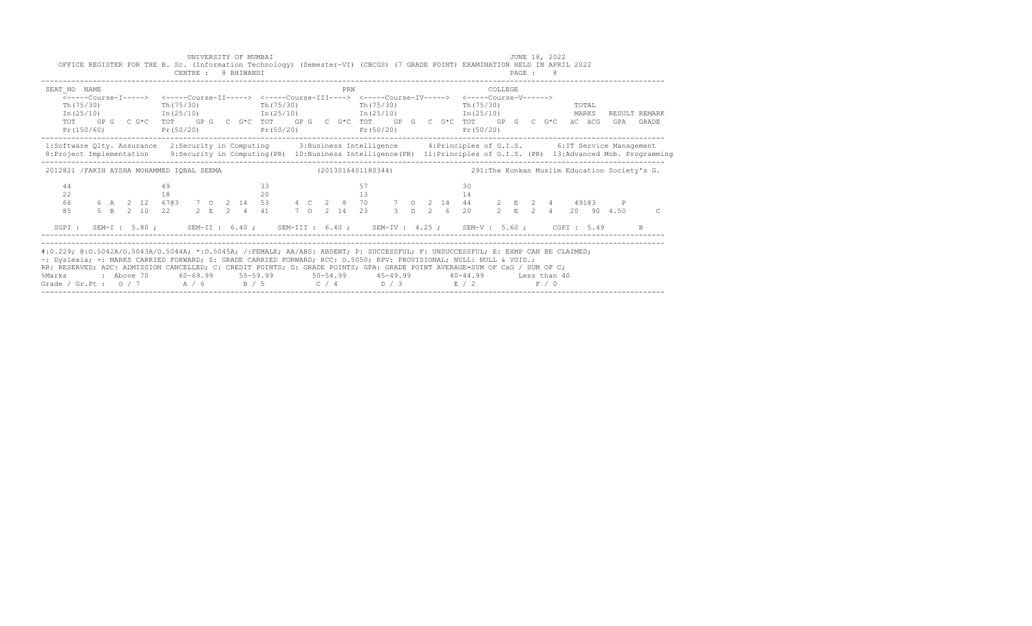| SEAT NO NAME<br>Th (75/30) |    | PRN<br>$Pr(150/60)$ $Pr(50/20)$ $Pr(50/20)$ | <-----Course-I-----> <-----Course-II-----> <-----Course-III----> <-----Course-IV-----> <-----Course-V------><br>Th(75/30) Th(75/30) Th(75/30) Th(75/30) Th(75/30)<br>$Pr(50/20)$ $Pr(50/20)$ | COLLEGE<br>TOTAL<br>$In (25/10)$ $In (25/10)$ $In (25/10)$ $In (25/10)$ $In (25/10)$ $In (25/10)$ $In (25/10)$ $In (25/10)$<br>TOT GPG CG*C TOT GPG CG*C TOT GPG CG*C TOT GPG CG*C TOT GPG CG*C TOT GPG CG*C aCGCGGPA GRADE                                                     |                |
|----------------------------|----|---------------------------------------------|----------------------------------------------------------------------------------------------------------------------------------------------------------------------------------------------|---------------------------------------------------------------------------------------------------------------------------------------------------------------------------------------------------------------------------------------------------------------------------------|----------------|
|                            |    |                                             |                                                                                                                                                                                              | 1:Software Qlty. Assurance 2:Security in Computing 3:Business Intelligence 4:Principles of G.I.S. 6:IT Service Management<br>8: Project Implementation 9: Security in Computing (PR) 10: Business Intelligence (PR) 11: Principles of G.I.S. (PR) 13: Advanced Mob. Programming |                |
|                            |    |                                             |                                                                                                                                                                                              | 2012821 /FAKIH AYSHA MOHAMMED IQBAL SEEMA (2013016401180344) 291:The Konkan Muslim Education Society's G.                                                                                                                                                                       |                |
| 44<br>22<br>66<br>8.5      | 49 | 33                                          | 57                                                                                                                                                                                           | 30                                                                                                                                                                                                                                                                              | $\overline{C}$ |
|                            |    |                                             |                                                                                                                                                                                              | SGPI: SEM-I: 5.80; SEM-II: 6.40; SEM-III: 6.40; SEM-IV: 4.25; SEM-V: 5.60; CGPI: 5.49                                                                                                                                                                                           |                |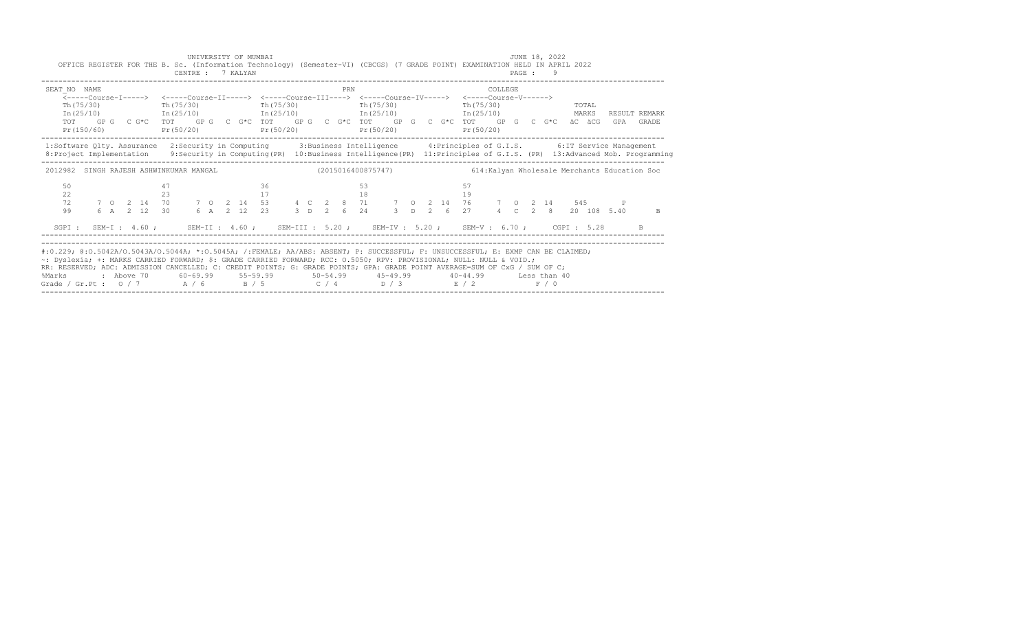|                                                                                                                  |                                      |                                                                                                                                                       | COLLEGE                                                                                                                                                                                                                                                                         |
|------------------------------------------------------------------------------------------------------------------|--------------------------------------|-------------------------------------------------------------------------------------------------------------------------------------------------------|---------------------------------------------------------------------------------------------------------------------------------------------------------------------------------------------------------------------------------------------------------------------------------|
| Th (75/30)<br>Th(75/30)<br>$In (25/10)$ $In (25/10)$ $In (25/10)$ $In (25/10)$ $In (25/10)$<br>TOT<br>Pr(150/60) | Th(75/30)<br>$Pr(50/20)$ $Pr(50/20)$ | <-----Course-I-----> <-----Course-II-----> <-----Course-III----> <-----Course-IV-----> <-----Course-V------><br>Th (75/30)<br>Th (75/30)<br>Pr(50/20) | TOTAL<br>MARKS<br>RESULT REMARK<br>GP G C G*C TOT GP G C G*C TOT GP G C G*C TOT GP G C G*C TOT GP G C G*C äC äCG GPA GRADE<br>Pr(50/20)                                                                                                                                         |
|                                                                                                                  |                                      |                                                                                                                                                       | 1:Software Qlty. Assurance 2:Security in Computing 3:Business Intelligence 4:Principles of G.I.S. 6:IT Service Management<br>8: Project Implementation 9: Security in Computing (PR) 10: Business Intelligence (PR) 11: Principles of G.I.S. (PR) 13: Advanced Mob. Programming |
| 2012982 SINGH RAJESH ASHWINKUMAR MANGAL                                                                          |                                      |                                                                                                                                                       | (2015016400875747)           614:Kalyan Wholesale Merchants Education Soc                                                                                                                                                                                                       |
| 50<br>22<br>23                                                                                                   | 36<br>17                             | 53<br>18                                                                                                                                              | 19                                                                                                                                                                                                                                                                              |
| 72<br>99<br>6 A 2 12 30                                                                                          |                                      | 6 A 2 12 23 3 D 2 6 24 3 D 2 6 27                                                                                                                     | 7 0 2 14 70 7 0 2 14 53 4 C 2 8 71 7 0 2 14 76 7 0 2 14 545 P<br>4 C 2 8 20 108 5.40<br>B.                                                                                                                                                                                      |
| SGPI: SEM-I: 4.60; SEM-II: 4.60; SEM-III: 5.20; SEM-IV: 5.20; SEM-V: 6.70; CGPI: 5.28                            |                                      |                                                                                                                                                       |                                                                                                                                                                                                                                                                                 |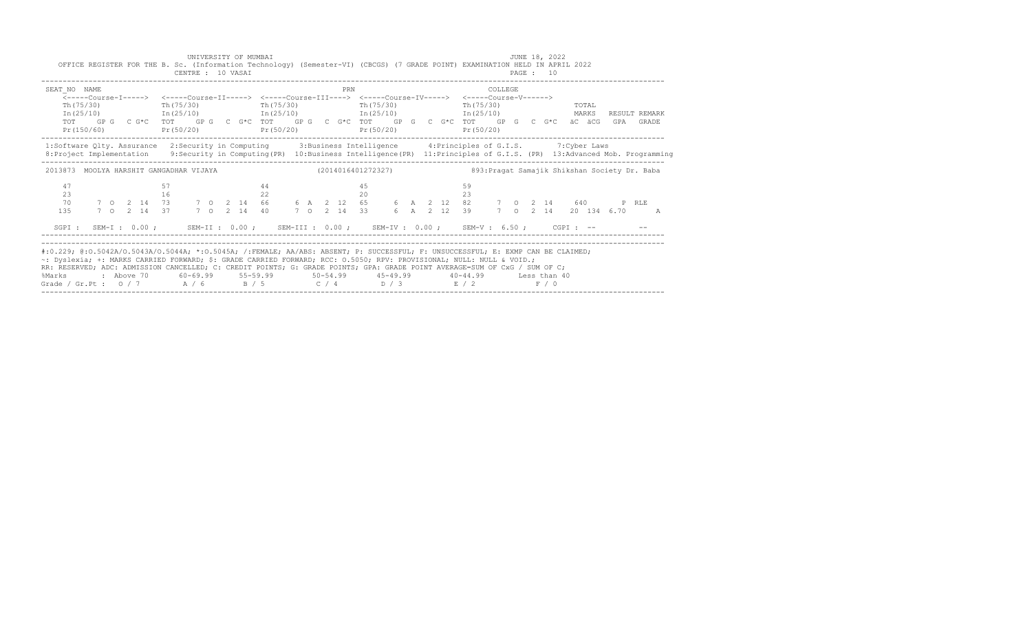| OFFICE REGISTER FOR THE B. Sc. (Information Technology) (Semester-VI) (CBCGS) (7 GRADE POINT) EXAMINATION HELD IN APRIL 2022                                                                                                                                                                                                                                                                                                                                  |  |  |          | CENTRE : 10 VASAI | UNIVERSITY OF MUMBAI |  |            |  |  |     |          |                                                                                                                                                                                |  |             |          |           |         | JUNE 18, 2022<br>PAGE : 10 |                                                                                                                                                                |  |                            |  |
|---------------------------------------------------------------------------------------------------------------------------------------------------------------------------------------------------------------------------------------------------------------------------------------------------------------------------------------------------------------------------------------------------------------------------------------------------------------|--|--|----------|-------------------|----------------------|--|------------|--|--|-----|----------|--------------------------------------------------------------------------------------------------------------------------------------------------------------------------------|--|-------------|----------|-----------|---------|----------------------------|----------------------------------------------------------------------------------------------------------------------------------------------------------------|--|----------------------------|--|
| SEAT NO NAME<br>$Th(75/30)$ Th( $75/30$ )                                                                                                                                                                                                                                                                                                                                                                                                                     |  |  |          |                   |                      |  | Th (75/30) |  |  | PRN |          | <-----Course-T-----> <-----Course-TT-----> <-----Course-TTT----> <-----Course-TV-----> <-----Course-V------><br>Th (75/30)<br>$Pr(150/60)$ $Pr(50/20)$ $Pr(50/20)$ $Pr(50/20)$ |  |             |          | Pr(50/20) | COLLEGE |                            | Th (75/30) TOTAL<br>$In (25/10)$ $In (25/10)$ $In (25/10)$ $In (25/10)$ $In (25/10)$<br>TOT GPG CG*C TOT GPG CG*C TOT GPG CG*C TOT GPG CG*C TOT GPG CG*C äCäCG |  | RESULT REMARK<br>GPA GRADE |  |
| 1:Software Qlty. Assurance 2:Security in Computing 3:Business Intelligence 4:Principles of G.I.S. 7:Cyber Laws<br>8: Project Implementation 9: Security in Computing (PR) 10: Business Intelligence (PR) 11: Principles of G.I.S. (PR) 13: Advanced Mob. Programming                                                                                                                                                                                          |  |  |          |                   |                      |  |            |  |  |     |          |                                                                                                                                                                                |  |             |          |           |         |                            |                                                                                                                                                                |  |                            |  |
| 2013873 MOOLYA HARSHIT GANGADHAR VIJAYA (2014016401272327) 893: Pragat Samajik Shikshan Society Dr. Baba                                                                                                                                                                                                                                                                                                                                                      |  |  |          |                   |                      |  |            |  |  |     |          |                                                                                                                                                                                |  |             |          |           |         |                            |                                                                                                                                                                |  |                            |  |
| 47<br>23<br>70<br>135                                                                                                                                                                                                                                                                                                                                                                                                                                         |  |  | 57<br>16 |                   |                      |  | 44<br>22   |  |  |     | 45<br>20 |                                                                                                                                                                                |  | 6 A 2 12 39 | 59<br>23 |           |         |                            |                                                                                                                                                                |  | 7 0 2 14 20 134 6.70 A     |  |
| SGPI: SEM-I: 0.00; SEM-II: 0.00; SEM-III: 0.00; SEM-IV: 0.00; SEM-V: 6.50; CGPI: --                                                                                                                                                                                                                                                                                                                                                                           |  |  |          |                   |                      |  |            |  |  |     |          |                                                                                                                                                                                |  |             |          |           |         |                            |                                                                                                                                                                |  |                            |  |
| #:0.229; @:0.5042A/0.5043A/0.5044A; *:0.5045A; /:FEMALE; AA/ABS: ABSENT; P: SUCCESSFUL; F: UNSUCCESSFUL; E: EXMP CAN BE CLAIMED;<br>~: Dyslexia; +: MARKS CARRIED FORWARD; \$: GRADE CARRIED FORWARD; RCC: 0.5050; RPV: PROVISIONAL; NULL: NULL & VOID.;<br>RR: RESERVED; ADC: ADMISSION CANCELLED; C: CREDIT POINTS; G: GRADE POINTS; GPA: GRADE POINT AVERAGE=SUM OF CxG / SUM OF C;<br>%Marks<br>Grade / Gr.Pt : $0/7$ $A/6$ $B/5$ $C/4$ $D/3$ $E/2$ $F/0$ |  |  |          |                   |                      |  |            |  |  |     |          | : Above 70 60-69.99 55-59.99 50-54.99 45-49.99 40-44.99 Less than 40                                                                                                           |  |             |          |           |         |                            |                                                                                                                                                                |  |                            |  |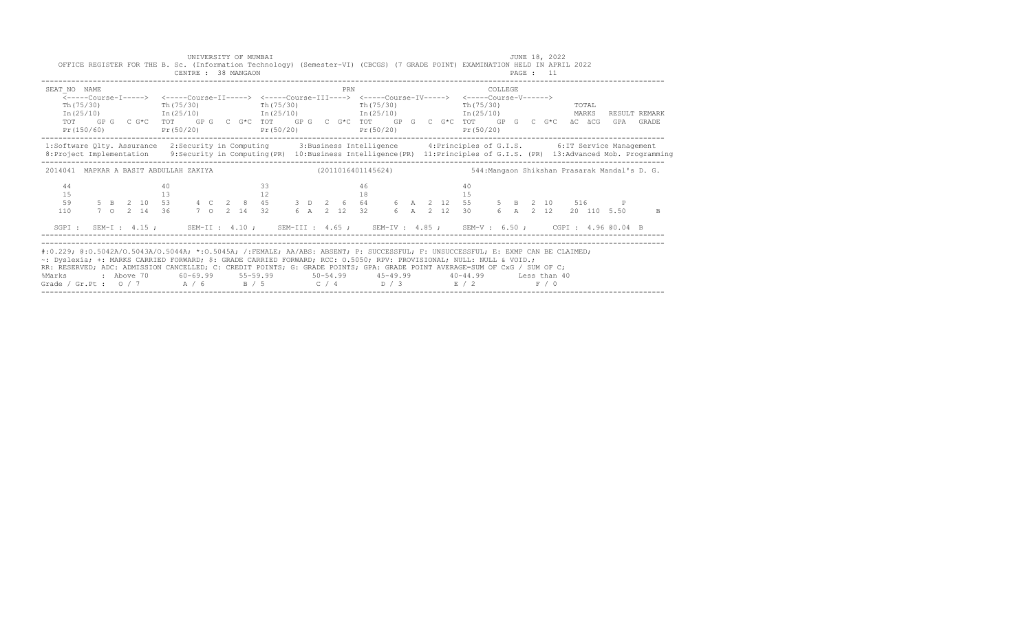|                                                                                                                                                                                                                                                                                                                                                                                                                                                          |  |  |          | CENTRE : 38 MANGAON   |  |  | UNIVERSITY OF MUMBAI<br>OFFICE REGISTER FOR THE B. Sc. (Information Technology) (Semester-VI) (CBCGS) (7 GRADE POINT) EXAMINATION HELD IN APRIL 2022                                                                                                                                                                                      |  |  |          |            |  |  |                                |          |  | JUNE 18, 2022<br>PAGE : 11 |  |                                  |                            |
|----------------------------------------------------------------------------------------------------------------------------------------------------------------------------------------------------------------------------------------------------------------------------------------------------------------------------------------------------------------------------------------------------------------------------------------------------------|--|--|----------|-----------------------|--|--|-------------------------------------------------------------------------------------------------------------------------------------------------------------------------------------------------------------------------------------------------------------------------------------------------------------------------------------------|--|--|----------|------------|--|--|--------------------------------|----------|--|----------------------------|--|----------------------------------|----------------------------|
| SEAT NO NAME                                                                                                                                                                                                                                                                                                                                                                                                                                             |  |  |          | $Th(75/30)$ Th(75/30) |  |  | <-----Course-T-----> <-----Course-TT-----> <-----Course-TTT----> <-----Course-TV-----> <-----Course-V------><br>Th (75/30)<br>$In (25/10)$ $In (25/10)$ $In (25/10)$ $In (25/10)$ $In (25/10)$ $In (25/10)$<br>TOT GPG CG*C TOT GPG CG*C TOT GPG CG*C TOT GPG CG*C TOT GPG CG*C äCäCG<br>$Pr(150/60)$ $Pr(50/20)$ $Pr(50/20)$ $Pr(50/20)$ |  |  | PRN      | Th (75/30) |  |  | $Th(75/30)$ TOTAL<br>Pr(50/20) | COLLEGE. |  |                            |  |                                  | RESULT REMARK<br>GPA GRADE |
| 1:Software Qlty. Assurance 2:Security in Computing 3:Business Intelligence 4:Principles of G.I.S. 6:IT Service Management<br>8: Project Implementation 9: Security in Computing (PR) 10: Business Intelligence (PR) 11: Principles of G.I.S. (PR) 13: Advanced Mob. Programming                                                                                                                                                                          |  |  |          |                       |  |  |                                                                                                                                                                                                                                                                                                                                           |  |  |          |            |  |  |                                |          |  |                            |  |                                  |                            |
| 2014041 MAPKAR A BASIT ABDULLAH ZAKIYA (2011016401145624) 544: Manqaon Shikshan Prasarak Mandal's D. G.                                                                                                                                                                                                                                                                                                                                                  |  |  |          |                       |  |  |                                                                                                                                                                                                                                                                                                                                           |  |  |          |            |  |  |                                |          |  |                            |  |                                  |                            |
| 44<br>15<br>59<br>110                                                                                                                                                                                                                                                                                                                                                                                                                                    |  |  | 40<br>13 |                       |  |  | 33<br>12<br>5 B 2 10 53 4 C 2 8 45 3 D 2 6 64 6 A 2 12 55 5 B 2 10 516 P<br>7 O 2 14 36 7 O 2 14 32 6 A 2 12 32 6 A 2 12 30 6 A 2 12 20 110 5.50                                                                                                                                                                                          |  |  | 46<br>18 |            |  |  | 40<br>15                       |          |  |                            |  | 6 A 2 12 30 6 A 2 12 20 110 5.50 | B.                         |
| SGPI: SEM-I: 4.15; SEM-II: 4.10; SEM-III: 4.65; SEM-IV: 4.85; SEM-V: 6.50; CGPI: 4.96 @0.04 B                                                                                                                                                                                                                                                                                                                                                            |  |  |          |                       |  |  |                                                                                                                                                                                                                                                                                                                                           |  |  |          |            |  |  |                                |          |  |                            |  |                                  |                            |
| #:0.229; @:0.5042A/0.5043A/0.5044A; *:0.5045A; /:FEMALE; AA/ABS: ABSENT; P: SUCCESSFUL; F: UNSUCCESSFUL; E: EXMP CAN BE CLAIMED;<br>~: Dyslexia; +: MARKS CARRIED FORWARD; \$: GRADE CARRIED FORWARD; RCC: 0.5050; RPV: PROVISIONAL; NULL: NULL & VOID.;<br>RR: RESERVED; ADC: ADMISSION CANCELLED; C: CREDIT POINTS; G: GRADE POINTS; GPA: GRADE POINT AVERAGE=SUM OF CxG / SUM OF C;<br>%Marks<br>Grade / Gr. Pt : $0/7$ $A/6$ $B/5$ $C/4$ $D/3$ $E/2$ |  |  |          |                       |  |  | : Above 70    60-69.99    55-59.99     50-54.99     45-49.99     40-44.99     Less than 40                                                                                                                                                                                                                                                |  |  |          |            |  |  |                                |          |  | F / 0                      |  |                                  |                            |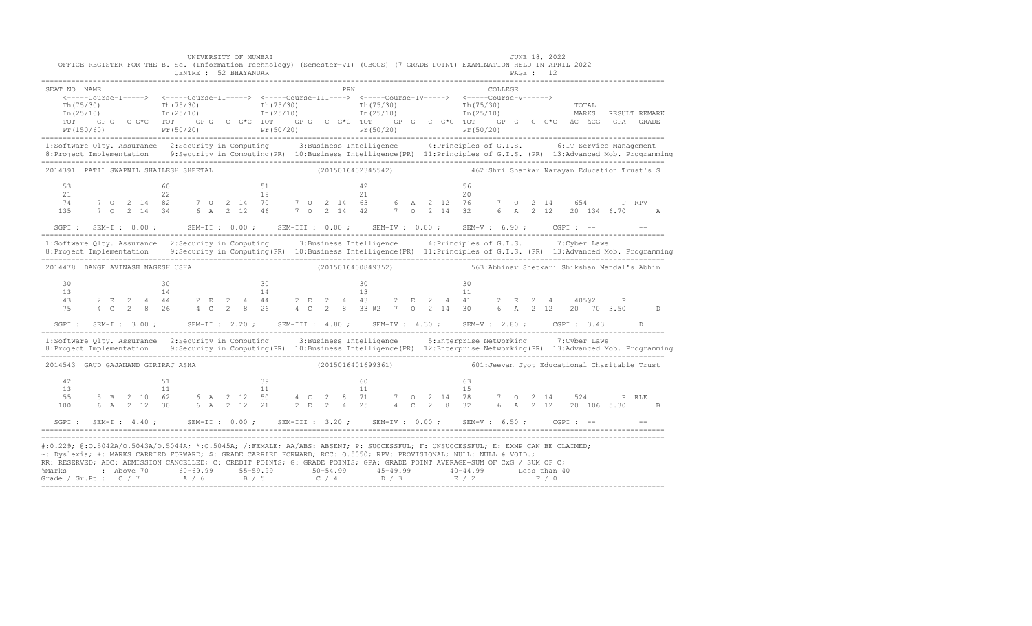|                                    | UNIVERSITY OF MUMBAI<br>CENTRE : 52 BHAYANDAR |                                                                                                                                                                                                                                | JUNE 18, 2022<br>OFFICE REGISTER FOR THE B. Sc. (Information Technology) (Semester-VI) (CBCGS) (7 GRADE POINT) EXAMINATION HELD IN APRIL 2022<br>PAGE : 12                                                                                                                                                                                                                                                                                                          |
|------------------------------------|-----------------------------------------------|--------------------------------------------------------------------------------------------------------------------------------------------------------------------------------------------------------------------------------|---------------------------------------------------------------------------------------------------------------------------------------------------------------------------------------------------------------------------------------------------------------------------------------------------------------------------------------------------------------------------------------------------------------------------------------------------------------------|
| SEAT NO NAME                       |                                               | E NO NAME COLLEGE PRN COLLEGE PRO ESTIT ----> <-----Course-III----> <-----Course-IV-----> <-----Course-I-----> <-----Course-IV-----> <-----Course-IV-----> <-----Course-V------> <-----Course-V------> <-----Course-V------> < | $\begin{array}{ccccccccc} \texttt{Th(75/30)} & & & & \texttt{Th(75/30)} & & & & \texttt{Th(75/30)} & & & & \texttt{Th(75/30)} & & & & \texttt{Th(75/30)} & & & & \texttt{Th(25/10)} & & & & \texttt{In(25/10)} & & & & \end{array}$<br>TOTAL<br>MARKS<br>RESULT REMARK<br>TOT GPG CG*C TOT GPG CG*C TOT GPG CG*C TOT GPG CG*C TOT GC CG*C TOT GPG CG*C aC aCG GPA GRADE<br>Pr (150/60) Pr (50/20) Pr (50/20) Pr (50/20) Pr (50/20) Pr (50/20) Pr (50/20) Pr (50/20) |
|                                    |                                               |                                                                                                                                                                                                                                | 1:Software Qlty. Assurance 2:Security in Computing 3:Business Intelligence 4:Principles of G.I.S. 6:IT Service Management<br>8: Project Implementation 9: Security in Computing (PR) 10: Business Intelligence (PR) 11: Principles of G.I.S. (PR) 13: Advanced Mob. Programming                                                                                                                                                                                     |
|                                    |                                               |                                                                                                                                                                                                                                | 2014391 PATIL SWAPNIL SHAILESH SHEETAL (2015016402345542) 462:Shri Shankar Narayan Education Trust's S                                                                                                                                                                                                                                                                                                                                                              |
| 53<br>21<br>74<br>135              |                                               |                                                                                                                                                                                                                                |                                                                                                                                                                                                                                                                                                                                                                                                                                                                     |
|                                    |                                               |                                                                                                                                                                                                                                | SGPI: SEM-I: 0.00; SEM-II: 0.00; SEM-III: 0.00; SEM-IV: 0.00; SEM-V: 6.90; CGPI: -- - -                                                                                                                                                                                                                                                                                                                                                                             |
|                                    |                                               |                                                                                                                                                                                                                                | 1:Software Qlty. Assurance 2:Security in Computing 3:Business Intelligence 4:Principles of G.I.S. 7:Cyber Laws                                                                                                                                                                                                                                                                                                                                                      |
| 2014478 DANGE AVINASH NAGESH USHA  |                                               |                                                                                                                                                                                                                                |                                                                                                                                                                                                                                                                                                                                                                                                                                                                     |
| 30<br>13<br>4.3<br>75              |                                               |                                                                                                                                                                                                                                |                                                                                                                                                                                                                                                                                                                                                                                                                                                                     |
|                                    |                                               |                                                                                                                                                                                                                                | SGPI: SEM-I: 3.00; SEM-II: 2.20; SEM-III: 4.80; SEM-IV: 4.30; SEM-V: 2.80; CGPI: 3.43 D                                                                                                                                                                                                                                                                                                                                                                             |
|                                    |                                               |                                                                                                                                                                                                                                | 1:Software Qlty. Assurance 2:Security in Computing 3:Business Intelligence 5:Enterprise Networking 7:Cyber Laws<br>8: Project Implementation 9: Security in Computing (PR) 10: Business Intelligence (PR) 12: Enterprise Networking (PR) 13: Advanced Mob. Programming                                                                                                                                                                                              |
| 2014543 GAUD GAJANAND GIRIRAJ ASHA |                                               |                                                                                                                                                                                                                                | (2015016401699361) 601: Jeevan Jyot Educational Charitable Trust                                                                                                                                                                                                                                                                                                                                                                                                    |
| 42<br>13<br>55<br>100              | 51                                            |                                                                                                                                                                                                                                |                                                                                                                                                                                                                                                                                                                                                                                                                                                                     |
|                                    |                                               |                                                                                                                                                                                                                                |                                                                                                                                                                                                                                                                                                                                                                                                                                                                     |
|                                    |                                               | ~: Dyslexia; +: MARKS CARRIED FORWARD; \$: GRADE CARRIED FORWARD; RCC: 0.5050; RPV: PROVISIONAL; NULL: NULL & VOID.;                                                                                                           | #:0.229; @:0.5042A/0.5043A/0.5044A; *:0.5045A; /:FEMALE; AA/ABS: ABSENT; P: SUCCESSFUL; F: UNSUCCESSFUL; E: EXMP CAN BE CLAIMED;<br>RR: RESERVED; ADC: ADMISSION CANCELLED; C: CREDIT POINTS; G: GRADE POINTS; GPA: GRADE POINT AVERAGE=SUM OF CxG / SUM OF C;                                                                                                                                                                                                      |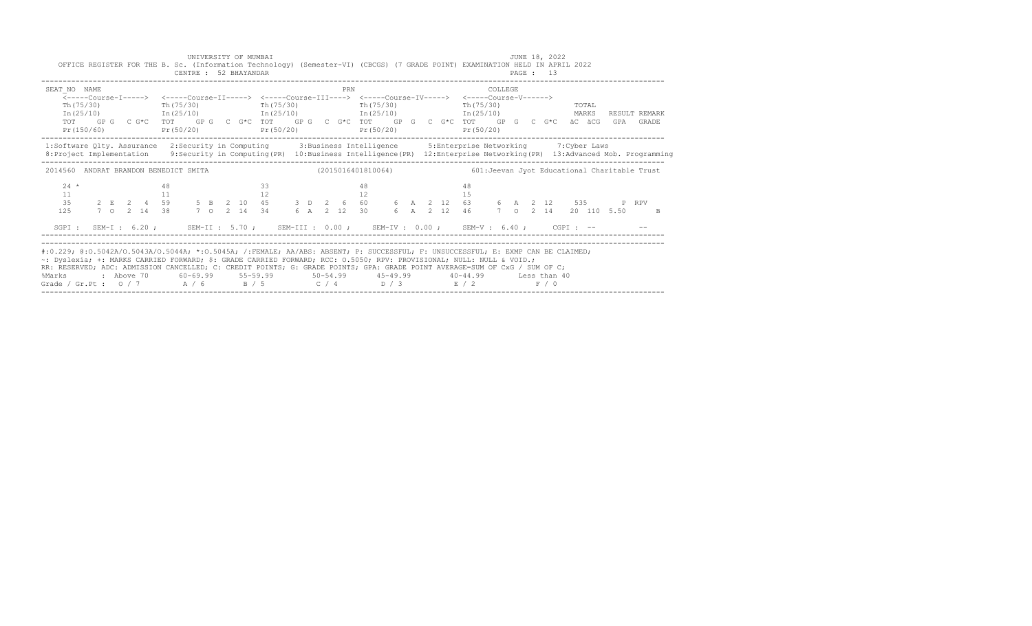| OFFICE REGISTER FOR THE B. Sc. (Information Technology) (Semester-VI) (CBCGS) (7 GRADE POINT) EXAMINATION HELD IN APRIL 2022                                                                                                                                                                                                                                                                                                                           |                                                                                                                                                                                                                                                                                    |  |    | CENTRE : 52 BHAYANDAR                                  |  | UNIVERSITY OF MUMBAI |    |           |  |  |     |              |  |  |    |                         |              |  | JUNE 18, 2022<br>PAGE: 13 |                |                      |       |    |
|--------------------------------------------------------------------------------------------------------------------------------------------------------------------------------------------------------------------------------------------------------------------------------------------------------------------------------------------------------------------------------------------------------------------------------------------------------|------------------------------------------------------------------------------------------------------------------------------------------------------------------------------------------------------------------------------------------------------------------------------------|--|----|--------------------------------------------------------|--|----------------------|----|-----------|--|--|-----|--------------|--|--|----|-------------------------|--------------|--|---------------------------|----------------|----------------------|-------|----|
| SEAT NO NAME<br>Th (75/30)<br>Pr (150/60)                                                                                                                                                                                                                                                                                                                                                                                                              | <-----Course-T-----> <-----Course-TT-----> <-----Course-TTT----> <-----Course-TV-----> <-----Course-V------><br>$In (25/10)$ $In (25/10)$ $In (25/10)$ $In (25/10)$ $In (25/10)$ $In (25/10)$<br>TOT GP G C G*C TOT GP G C G*C TOT GP G C G*C TOT GP G C G*C TOT GP G C G*C äC äCG |  |    | Th(75/30)<br>$Pr(50/20)$ $Pr(50/20)$ $Pr(50/20)$       |  |                      |    | Th(75/30) |  |  | PRN | Th $(75/30)$ |  |  |    | Th (75/30)<br>Pr(50/20) | COLLEGE      |  |                           | TOTAL<br>MARKS | RESULT REMARK<br>GPA | GRADE |    |
| 1:Software Qlty. Assurance 2:Security in Computing 3:Business Intelligence 5:Enterprise Networking 7:Cyber Laws<br>8: Project Implementation 9: Security in Computing (PR) 10: Business Intelligence (PR) 12: Enterprise Networking (PR) 13: Advanced Mob. Programming                                                                                                                                                                                 |                                                                                                                                                                                                                                                                                    |  |    |                                                        |  |                      |    |           |  |  |     |              |  |  |    |                         |              |  |                           |                |                      |       |    |
| 2014560 ANDRAT BRANDON BENEDICT SMITA                                                                                                                                                                                                                                                                                                                                                                                                                  |                                                                                                                                                                                                                                                                                    |  |    |                                                        |  |                      |    |           |  |  |     |              |  |  |    |                         |              |  |                           |                |                      |       |    |
| $24 *$<br>11<br>35<br>125                                                                                                                                                                                                                                                                                                                                                                                                                              | $2 \t E \t 2 \t 4 \t 59$ 5 B 2 10 45 3 D 2 6 60 6 A 2 12 63 6 A 2 12 535 P RPV<br>7 O 2 14 38 7 O 2 14 34 6 A 2 12 30 6 A 2 12 46 7 O 2 14 20 110 5.50                                                                                                                             |  | 48 |                                                        |  |                      | 33 |           |  |  |     | 48           |  |  | 48 |                         |              |  |                           |                |                      |       | -B |
| SGPI: SEM-I: 6.20; SEM-II: 5.70; SEM-III: 0.00; SEM-IV: 0.00; SEM-V: 6.40; CGPI: --                                                                                                                                                                                                                                                                                                                                                                    |                                                                                                                                                                                                                                                                                    |  |    |                                                        |  |                      |    |           |  |  |     |              |  |  |    |                         |              |  |                           |                |                      |       |    |
| #:0.229; @:0.5042A/0.5043A/0.5044A; *:0.5045A; /:FEMALE; AA/ABS: ABSENT; P: SUCCESSFUL; F: UNSUCCESSFUL; E: EXMP CAN BE CLAIMED;<br>~: Dyslexia; +: MARKS CARRIED FORWARD; \$: GRADE CARRIED FORWARD; RCC: 0.5050; RPV: PROVISIONAL; NULL: NULL & VOID.;<br>RR: RESERVED; ADC: ADMISSION CANCELLED; C: CREDIT POINTS; G: GRADE POINTS; GPA: GRADE POINT AVERAGE=SUM OF CxG / SUM OF C;<br>%Marks<br>Grade / Gr.Pt: $0/7$ $A/6$ $B/5$ $C/4$ $D/3$ $E/2$ | : Above 70                                                                                                                                                                                                                                                                         |  |    | $60-69.99$ $55-59.99$ $50-54.99$ $45-49.99$ $40-44.99$ |  |                      |    |           |  |  |     |              |  |  |    |                         | Less than 40 |  | F / 0                     |                |                      |       |    |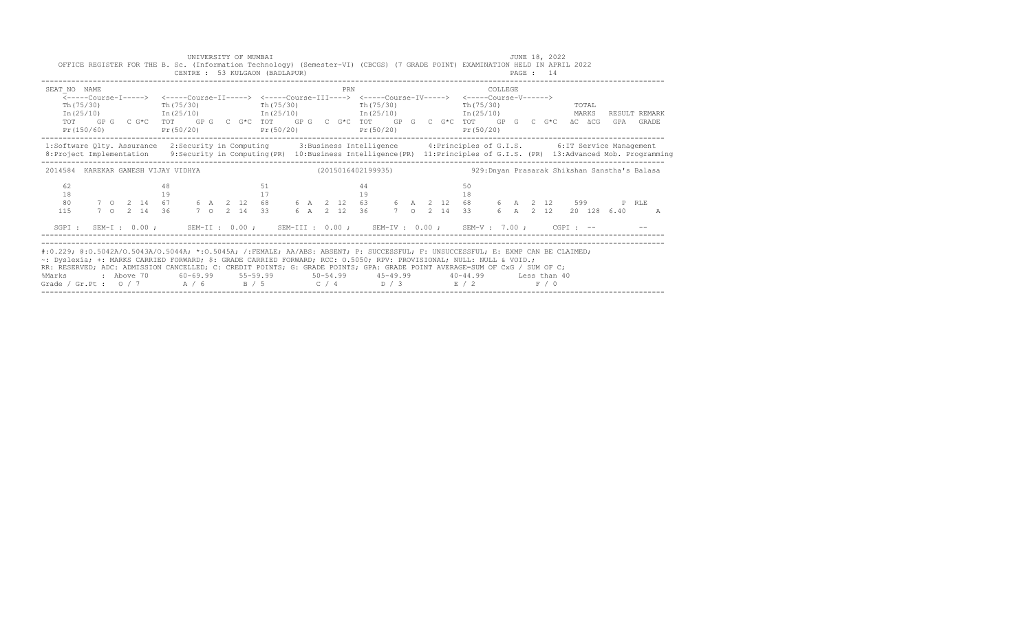|                                                                                                                                                                                                                                                                                                                                                                                                                                                               | OFFICE REGISTER FOR THE B. Sc. (Information Technology) (Semester-VI) (CBCGS) (7 GRADE POINT) EXAMINATION HELD IN APRIL 2022                                                                                                                                                                                                                         |  |          | CENTRE : 53 KULGAON (BADLAPUR) |  |  | UNIVERSITY OF MUMBAI |  |  |          |           |  |  |          |                      |  | JUNE 18, 2022<br>PAGE : 14 |  |                        |                            |
|---------------------------------------------------------------------------------------------------------------------------------------------------------------------------------------------------------------------------------------------------------------------------------------------------------------------------------------------------------------------------------------------------------------------------------------------------------------|------------------------------------------------------------------------------------------------------------------------------------------------------------------------------------------------------------------------------------------------------------------------------------------------------------------------------------------------------|--|----------|--------------------------------|--|--|----------------------|--|--|----------|-----------|--|--|----------|----------------------|--|----------------------------|--|------------------------|----------------------------|
| SEAT NO NAME                                                                                                                                                                                                                                                                                                                                                                                                                                                  | <-----Course-T-----> <-----Course-TT-----> <-----Course-TTT----> <-----Course-TV-----> <-----Course-V------><br>$Th(75/30)$ Th(75/30)<br>$In (25/10)$ $In (25/10)$ $In (25/10)$ $In (25/10)$ $In (25/10)$ $In (25/10)$<br>TOT GPG CG*C TOT GPG CG*C TOT GPG CG*C TOT GPG CG*C TOT GPG CG*C äCäCG<br>$Pr(150/60)$ $Pr(50/20)$ $Pr(50/20)$ $Pr(50/20)$ |  |          |                                |  |  | Th (75/30)           |  |  | PRN      | Th(75/30) |  |  |          | COLLEGE<br>Pr(50/20) |  | $Th(75/30)$ TOTAL          |  |                        | RESULT REMARK<br>GPA GRADE |
| 1:Software Qlty. Assurance 2:Security in Computing 3:Business Intelligence 4:Principles of G.I.S. 6:IT Service Management<br>8: Project Implementation 9: Security in Computing (PR) 10: Business Intelligence (PR) 11: Principles of G.I.S. (PR) 13: Advanced Mob. Programming                                                                                                                                                                               |                                                                                                                                                                                                                                                                                                                                                      |  |          |                                |  |  |                      |  |  |          |           |  |  |          |                      |  |                            |  |                        |                            |
| 2014584 KAREKAR GANESH VIJAY VIDHYA (2015016402199935) 329:Dnyan Prasarak Shikshan Sanstha's Balasa                                                                                                                                                                                                                                                                                                                                                           |                                                                                                                                                                                                                                                                                                                                                      |  |          |                                |  |  |                      |  |  |          |           |  |  |          |                      |  |                            |  |                        |                            |
| 62<br>18<br>80<br>115                                                                                                                                                                                                                                                                                                                                                                                                                                         |                                                                                                                                                                                                                                                                                                                                                      |  | 48<br>19 |                                |  |  | 51<br>17             |  |  | 44<br>19 |           |  |  | 50<br>18 |                      |  |                            |  | 6 A 2 12 20 128 6.40 A |                            |
| SGPI: SEM-I: 0.00; SEM-II: 0.00; SEM-III: 0.00; SEM-IV: 0.00; SEM-V: 7.00; CGPI: --                                                                                                                                                                                                                                                                                                                                                                           |                                                                                                                                                                                                                                                                                                                                                      |  |          |                                |  |  |                      |  |  |          |           |  |  |          |                      |  |                            |  |                        |                            |
| #:0.229; @:0.5042A/0.5043A/0.5044A; *:0.5045A; /:FEMALE; AA/ABS: ABSENT; P: SUCCESSFUL; F: UNSUCCESSFUL; E: EXMP CAN BE CLAIMED;<br>~: Dyslexia; +: MARKS CARRIED FORWARD; \$: GRADE CARRIED FORWARD; RCC: 0.5050; RPV: PROVISIONAL; NULL: NULL & VOID.;<br>RR: RESERVED; ADC: ADMISSION CANCELLED; C: CREDIT POINTS; G: GRADE POINTS; GPA: GRADE POINT AVERAGE=SUM OF CxG / SUM OF C;<br>%Marks<br>Grade / Gr.Pt : $0/7$ $A/6$ $B/5$ $C/4$ $D/3$ $E/2$ $F/0$ | : Above 70    60-69.99    55-59.99     50-54.99     45-49.99     40-44.99     Less than 40                                                                                                                                                                                                                                                           |  |          |                                |  |  |                      |  |  |          |           |  |  |          |                      |  |                            |  |                        |                            |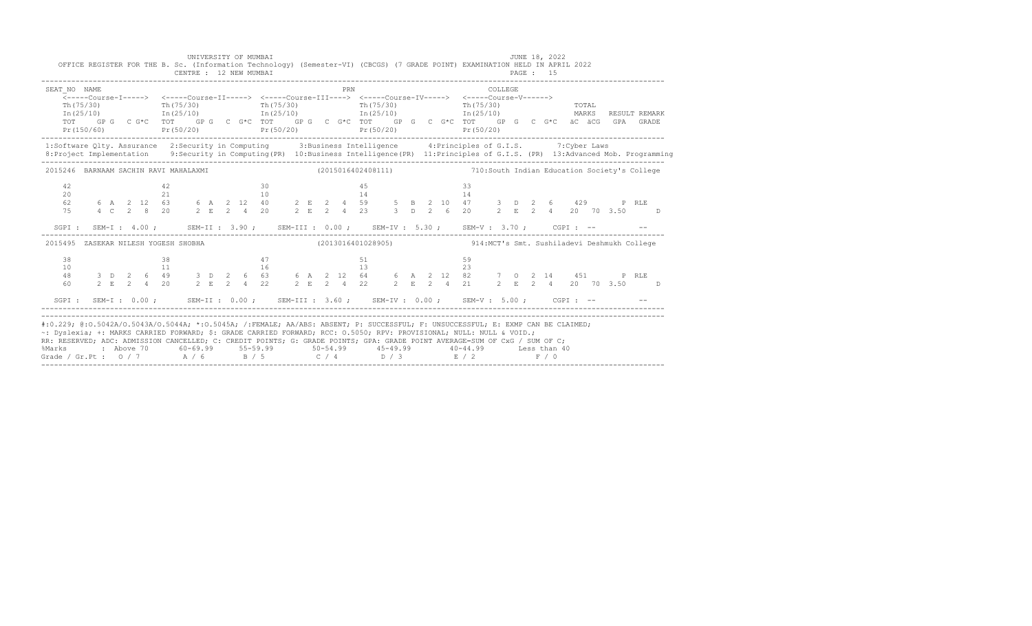|                                         | UNIVERSITY OF MUMBAI<br>CENTRE : 12 NEW MUMBAI |                                                                       | JUNE 18, 2022<br>OFFICE REGISTER FOR THE B. Sc. (Information Technology) (Semester-VI) (CBCGS) (7 GRADE POINT) EXAMINATION HELD IN APRIL 2022<br>PAGE: 15                                                                                                            |
|-----------------------------------------|------------------------------------------------|-----------------------------------------------------------------------|----------------------------------------------------------------------------------------------------------------------------------------------------------------------------------------------------------------------------------------------------------------------|
| SEAT NO NAME<br>Th(75/30)<br>In (25/10) |                                                | <b>PRN</b><br>Pr (150/60) Pr (50/20) Pr (50/20) Pr (50/20) Pr (50/20) | COLLEGE<br>Th(75/30) Th(75/30) Th(75/30) Th(75/30) Th(75/30)<br>In(25/10) In(25/10) In(25/10) In(25/10) In(25/10)<br>TOTAL<br>MARKS<br>RESULT REMARK<br>TOT GPG CG*C TOT GPG CG*C TOT GPG CG*C TOT GPG CG*C TOT GPG CG*C TOT GPG CG*C äC äCG GPA GRADE               |
|                                         |                                                |                                                                       | 1:Software Qlty. Assurance 2:Security in Computing 3:Business Intelligence 4:Principles of G.I.S. 7:Cyber Laws<br>8: Project Implementation 9: Security in Computing (PR) 10: Business Intelligence (PR) 11: Principles of G.I.S. (PR) 13: Advanced Mob. Programming |
|                                         |                                                |                                                                       | 2015246 BARNAAM SACHIN RAVI MAHALAXMI (2015016402408111) 12015016402408111 710:South Indian Education Society's College                                                                                                                                              |
| 42<br>20<br>62<br>75                    | 30<br>42<br>21 10                              | 45<br>14                                                              | -33-<br>14<br>SGPI: SEM-I: 4.00; SEM-II: 3.90; SEM-III: 0.00; SEM-IV: 5.30; SEM-V: 3.70; CGPI: -- - -                                                                                                                                                                |
|                                         |                                                |                                                                       | 2015495 ZASEKAR NILESH YOGESH SHOBHA (2013016401028905) 314:MCT's Smt. Sushiladevi Deshmukh College                                                                                                                                                                  |
| 38<br>10<br>48<br>60                    | 38                                             | 47<br>51                                                              | 59                                                                                                                                                                                                                                                                   |
|                                         |                                                |                                                                       | SGPI: SEM-I: 0.00; SEM-II: 0.00; SEM-III: 3.60; SEM-IV: 0.00; SEM-V: 5.00; CGPI: -- - -                                                                                                                                                                              |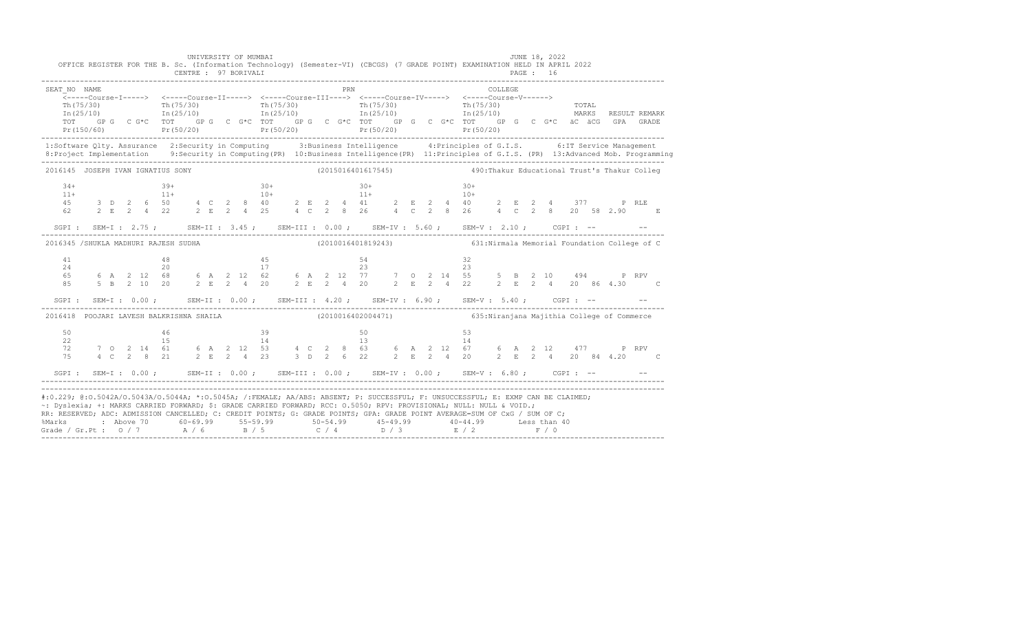| SEAT NO NAME<br>Th (75/30)<br>In (25/10)                                                                                                                                                                                                                                                                                                                                                                                                                                                    |  |  | Th $(75/30)$<br>In (25/10) |  |                       |                |  | PRN |                | Th (75/30) Th (75/30) Th (75/30) Th (75/30) Th (75/30) Th (25/10) Th (25/10) The CONSE<br>TOT GPG CG*C TOT GPG CG*C TOT GPG CG*C TOT GPG CG*C TOT GPG CG*C TOT GPG CG*C äC äCG GPA GRADE                                         |  |                                            | COLLEGE. |  |  |  | MARKS RESULT REMARK                        |  |
|---------------------------------------------------------------------------------------------------------------------------------------------------------------------------------------------------------------------------------------------------------------------------------------------------------------------------------------------------------------------------------------------------------------------------------------------------------------------------------------------|--|--|----------------------------|--|-----------------------|----------------|--|-----|----------------|----------------------------------------------------------------------------------------------------------------------------------------------------------------------------------------------------------------------------------|--|--------------------------------------------|----------|--|--|--|--------------------------------------------|--|
| 1:Software Qlty. Assurance 2:Security in Computing 3:Business Intelligence 4:Principles of G.I.S. 6:IT Service Management                                                                                                                                                                                                                                                                                                                                                                   |  |  |                            |  |                       |                |  |     |                |                                                                                                                                                                                                                                  |  |                                            |          |  |  |  |                                            |  |
| 2016145 JOSEPH IVAN IGNATIUS SONY                                                                                                                                                                                                                                                                                                                                                                                                                                                           |  |  |                            |  |                       |                |  |     |                | (2015016401617545) 490: Thakur Educational Trust's Thakur Colleg                                                                                                                                                                 |  |                                            |          |  |  |  |                                            |  |
| $34+$<br>$11+$<br>$45$ 3 D 2 6 50 $4$ C 2 8 40 $2$ E 2 4 41 $2$ E 2 4 40 $2$ E 2 4 377 P RLE<br>62 $2$ E 2 4 22 $2$ E 2 4 25 $4$ C 2 8 26 $4$ C 2 8 26 $4$ C 2 8 20 58 2.90 E                                                                                                                                                                                                                                                                                                               |  |  | $39+$<br>$11+$             |  |                       | $30+$<br>$10+$ |  |     | $30+$<br>$11+$ |                                                                                                                                                                                                                                  |  | $30+$<br>$10+$                             |          |  |  |  |                                            |  |
| SGPI: SEM-I: 2.75; SEM-II: 3.45; SEM-III: 0.00; SEM-IV: 5.60; SEM-V: 2.10; CGPI: -- - -                                                                                                                                                                                                                                                                                                                                                                                                     |  |  |                            |  |                       |                |  |     |                |                                                                                                                                                                                                                                  |  |                                            |          |  |  |  |                                            |  |
| 2016345 /SHUKLA MADHURI RAJESH SUDHA                                                                                                                                                                                                                                                                                                                                                                                                                                                        |  |  |                            |  |                       |                |  |     |                | (2010016401819243) 631: Nirmala Memorial Foundation College of C                                                                                                                                                                 |  |                                            |          |  |  |  |                                            |  |
| 41<br>24<br>SGPI: SEM-I: 0.00; SEM-II: 0.00; SEM-III: 4.20; SEM-IV: 6.90; SEM-V: 5.40; CGPI: -- - -                                                                                                                                                                                                                                                                                                                                                                                         |  |  | 48<br>20                   |  | 45<br>$\frac{17}{17}$ |                |  |     | 54<br>23       | 65   6   A   2   12   68   6   A   2   12   62   6   A   2   12   77   7   0   2   14   55   5   B   2   10   494   PRPV<br>85   5   B   2   10   20   2   E   2   4   20   2   2   E   2   4   22   2   2   E   2   4   20   86 |  | -32<br>23                                  |          |  |  |  | 2 E 2 4 20 86 4.30 C                       |  |
| 2016418 POOJARI LAVESH BALKRISHNA SHAILA                                                                                                                                                                                                                                                                                                                                                                                                                                                    |  |  |                            |  |                       |                |  |     |                | (2010016402004471)                                                                                                                                                                                                               |  | 635:Niranjana Majithia College of Commerce |          |  |  |  |                                            |  |
| 50<br>22<br>72<br>75                                                                                                                                                                                                                                                                                                                                                                                                                                                                        |  |  | 46<br>1.5<br>7 0 2 14 61   |  | 14                    | 39             |  |     | 50<br>13       | 6 A 2 12 53 4 C 2 8 63 6 A 2 12 67<br>4 C 2 8 21 2 E 2 4 23 3 D 2 6 22 2 E 2 4 20                                                                                                                                                |  | 53<br>14                                   |          |  |  |  | 6 A 2 12 477 P RPV<br>2 E 2 4 20 84 4.20 C |  |
| SGPI: SEM-I: 0.00; SEM-II: 0.00; SEM-III: 0.00; SEM-IV: 0.00; SEM-V: 6.80; CGPI: -- - --                                                                                                                                                                                                                                                                                                                                                                                                    |  |  |                            |  |                       |                |  |     |                |                                                                                                                                                                                                                                  |  |                                            |          |  |  |  |                                            |  |
| #:0.229; @:0.5042A/O.5043A/O.5044A; *:0.5045A; /:FEMALE; AA/ABS: ABSENT; P: SUCCESSFUL; F: UNSUCCESSFUL; E: EXMP CAN BE CLAIMED;<br>~: Dyslexia; +: MARKS CARRIED FORWARD; \$: GRADE CARRIED FORWARD; RCC: 0.5050; RPV: PROVISIONAL; NULL: NULL & VOID.;<br>RR: RESERVED; ADC: ADMISSION CANCELLED; C: CREDIT POINTS; G: GRADE POINTS; GPA: GRADE POINT AVERAGE=SUM OF CxG / SUM OF C;<br>8Marks    : Above 70    60-69.99   55-59.99     50-54.99    45-49.99     40-44.99    Less than 40 |  |  |                            |  |                       |                |  |     |                | Grade / Gr.Pt : 0 / 7 A / 6 B / 5 C / 4 D / 3 E / 2 F / 0                                                                                                                                                                        |  |                                            |          |  |  |  |                                            |  |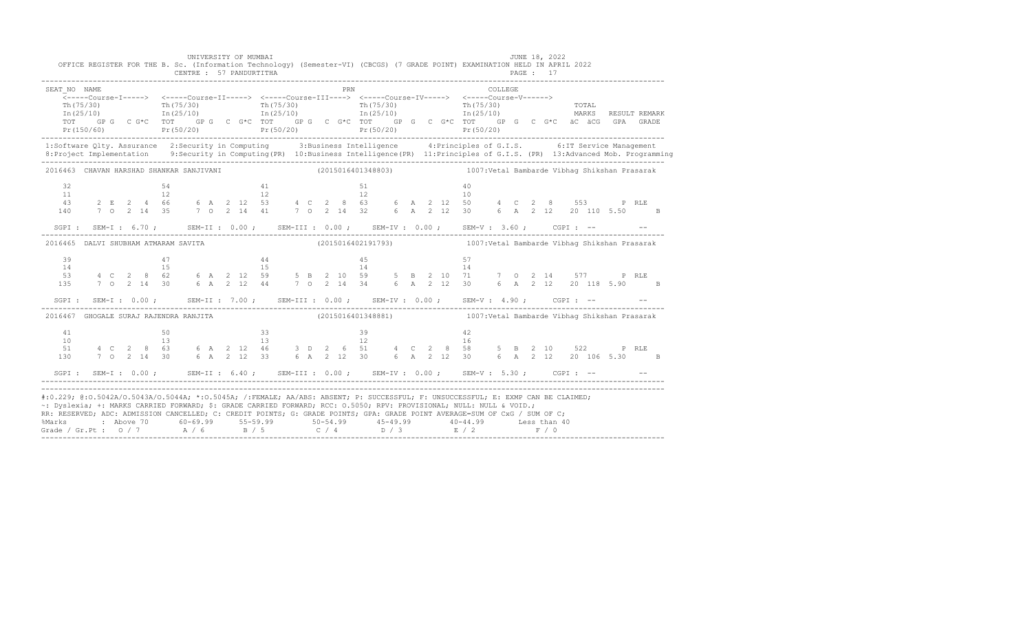| SEAT NO NAME<br>Th (75/30)<br>In (25/10)                                                                                                                                                                                                                                                                                                                                                                                                                                                                                           |     |  | Th $(75/30)$<br>In $(25/10)$ |  |  |                                         |    |                 |  | PRN |          | Th (75/30) Th (75/30) Th (75/30) Th (75/30) Th (75/30) Th (25/10) Th (25/10) The CONSE<br>TOT GPG CG*C TOT GPG CG*C TOT GPG CG*C TOT GPG CG*C TOT GPG CG*C G*C äC äCG GPA GRADE                                                               |  |                                               | COLLEGE. |  |  |  | MARKS RESULT REMARK                          |  |
|------------------------------------------------------------------------------------------------------------------------------------------------------------------------------------------------------------------------------------------------------------------------------------------------------------------------------------------------------------------------------------------------------------------------------------------------------------------------------------------------------------------------------------|-----|--|------------------------------|--|--|-----------------------------------------|----|-----------------|--|-----|----------|-----------------------------------------------------------------------------------------------------------------------------------------------------------------------------------------------------------------------------------------------|--|-----------------------------------------------|----------|--|--|--|----------------------------------------------|--|
| 1:Software Qlty. Assurance 2:Security in Computing 3:Business Intelligence 4:Principles of G.I.S. 6:IT Service Management<br>8: Project Implementation 9: Security in Computing (PR) 10: Business Intelligence (PR) 11: Principles of G.I.S. (PR) 13: Advanced Mob. Programming                                                                                                                                                                                                                                                    |     |  |                              |  |  |                                         |    |                 |  |     |          |                                                                                                                                                                                                                                               |  |                                               |          |  |  |  |                                              |  |
| 2016463 CHAVAN HARSHAD SHANKAR SANJIVANI                                                                                                                                                                                                                                                                                                                                                                                                                                                                                           |     |  |                              |  |  |                                         |    |                 |  |     |          | (2015016401348803) 1007: Vetal Bambarde Vibhag Shikshan Prasarak                                                                                                                                                                              |  |                                               |          |  |  |  |                                              |  |
| 32<br>11<br>43<br>140                                                                                                                                                                                                                                                                                                                                                                                                                                                                                                              |     |  | 54<br>12                     |  |  | $\begin{array}{c} 41 \\ 12 \end{array}$ |    |                 |  |     | 51<br>12 | 2 E 2 4 66 6 A 2 12 53 4 C 2 8 63 6 A 2 12 50<br>7 0 2 14 35 7 0 2 14 41 7 0 2 14 32 6 A 2 12 30                                                                                                                                              |  | 40<br>10                                      |          |  |  |  | 4 C 2 8 553 P RLE<br>6 A 2 12 20 110 5.50 B  |  |
|                                                                                                                                                                                                                                                                                                                                                                                                                                                                                                                                    |     |  |                              |  |  |                                         |    |                 |  |     |          | SGPI: SEM-I: 6.70; SEM-II: 0.00; SEM-III: 0.00; SEM-IV: 0.00; SEM-V: 3.60; CGPI: -- - -                                                                                                                                                       |  |                                               |          |  |  |  |                                              |  |
| 2016465 DALVI SHUBHAM ATMARAM SAVITA                                                                                                                                                                                                                                                                                                                                                                                                                                                                                               |     |  |                              |  |  |                                         |    |                 |  |     |          | (2015016402191793) 1007: Vetal Bambarde Vibhaq Shikshan Prasarak                                                                                                                                                                              |  |                                               |          |  |  |  |                                              |  |
| 39<br>14                                                                                                                                                                                                                                                                                                                                                                                                                                                                                                                           |     |  | 47<br>15                     |  |  |                                         | 44 | $\frac{44}{15}$ |  |     | 45<br>14 | 53 4 C 2 8 62 6 A 2 12 59 5 B 2 10 59 5 B 2 10 71 7 0 2 14 577 P RLE<br>135 7 0 2 14 30 6 A 2 12 44 7 0 2 14 34 6 A 2 12 30 6 A 2 12 20 118 5.90 B<br>SGPI: SEM-I: 0.00; SEM-II: 7.00; SEM-III: 0.00; SEM-IV: 0.00; SEM-V: 4.90; CGPI: -- - - |  | 57<br>14                                      |          |  |  |  |                                              |  |
| 2016467 GHOGALE SURAJ RAJENDRA RANJITA                                                                                                                                                                                                                                                                                                                                                                                                                                                                                             |     |  |                              |  |  |                                         |    |                 |  |     |          | (2015016401348881)                                                                                                                                                                                                                            |  | 1007: Vetal Bambarde Vibhag Shikshan Prasarak |          |  |  |  |                                              |  |
| 41<br>10<br>51<br>130                                                                                                                                                                                                                                                                                                                                                                                                                                                                                                              | 4 C |  | 50<br>$13 -$                 |  |  | 13                                      | 33 |                 |  |     | 39<br>12 | $28$ 63 6 A 2 12 46 3 D 2 6 51 4 C 2 8 58<br>7 0 2 14 30 6 A 2 12 33 6 A 2 12 30 6 A 2 12 30                                                                                                                                                  |  | 42<br>16                                      |          |  |  |  | 5 B 2 10 522 P RLE<br>6 A 2 12 20 106 5.30 B |  |
|                                                                                                                                                                                                                                                                                                                                                                                                                                                                                                                                    |     |  |                              |  |  |                                         |    |                 |  |     |          | SGPI: SEM-I: 0.00; SEM-II: 6.40; SEM-III: 0.00; SEM-IV: 0.00; SEM-V: 5.30; CGPI: -- - --                                                                                                                                                      |  |                                               |          |  |  |  |                                              |  |
| #:0.229; @:0.5042A/0.5043A/0.5044A; *:0.5045A; /:FEMALE; AA/ABS: ABSENT; P: SUCCESSFUL; F: UNSUCCESSFUL; E: EXMP CAN BE CLAIMED;<br>~: Dyslexia; +: MARKS CARRIED FORWARD; \$: GRADE CARRIED FORWARD; RCC: 0.5050; RPV: PROVISIONAL; NULL: NULL & VOID.;<br>RR: RESERVED; ADC: ADMISSION CANCELLED; C: CREDIT POINTS; G: GRADE POINTS; GPA: GRADE POINT AVERAGE=SUM OF CxG / SUM OF C;<br>%Marks : Above 70 60-69.99 55-59.99 50-54.99 45-49.99 40-44.99 Less than 40<br>Grade / Gr.Pt : 0 / 7 A / 6 B / 5 C / 4 D / 3 E / 2 F / 0 |     |  |                              |  |  |                                         |    |                 |  |     |          |                                                                                                                                                                                                                                               |  |                                               |          |  |  |  |                                              |  |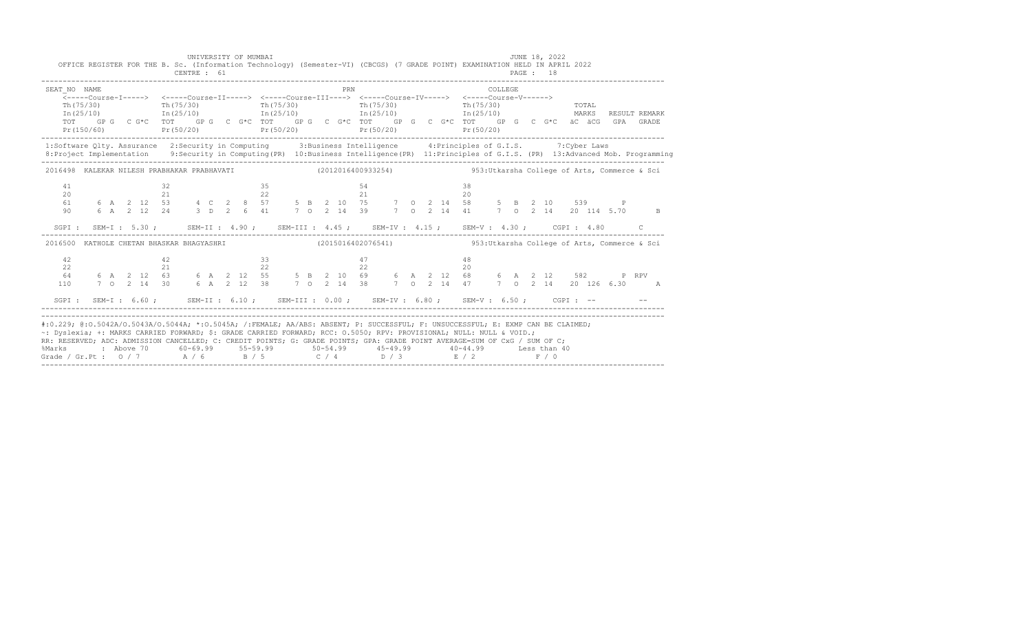|                            | UNIVERSITY OF MUMBAI<br>CENTRE : 61 | OFFICE REGISTER FOR THE B. Sc. (Information Technology) (Semester-VI) (CBCGS) (7 GRADE POINT) EXAMINATION HELD IN APRIL 2022                                                                                                                                                                                                                                                                                                                                                                                                                     | JUNE 18, 2022<br>PAGE: 18                                                                                                                                                                                 |
|----------------------------|-------------------------------------|--------------------------------------------------------------------------------------------------------------------------------------------------------------------------------------------------------------------------------------------------------------------------------------------------------------------------------------------------------------------------------------------------------------------------------------------------------------------------------------------------------------------------------------------------|-----------------------------------------------------------------------------------------------------------------------------------------------------------------------------------------------------------|
| SEAT NO NAME<br>In (25/10) |                                     | <b>PRN</b><br>Th(75/30) Th(75/30) Th(75/30) Th(75/30) Th(75/30) Th(75/30) Th(75/30) Th(75/30) Th(75/30) Th(25/10) Th(25/10)                                                                                                                                                                                                                                                                                                                                                                                                                      | COLLEGE<br>RESULT REMARK<br>TOT GPG C G*C TOT GPG C G*C TOT GPG C G*C TOT GPG C G*C TOT GPG C G*C ÄC ÄCG GPA GRADE<br>$Pr(50/20)$ $Pr(50/20)$ $Pr(50/20)$ $Pr(50/20)$ $Pr(50/20)$ $Pr(50/20)$ $Pr(50/20)$ |
|                            |                                     | 1:Software Qlty. Assurance 2:Security in Computing 3:Business Intelligence 4:Principles of G.I.S. 7:Cyber Laws                                                                                                                                                                                                                                                                                                                                                                                                                                   | 8: Project Implementation 9: Security in Computing (PR) 10: Business Intelligence (PR) 11: Principles of G.I.S. (PR) 13: Advanced Mob. Programming                                                        |
|                            |                                     |                                                                                                                                                                                                                                                                                                                                                                                                                                                                                                                                                  | 2016498 KALEKAR NILESH PRABHAKAR PRABHAVATI (2012016400933254) 953:Utkarsha College of Arts, Commerce & Sci                                                                                               |
| 41<br>20<br>61<br>90       |                                     | SGPI: SEM-I: 5.30; SEM-II: 4.90; SEM-III: 4.45; SEM-IV: 4.15; SEM-V: 4.30; CGPI: 4.80 C                                                                                                                                                                                                                                                                                                                                                                                                                                                          |                                                                                                                                                                                                           |
|                            |                                     |                                                                                                                                                                                                                                                                                                                                                                                                                                                                                                                                                  | 2016500 KATHOLE CHETAN BHASKAR BHAGYASHRI (2015016402076541) 353:Utkarsha College of Arts, Commerce & Sci                                                                                                 |
| 42<br>22<br>64<br>110      |                                     |                                                                                                                                                                                                                                                                                                                                                                                                                                                                                                                                                  | SGPI: SEM-I: 6.60; SEM-II: 6.10; SEM-III: 0.00; SEM-IV: 6.80; SEM-V: 6.50; CGPI: -- - -                                                                                                                   |
| %Marks                     |                                     | #:0.229; @:0.5042A/0.5043A/0.5044A; *:0.5045A; /:FEMALE; AA/ABS: ABSENT; P: SUCCESSFUL; F: UNSUCCESSFUL; E: EXMP CAN BE CLAIMED;<br>~: Dyslexia; +: MARKS CARRIED FORWARD; \$: GRADE CARRIED FORWARD; RCC: 0.5050; RPV: PROVISIONAL; NULL: NULL & VOID.;<br>RR: RESERVED; ADC: ADMISSION CANCELLED; C: CREDIT POINTS; G: GRADE POINTS; GPA: GRADE POINT AVERAGE=SUM OF CxG / SUM OF C;<br>: Above 70    60-69.99    55-59.99     50-54.99     45-49.99     40-44.99     Less than 40<br>Grade / Gr.Pt: $0/7$ $A/6$ $B/5$ $C/4$ $D/3$ $E/2$ $F/0$ |                                                                                                                                                                                                           |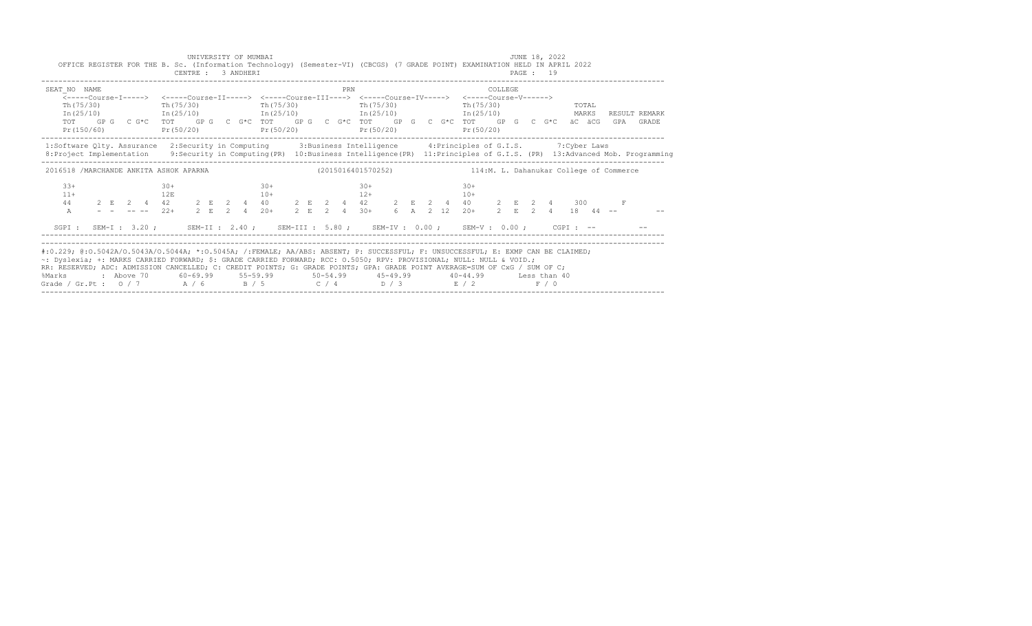| SEAT NO NAME<br>PRN<br><b>COLLEGE</b><br><-----Course-I-----> <-----Course-II-----> <-----Course-III----> <-----Course-IV-----> <-----Course-V------><br>Th(75/30)<br>Th(75/30)<br>Th(75/30)<br>Th (75/30)<br>Th (75/30)<br>TOTAL<br>$In (25/10)$ $In (25/10)$ $In (25/10)$ $In (25/10)$ $In (25/10)$<br>MARKS<br>RESULT REMARK<br>GP G $C$ G*C $T$ OT $G$ GP G $G$ G*C $T$ OT $G$ GP G $G$ G*C $T$ GP $G$ GP $G$ G $G$ G*C $G$ G*C $G$ access $G$<br>TOT<br>GPA |       |
|------------------------------------------------------------------------------------------------------------------------------------------------------------------------------------------------------------------------------------------------------------------------------------------------------------------------------------------------------------------------------------------------------------------------------------------------------------------|-------|
| Pr(150/60)<br>$Pr(50/20)$ $Pr(50/20)$ $Pr(50/20)$<br>Pr(50/20)                                                                                                                                                                                                                                                                                                                                                                                                   | GRADE |
| 1:Software Qlty. Assurance 2:Security in Computing 3:Business Intelligence 4:Principles of G.I.S. 7:Cyber Laws<br>8: Project Implementation 9: Security in Computing (PR) 10: Business Intelligence (PR) 11: Principles of G.I.S. (PR) 13: Advanced Mob. Programming                                                                                                                                                                                             |       |
| 2016518 /MARCHANDE ANKITA ASHOK APARNA<br>(2015016401570252) 114:M. L. Dahanukar College of Commerce                                                                                                                                                                                                                                                                                                                                                             |       |
| $30+$<br>$33+$<br>$30+$<br>$30+$<br>$30+$<br>$12+$<br>$11+$<br>12E<br>$10+$<br>$10+$<br>$2 \t E \t 2 \t 4 \t 42 \t 2 \t E \t 2 \t 4 \t 40 \t 2 \t E \t 2 \t 4 \t 42 \t 2 \t E \t 2 \t 4 \t 40 \t 2 \t E \t 2 \t 4 \t 300$<br>----- $22+ \t 2 \t E \t 2 \t 4 \t 20+ \t 2 \t E \t 2 \t 4 \t 30+ \t 6 \t A \t 2 \t 12 \t 20+ \t 2 \t E \t 2 \t 4 \t 18 \t 44 \t --$<br>44<br>A                                                                                      |       |
| SGPI: SEM-I: 3.20; SEM-II: 2.40; SEM-III: 5.80; SEM-IV: 0.00; SEM-V: 0.00; CGPI: --                                                                                                                                                                                                                                                                                                                                                                              |       |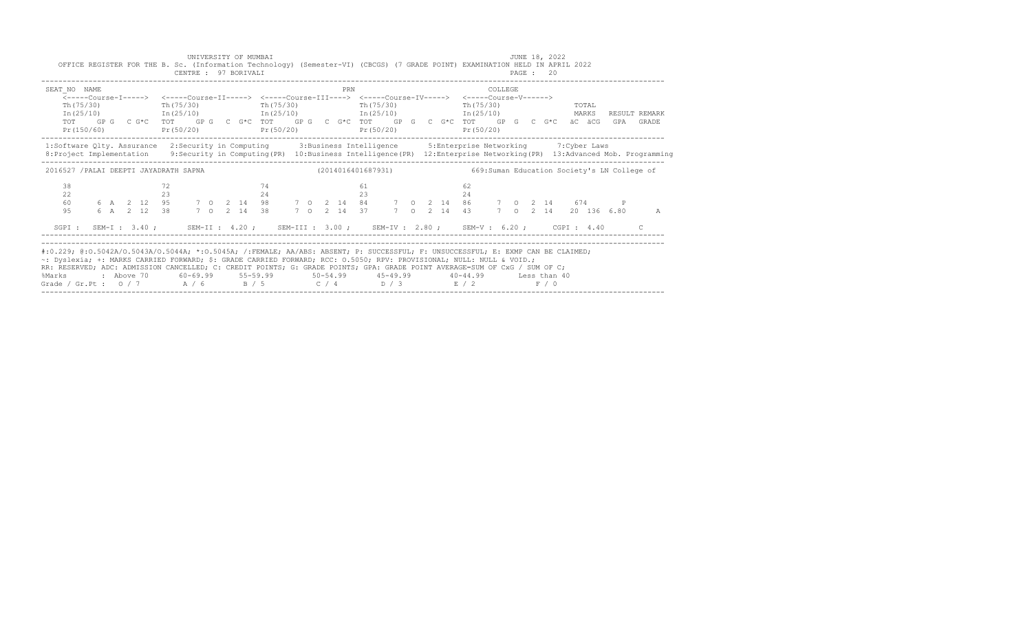|                                                                                                                                                                                                                                                                                                                                                                                                                                                               | UNIVERSITY OF MUMBAI<br>CENTRE : 97 BORIVALI |                                                           |                                                                                                                                         | JUNE 18, 2022<br>OFFICE REGISTER FOR THE B. Sc. (Information Technology) (Semester-VI) (CBCGS) (7 GRADE POINT) EXAMINATION HELD IN APRIL 2022<br>PAGE : 20                                            |                            |
|---------------------------------------------------------------------------------------------------------------------------------------------------------------------------------------------------------------------------------------------------------------------------------------------------------------------------------------------------------------------------------------------------------------------------------------------------------------|----------------------------------------------|-----------------------------------------------------------|-----------------------------------------------------------------------------------------------------------------------------------------|-------------------------------------------------------------------------------------------------------------------------------------------------------------------------------------------------------|----------------------------|
| SEAT NO NAME                                                                                                                                                                                                                                                                                                                                                                                                                                                  | $Th(75/30)$ Th(75/30)                        | PRN<br>Th (75/30)<br>$Pr(150/60)$ $Pr(50/20)$ $Pr(50/20)$ | <-----Course-T-----> <-----Course-TT-----> <-----Course-TTT----> <-----Course-TV-----> <-----Course-V------><br>Th (75/30)<br>Pr(50/20) | COLLEGE.<br>$Th(75/30)$ TOTAL<br>$In (25/10)$ $In (25/10)$ $In (25/10)$ $In (25/10)$ $In (25/10)$ $In (25/10)$<br>TOT GPG CG*C TOT GPG CG*C TOT GPG CG*C TOT GPG CG*C TOT GPG CG*C äCäCG<br>Pr(50/20) | RESULT REMARK<br>GPA GRADE |
| 1:Software Qlty. Assurance 2:Security in Computing 3:Business Intelligence 5:Enterprise Networking 7:Cyber Laws<br>8: Project Implementation 9: Security in Computing (PR) 10: Business Intelligence (PR) 12: Enterprise Networking (PR) 13: Advanced Mob. Programming                                                                                                                                                                                        |                                              |                                                           |                                                                                                                                         |                                                                                                                                                                                                       |                            |
| 2016527 /PALAI DEEPTI JAYADRATH SAPNA (2014016401687931) 669:Suman Education Society's LN College of                                                                                                                                                                                                                                                                                                                                                          |                                              |                                                           |                                                                                                                                         |                                                                                                                                                                                                       |                            |
| 38<br>22<br>60<br>9.5                                                                                                                                                                                                                                                                                                                                                                                                                                         | 72<br>23                                     | 74<br>24                                                  | 61<br>23                                                                                                                                | 62<br>24<br>6 A 2 12 95 7 O 2 14 98 7 O 2 14 84 7 O 2 14 86 7 O 2 14 674 P<br>6 A 2 12 38 7 O 2 14 38 7 O 2 14 37 7 O 2 14 43 7 O 2 14 20 136 6.80<br>7 0 2 14 20 136 6.80                            | A                          |
|                                                                                                                                                                                                                                                                                                                                                                                                                                                               |                                              |                                                           |                                                                                                                                         | SGPI: SEM-I: 3.40; SEM-II: 4.20; SEM-III: 3.00; SEM-IV: 2.80; SEM-V: 6.20; CGPI: 4.40                                                                                                                 |                            |
| #:0.229; @:0.5042A/0.5043A/0.5044A; *:0.5045A; /:FEMALE; AA/ABS: ABSENT; P: SUCCESSFUL; F: UNSUCCESSFUL; E: EXMP CAN BE CLAIMED;<br>~: Dyslexia; +: MARKS CARRIED FORWARD; \$: GRADE CARRIED FORWARD; RCC: 0.5050; RPV: PROVISIONAL; NULL: NULL & VOID.;<br>RR: RESERVED; ADC: ADMISSION CANCELLED; C: CREDIT POINTS; G: GRADE POINTS; GPA: GRADE POINT AVERAGE=SUM OF CxG / SUM OF C;<br>%Marks<br>Grade / Gr.Pt : $0/7$ A / 6 B / 5 C / 4 D / 3 E / 2 F / 0 |                                              |                                                           |                                                                                                                                         | : Above 70    60-69.99    55-59.99     50-54.99     45-49.99     40-44.99     Less than 40                                                                                                            |                            |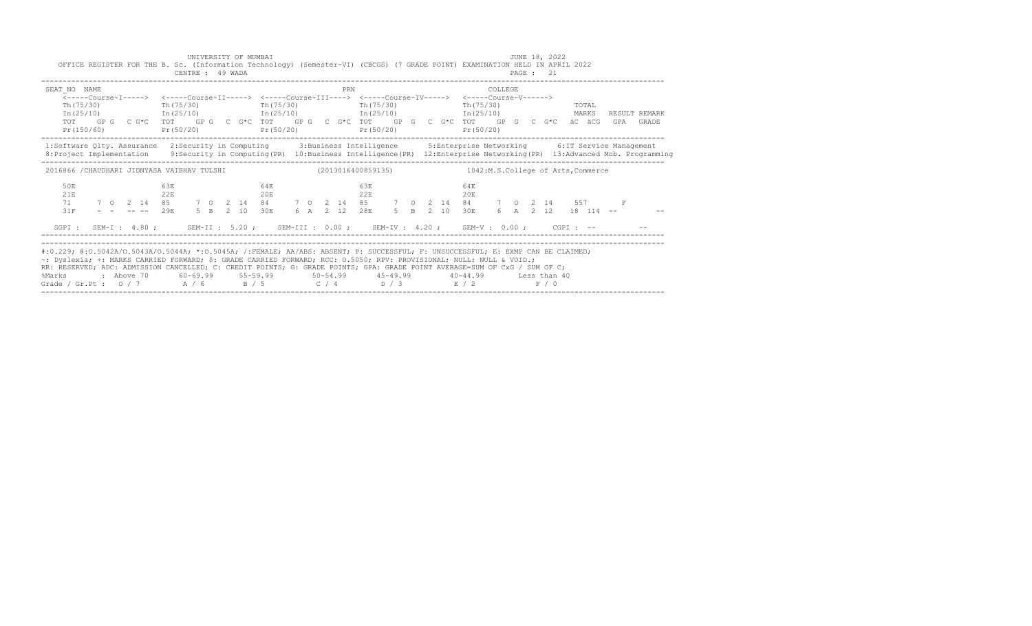|                                                                                                                                                                                                                                                                                                                                                                                                                                                               | UNIVERSITY OF MUMBAI<br>OFFICE REGISTER FOR THE B. Sc. (Information Technology) (Semester-VI) (CBCGS) (7 GRADE POINT) EXAMINATION HELD IN APRIL 2022<br>CENTRE : 49 WADA                                                                                       |            |             | JUNE 18, 2022<br><b>PAGE : 21</b>                    |                                                                                                                                                     |
|---------------------------------------------------------------------------------------------------------------------------------------------------------------------------------------------------------------------------------------------------------------------------------------------------------------------------------------------------------------------------------------------------------------------------------------------------------------|----------------------------------------------------------------------------------------------------------------------------------------------------------------------------------------------------------------------------------------------------------------|------------|-------------|------------------------------------------------------|-----------------------------------------------------------------------------------------------------------------------------------------------------|
| SEAT NO NAME                                                                                                                                                                                                                                                                                                                                                                                                                                                  | Th $(75/30)$ Th $(75/30)$ Th $(75/30)$ Th $(75/30)$<br>$In (25/10)$ $In (25/10)$ $In (25/10)$ $In (25/10)$ $In (25/10)$ $In (25/10)$ MARKS<br>TOT GPG CG*C TOT GPG CG*C TOT GPG CG*C TOT GPG CG*C TOT GPG CG*C äCG äCG<br>$Pr(150/60)$ $Pr(50/20)$ $Pr(50/20)$ | PRN        | Pr(50/20)   | COLLEGE.<br>Th (75/30)<br><b>TOTAL</b><br>Pr (50/20) | RESULT REMARK<br>GPA GRADE                                                                                                                          |
| 1:Software Qlty. Assurance 2:Security in Computing 3:Business Intelligence 5:Enterprise Networking 6:IT Service Management                                                                                                                                                                                                                                                                                                                                    |                                                                                                                                                                                                                                                                |            |             |                                                      | 8: Project Implementation 9: Security in Computing (PR) 10: Business Intelligence (PR) 12: Enterprise Networking (PR) 13: Advanced Mob. Programming |
| 2016866 /CHAUDHARI JIDNYASA VAIBHAV TULSHI (2013016400859135) 1042:M.S.College of Arts, Commerce                                                                                                                                                                                                                                                                                                                                                              |                                                                                                                                                                                                                                                                |            |             |                                                      |                                                                                                                                                     |
| 50 <sub>E</sub><br>21E<br>71<br>31F                                                                                                                                                                                                                                                                                                                                                                                                                           | 6.3E<br>22E<br>7 0 2 14 85 7 0 2 14 84 7 0 2 14 85 7 0 2 14 84 7 0 2 14 557 F<br>$    29E$ 5 B 2 10 30E 6 A 2 12 28E                                                                                                                                           | 64E<br>20E | 6.3E<br>22E | 64E<br>20E<br>5 B 2 10 30E 6 A 2 12 18 114 --        |                                                                                                                                                     |
|                                                                                                                                                                                                                                                                                                                                                                                                                                                               | SGPI: SEM-I: 4.80; SEM-II: 5.20; SEM-III: 0.00; SEM-IV: 4.20; SEM-V: 0.00; CGPI: -- - -                                                                                                                                                                        |            |             |                                                      |                                                                                                                                                     |
| #:0.229; @:0.5042A/0.5043A/0.5044A; *:0.5045A; /:FEMALE; AA/ABS: ABSENT; P: SUCCESSFUL; F: UNSUCCESSFUL; E: EXMP CAN BE CLAIMED;<br>~: Dyslexia; +: MARKS CARRIED FORWARD; \$: GRADE CARRIED FORWARD; RCC: 0.5050; RPV: PROVISIONAL; NULL: NULL & VOID.;<br>RR: RESERVED; ADC: ADMISSION CANCELLED; C: CREDIT POINTS; G: GRADE POINTS; GPA: GRADE POINT AVERAGE=SUM OF CxG / SUM OF C;<br>%Marks<br>Grade / Gr.Pt : $0/7$ A / 6 B / 5 C / 4 D / 3 E / 2 F / 0 | : Above 70    60-69.99    55-59.99     50-54.99     45-49.99     40-44.99     Less than 40                                                                                                                                                                     |            |             |                                                      |                                                                                                                                                     |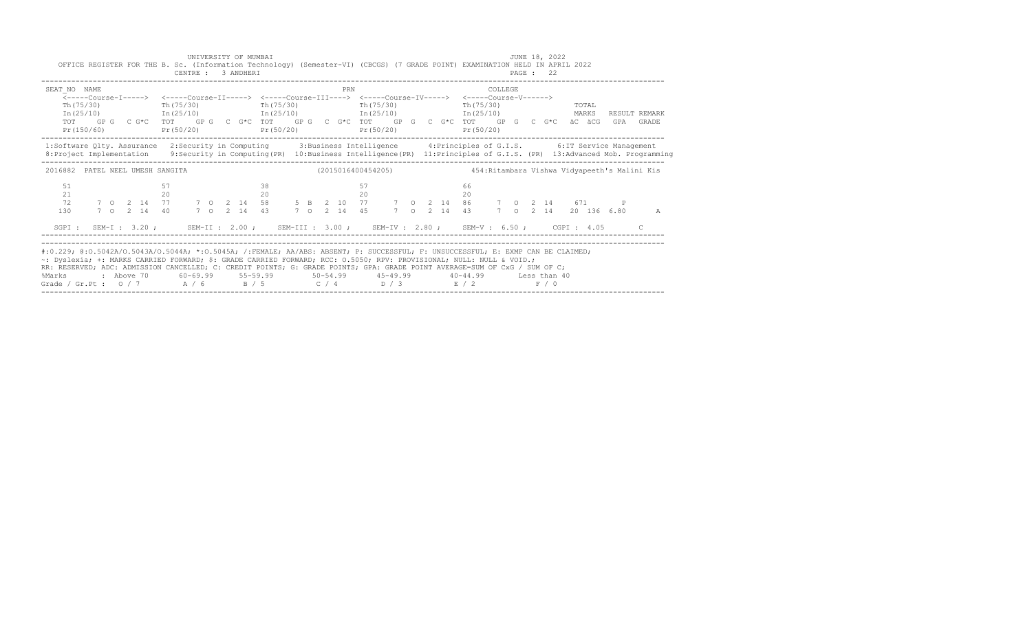| Th (75/30)<br>Th (75/30)<br>Th(75/30)<br>Th(75/30)<br>Th(75/30)<br>TOTAL<br>$In (25/10)$ $In (25/10)$ $In (25/10)$ $In (25/10)$ $In (25/10)$<br>MARKS<br>RESULT REMARK<br>GP G C G*C TOT GP G C G*C TOT GP G C G*C TOT GP G C G*C TOT GP G C G*C äC äCG GPA GRADE<br>TOT<br>Pr(150/60)<br>$Pr(50/20)$ $Pr(50/20)$<br>Pr(50/20)<br>Pr(50/20) |   |
|---------------------------------------------------------------------------------------------------------------------------------------------------------------------------------------------------------------------------------------------------------------------------------------------------------------------------------------------|---|
|                                                                                                                                                                                                                                                                                                                                             |   |
| 1:Software Qlty. Assurance 2:Security in Computing 3:Business Intelligence 4:Principles of G.I.S. 6:IT Service Management<br>8: Project Implementation 9: Security in Computing (PR) 10: Business Intelligence (PR) 11: Principles of G.I.S. (PR) 13: Advanced Mob. Programming                                                             |   |
| 2016882 PATEL NEEL UMESH SANGITA                                                                                                                                                                                                                                                                                                            |   |
| 51<br>57<br>57<br>66<br>21<br>20<br>20<br>20<br>20                                                                                                                                                                                                                                                                                          |   |
| 7 0 2 14 77 7 0 2 14 58 5 B 2 10 77 7 0 2 14 86 7 0 2 14 671 P<br>72<br>7 0 2 14 45 7 0<br>7 0 2 14 20 136 6.80<br>130<br>7 0 2 14 40<br>7 0 2 14 43<br>2 14 43                                                                                                                                                                             | A |
| SGPI: SEM-I: 3.20; SEM-II: 2.00; SEM-III: 3.00; SEM-IV: 2.80; SEM-V: 6.50; CGPI: 4.05                                                                                                                                                                                                                                                       |   |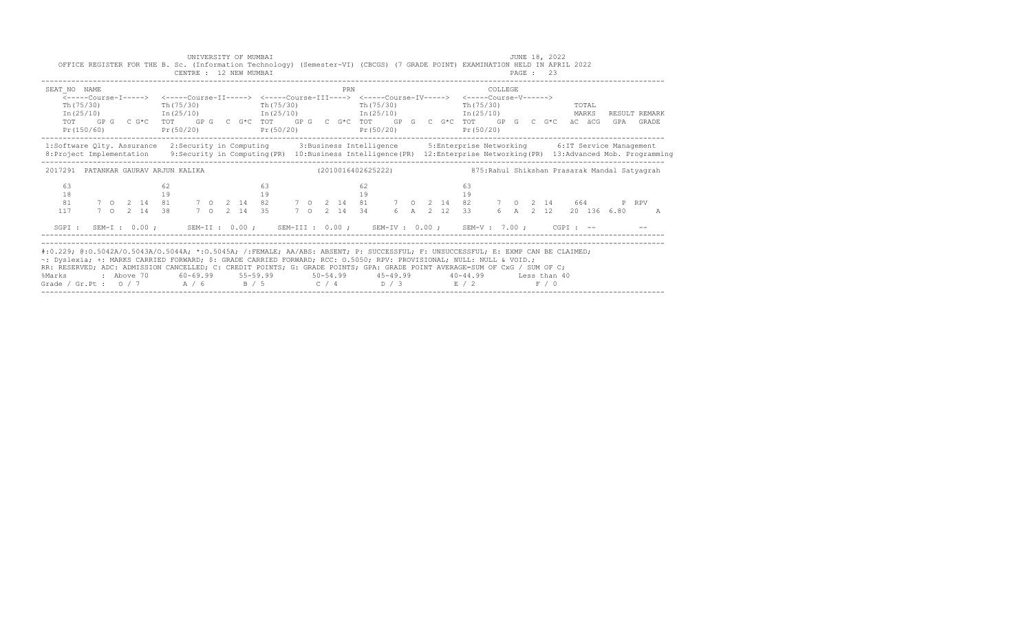|                   |                                                                                                                                                                                                                                                                                   |           | CENTRE : 12 NEW MUMBAI |  |             |                                                        |             |    |            |  |                                                                  |              | PAGE : 23 |  |       |                      |                |  |
|-------------------|-----------------------------------------------------------------------------------------------------------------------------------------------------------------------------------------------------------------------------------------------------------------------------------|-----------|------------------------|--|-------------|--------------------------------------------------------|-------------|----|------------|--|------------------------------------------------------------------|--------------|-----------|--|-------|----------------------|----------------|--|
| SEAT NO NAME      | <-----Course-I-----> <-----Course-II-----> <-----Course-III----> <-----Course-IV-----> <-----Course-V------>                                                                                                                                                                      |           |                        |  |             |                                                        | PRN         |    |            |  |                                                                  | COLLEGE      |           |  |       |                      |                |  |
| Th (75/30)        |                                                                                                                                                                                                                                                                                   | Th(75/30) |                        |  |             | Th (75/30)                                             |             |    | Th (75/30) |  | Th $(75/30)$                                                     |              |           |  | TOTAL |                      |                |  |
|                   | $In (25/10)$ $In (25/10)$ $In (25/10)$ $In (25/10)$ $In (25/10)$                                                                                                                                                                                                                  |           |                        |  |             |                                                        |             |    |            |  |                                                                  |              |           |  | MARKS |                      | RESULT REMARK  |  |
| TOT<br>Pr(150/60) | GP G C G*C TOT GP G C G*C TOT GP G C G*C TOT GP G C G*C TOT GP G C G*C äC äCG GPA GRADE                                                                                                                                                                                           |           |                        |  |             | $Pr(50/20)$ $Pr(50/20)$                                |             |    | Pr(50/20)  |  | Pr(50/20)                                                        |              |           |  |       |                      |                |  |
|                   | 1:Software Qlty. Assurance 2:Security in Computing 3:Business Intelligence 5:Enterprise Networking 6:IT Service Management<br>8: Project Implementation 9: Security in Computing (PR) 10: Business Intelligence (PR) 12: Enterprise Networking (PR) 13: Advanced Mob. Programming |           |                        |  |             |                                                        |             |    |            |  |                                                                  |              |           |  |       |                      |                |  |
|                   | 2017291 PATANKAR GAURAV ARJUN KALIKA                                                                                                                                                                                                                                              |           |                        |  |             |                                                        |             |    |            |  | (2010016402625222) 375: Rahul Shikshan Prasarak Mandal Satyagrah |              |           |  |       |                      |                |  |
| 63                |                                                                                                                                                                                                                                                                                   |           |                        |  | 63          |                                                        |             | 62 |            |  | 63                                                               |              |           |  |       |                      |                |  |
| 18                |                                                                                                                                                                                                                                                                                   | 19        |                        |  |             | 19                                                     |             | 19 |            |  | 19                                                               |              |           |  |       |                      |                |  |
| 81                | 7 0 2 14 81 7 0 2 14 82 7 0 2 14 81 7 0 2 14 82 7 0 2 14 664 P RPV                                                                                                                                                                                                                |           |                        |  |             |                                                        |             |    |            |  |                                                                  |              |           |  |       |                      |                |  |
| 117               | 7 0 2 14 38                                                                                                                                                                                                                                                                       |           |                        |  | 7 0 2 14 35 |                                                        | 7 0 2 14 34 |    |            |  | 6 A 2 12 33                                                      |              |           |  |       | 6 A 2 12 20 136 6.80 | $\overline{A}$ |  |
|                   | SGPI: SEM-I: 0.00; SEM-II: 0.00; SEM-III: 0.00; SEM-IV: 0.00; SEM-V: 7.00; CGPI: --                                                                                                                                                                                               |           |                        |  |             |                                                        |             |    |            |  |                                                                  |              |           |  |       |                      |                |  |
|                   |                                                                                                                                                                                                                                                                                   |           |                        |  |             |                                                        |             |    |            |  |                                                                  |              |           |  |       |                      |                |  |
|                   |                                                                                                                                                                                                                                                                                   |           |                        |  |             |                                                        |             |    |            |  |                                                                  |              |           |  |       |                      |                |  |
|                   |                                                                                                                                                                                                                                                                                   |           |                        |  |             |                                                        |             |    |            |  |                                                                  |              |           |  |       |                      |                |  |
|                   | #:0.229; @:0.5042A/0.5043A/0.5044A; *:0.5045A; /:FEMALE; AA/ABS: ABSENT; P: SUCCESSFUL; F: UNSUCCESSFUL; E: EXMP CAN BE CLAIMED;<br>~: Dyslexia; +: MARKS CARRIED FORWARD; \$: GRADE CARRIED FORWARD; RCC: 0.5050; RPV: PROVISIONAL; NULL: NULL & VOID.;                          |           |                        |  |             |                                                        |             |    |            |  |                                                                  |              |           |  |       |                      |                |  |
| %Marks            | RR: RESERVED; ADC: ADMISSION CANCELLED; C: CREDIT POINTS; G: GRADE POINTS; GPA: GRADE POINT AVERAGE=SUM OF CxG / SUM OF C;<br>: Above 70                                                                                                                                          |           |                        |  |             | $60-69.99$ $55-59.99$ $50-54.99$ $45-49.99$ $40-44.99$ |             |    |            |  |                                                                  | Less than 40 |           |  |       |                      |                |  |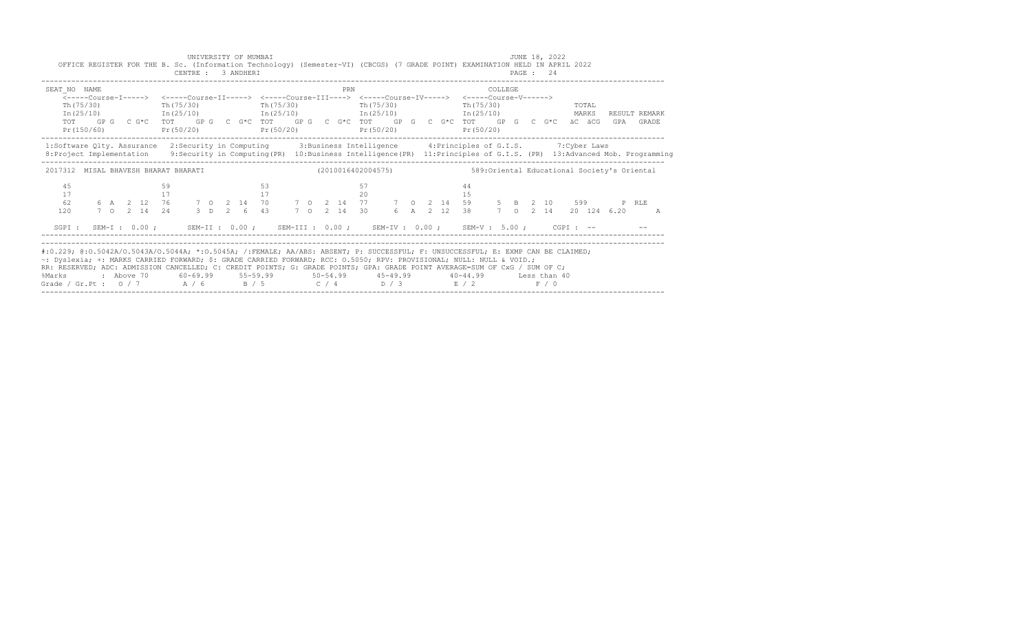|                                                                                                                                                                                                                                                                                                                                                                                                                                                        | OFFICE REGISTER FOR THE B. Sc. (Information Technology) (Semester-VI) (CBCGS) (7 GRADE POINT) EXAMINATION HELD IN APRIL 2022                                                                                                                                       |  |          | CENTRE : 3 ANDHERI        | UNIVERSITY OF MUMBAI |  |          |  |                                     |  |     |           |  |  |  |                         |         |  | JUNE 18, 2022<br>PAGE: 24 |                |  |     |                        |  |
|--------------------------------------------------------------------------------------------------------------------------------------------------------------------------------------------------------------------------------------------------------------------------------------------------------------------------------------------------------------------------------------------------------------------------------------------------------|--------------------------------------------------------------------------------------------------------------------------------------------------------------------------------------------------------------------------------------------------------------------|--|----------|---------------------------|----------------------|--|----------|--|-------------------------------------|--|-----|-----------|--|--|--|-------------------------|---------|--|---------------------------|----------------|--|-----|------------------------|--|
| SEAT NO NAME<br>Th(75/30)<br>Pr(150/60)                                                                                                                                                                                                                                                                                                                                                                                                                | <-----Course-T-----> <-----Course-TT-----> <-----Course-TTT----> <-----Course-TV-----> <-----Course-V------><br>$In (25/10)$ $In (25/10)$ $In (25/10)$ $In (25/10)$ $In (25/10)$<br>TOT GPG CG*C TOT GPG CG*C TOT GPG CG*C TOT GPG CG*C TOT GPG CG*C GPG CG*C äCGG |  |          | $Th(75/30)$ Th(75/30)     |                      |  |          |  | $Pr(50/20)$ $Pr(50/20)$ $Pr(50/20)$ |  | PRN | Th(75/30) |  |  |  | Th (75/30)<br>Pr(50/20) | COLLEGE |  |                           | TOTAL<br>MARKS |  | GPA | RESULT REMARK<br>GRADE |  |
| 1:Software Qlty. Assurance 2:Security in Computing 3:Business Intelligence 4:Principles of G.I.S. 7:Cyber Laws<br>8: Project Implementation 9: Security in Computing (PR) 10: Business Intelligence (PR) 11: Principles of G.I.S. (PR) 13: Advanced Mob. Programming                                                                                                                                                                                   |                                                                                                                                                                                                                                                                    |  |          |                           |                      |  |          |  |                                     |  |     |           |  |  |  |                         |         |  |                           |                |  |     |                        |  |
| 2017312 MISAL BHAVESH BHARAT BHARATI                                                                                                                                                                                                                                                                                                                                                                                                                   |                                                                                                                                                                                                                                                                    |  |          |                           |                      |  |          |  |                                     |  |     |           |  |  |  |                         |         |  |                           |                |  |     |                        |  |
| 45<br>17<br>62<br>120                                                                                                                                                                                                                                                                                                                                                                                                                                  |                                                                                                                                                                                                                                                                    |  | 59<br>17 |                           |                      |  | 53<br>17 |  |                                     |  |     | 57<br>20  |  |  |  | 44<br>15                |         |  |                           |                |  |     | <b>A</b>               |  |
| SGPT :                                                                                                                                                                                                                                                                                                                                                                                                                                                 | SEM-I: 0.00; SEM-II: 0.00; SEM-III: 0.00; SEM-IV: 0.00; SEM-V: 5.00; CGPI: --                                                                                                                                                                                      |  |          |                           |                      |  |          |  |                                     |  |     |           |  |  |  |                         |         |  |                           |                |  |     |                        |  |
| #:0.229; @:0.5042A/0.5043A/0.5044A; *:0.5045A; /:FEMALE; AA/ABS: ABSENT; P: SUCCESSFUL; F: UNSUCCESSFUL; E: EXMP CAN BE CLAIMED;<br>~: Dyslexia; +: MARKS CARRIED FORWARD; \$: GRADE CARRIED FORWARD; RCC: 0.5050; RPV: PROVISIONAL; NULL: NULL & VOID.;<br>RR: RESERVED; ADC: ADMISSION CANCELLED; C: CREDIT POINTS; G: GRADE POINTS; GPA: GRADE POINT AVERAGE=SUM OF CxG / SUM OF C;<br>%Marks<br>Grade / Gr.Pt: $0/7$ A / 6 B / 5 C / 4 D / 3 E / 2 | : Above 70                                                                                                                                                                                                                                                         |  |          | $60 - 69.99$ $55 - 59.99$ |                      |  |          |  | $50 - 54.99$ $45 - 49.99$           |  |     |           |  |  |  | $40 - 44.99$            |         |  | Less than 40<br>F / 0     |                |  |     |                        |  |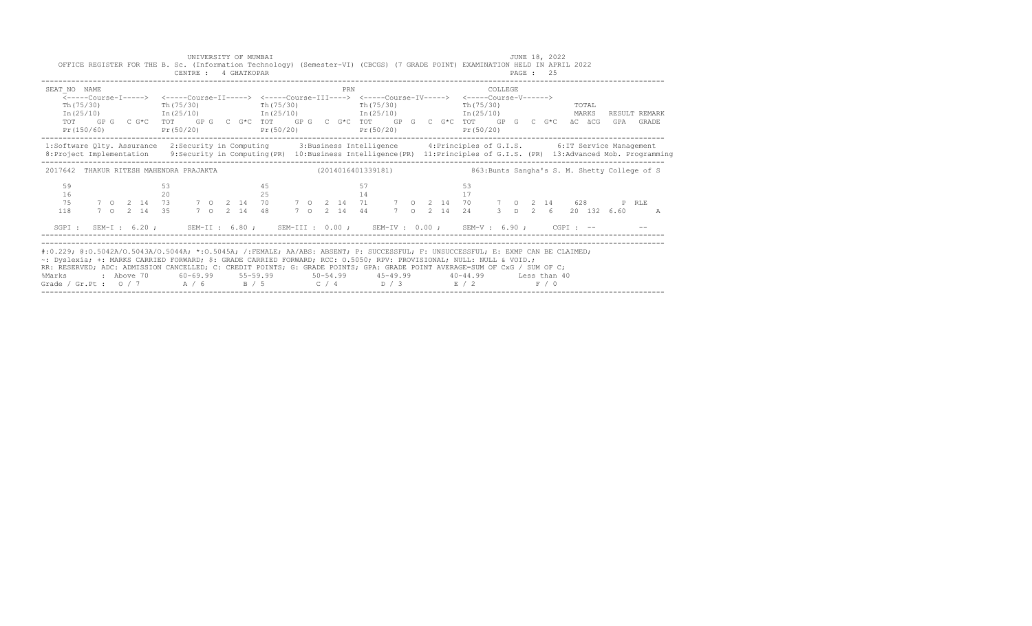| SEAT NO NAME                                                                                                                                                                                                                                                                    |            |             |           |  |           | <-----Course-I-----> <-----Course-II-----> <-----Course-III----> <-----Course-IV-----> <-----Course-V------>               | PRN |    |            |  |                                                        | COLLEGE      |  |  |       |  |                       |  |
|---------------------------------------------------------------------------------------------------------------------------------------------------------------------------------------------------------------------------------------------------------------------------------|------------|-------------|-----------|--|-----------|----------------------------------------------------------------------------------------------------------------------------|-----|----|------------|--|--------------------------------------------------------|--------------|--|--|-------|--|-----------------------|--|
| Th (75/30)                                                                                                                                                                                                                                                                      |            |             | Th(75/30) |  | Th(75/30) |                                                                                                                            |     |    | Th (75/30) |  | Th(75/30)                                              |              |  |  | TOTAL |  |                       |  |
|                                                                                                                                                                                                                                                                                 |            |             |           |  |           | $In (25/10)$ $In (25/10)$ $In (25/10)$ $In (25/10)$ $In (25/10)$                                                           |     |    |            |  |                                                        |              |  |  | MARKS |  | RESULT REMARK         |  |
| TOT                                                                                                                                                                                                                                                                             | Pr(150/60) |             |           |  |           | GP G C G*C TOT GP G C G*C TOT GP G C G*C TOT GP G C G*C TOT GP G C G*C äC äCG GPA GRADE<br>$Pr(50/20)$ $Pr(50/20)$         |     |    | Pr(50/20)  |  | Pr(50/20)                                              |              |  |  |       |  |                       |  |
| 1:Software Qlty. Assurance 2:Security in Computing 3:Business Intelligence 4:Principles of G.I.S. 6:IT Service Management<br>8: Project Implementation 9: Security in Computing (PR) 10: Business Intelligence (PR) 11: Principles of G.I.S. (PR) 13: Advanced Mob. Programming |            |             |           |  |           |                                                                                                                            |     |    |            |  |                                                        |              |  |  |       |  |                       |  |
| 2017642 THAKUR RITESH MAHENDRA PRAJAKTA (2014016401339181) 863:Bunts Sangha's S. M. Shetty College of S                                                                                                                                                                         |            |             |           |  |           |                                                                                                                            |     |    |            |  |                                                        |              |  |  |       |  |                       |  |
| 59                                                                                                                                                                                                                                                                              |            |             |           |  | 4.5       |                                                                                                                            |     | 57 |            |  | 53                                                     |              |  |  |       |  |                       |  |
| 16                                                                                                                                                                                                                                                                              |            |             | 20        |  | 25        |                                                                                                                            |     | 14 |            |  | 17                                                     |              |  |  |       |  |                       |  |
| 75                                                                                                                                                                                                                                                                              |            |             |           |  |           | 7 0 2 14 73 7 0 2 14 70 7 0 2 14 71 7 0 2 14 70 7 0 2 14 628 PRLE                                                          |     |    |            |  |                                                        |              |  |  |       |  |                       |  |
| 118                                                                                                                                                                                                                                                                             |            | 7 0 2 14 35 |           |  |           | 7 0 2 14 48 7 0 2 14 44 7 0 2 14 24                                                                                        |     |    |            |  |                                                        |              |  |  |       |  | 3 D 2 6 20 132 6.60 A |  |
|                                                                                                                                                                                                                                                                                 |            |             |           |  |           | SGPI: SEM-I: 6.20; SEM-II: 6.80; SEM-III: 0.00; SEM-IV: 0.00; SEM-V: 6.90; CGPI: -- - --                                   |     |    |            |  |                                                        |              |  |  |       |  |                       |  |
|                                                                                                                                                                                                                                                                                 |            |             |           |  |           |                                                                                                                            |     |    |            |  |                                                        |              |  |  |       |  |                       |  |
| #:0.229; @:0.5042A/0.5043A/0.5044A; *:0.5045A; /:FEMALE; AA/ABS: ABSENT; P: SUCCESSFUL; F: UNSUCCESSFUL; E: EXMP CAN BE CLAIMED;                                                                                                                                                |            |             |           |  |           |                                                                                                                            |     |    |            |  |                                                        |              |  |  |       |  |                       |  |
| ~: Dyslexia; +: MARKS CARRIED FORWARD; \$: GRADE CARRIED FORWARD; RCC: 0.5050; RPV: PROVISIONAL; NULL: NULL & VOID.;                                                                                                                                                            |            |             |           |  |           |                                                                                                                            |     |    |            |  |                                                        |              |  |  |       |  |                       |  |
|                                                                                                                                                                                                                                                                                 |            |             |           |  |           | RR: RESERVED; ADC: ADMISSION CANCELLED; C: CREDIT POINTS; G: GRADE POINTS; GPA: GRADE POINT AVERAGE=SUM OF CxG / SUM OF C; |     |    |            |  | $60-69.99$ $55-59.99$ $50-54.99$ $45-49.99$ $40-44.99$ | Less than 40 |  |  |       |  |                       |  |
| %Marks                                                                                                                                                                                                                                                                          | : Above 70 |             |           |  |           |                                                                                                                            |     |    |            |  |                                                        |              |  |  |       |  |                       |  |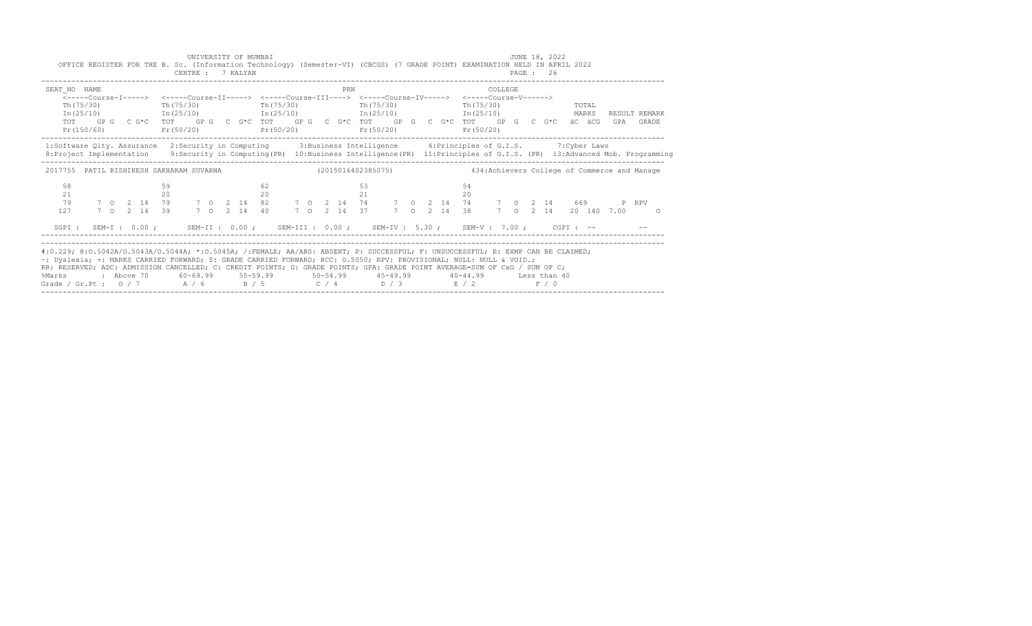| OFFICE REGISTER FOR THE B. Sc. (Information Technology) (Semester-VI) (CBCGS) (7 GRADE POINT) EXAMINATION HELD IN APRIL 2022                                                                                                                                                                                                                                                                                                                                  |  |  |          | CENTRE : 7 KALYAN     |  | UNIVERSITY OF MUMBAI |    |            |  |     |          |                                                                                                                                                                                                                                                                                                                                            |  |  |                    |                      |  | JUNE 18, 2022<br>PAGE : 26 |  |                        |                            |
|---------------------------------------------------------------------------------------------------------------------------------------------------------------------------------------------------------------------------------------------------------------------------------------------------------------------------------------------------------------------------------------------------------------------------------------------------------------|--|--|----------|-----------------------|--|----------------------|----|------------|--|-----|----------|--------------------------------------------------------------------------------------------------------------------------------------------------------------------------------------------------------------------------------------------------------------------------------------------------------------------------------------------|--|--|--------------------|----------------------|--|----------------------------|--|------------------------|----------------------------|
| SEAT NO NAME                                                                                                                                                                                                                                                                                                                                                                                                                                                  |  |  |          | $Th(75/30)$ Th(75/30) |  |                      |    | Th (75/30) |  | PRN |          | <-----Course-T-----> <-----Course-TT-----> <-----Course-TTT----> <-----Course-TV-----> <-----Course-V------><br>Th(75/30)<br>$In (25/10)$ $In (25/10)$ $In (25/10)$ $In (25/10)$ $In (25/10)$ $In (25/10)$<br>TOT GPG CG*C TOT GPG CG*C TOT GPG CG*C TOT GPG CG*C TOT GPG CG*C äCäCG<br>Pr(150/60) Pr(50/20) Pr(50/20) Pr(50/20) Pr(50/20) |  |  |                    | COLLEGE<br>Pr(50/20) |  | $Th(75/30)$ TOTAL          |  |                        | RESULT REMARK<br>GPA GRADE |
| 1:Software Qlty. Assurance 2:Security in Computing 3:Business Intelligence 4:Principles of G.I.S. 7:Cyber Laws<br>8: Project Implementation 9: Security in Computing (PR) 10: Business Intelligence (PR) 11: Principles of G.I.S. (PR) 13: Advanced Mob. Programming                                                                                                                                                                                          |  |  |          |                       |  |                      |    |            |  |     |          |                                                                                                                                                                                                                                                                                                                                            |  |  |                    |                      |  |                            |  |                        |                            |
| 2017755 PATIL RISHIKESH SAKHARAM SUVARNA (2015016402385075) 434: Achievers College of Commerce and Manage                                                                                                                                                                                                                                                                                                                                                     |  |  |          |                       |  |                      |    |            |  |     |          |                                                                                                                                                                                                                                                                                                                                            |  |  |                    |                      |  |                            |  |                        |                            |
| 58<br>21<br>79<br>127                                                                                                                                                                                                                                                                                                                                                                                                                                         |  |  | 59<br>20 |                       |  |                      | 62 | 20         |  |     | 53<br>21 |                                                                                                                                                                                                                                                                                                                                            |  |  | 54<br>$20^{\circ}$ |                      |  |                            |  | 7 0 2 14 20 140 7.00 0 |                            |
| SGPI: SEM-I: 0.00; SEM-II: 0.00; SEM-III: 0.00; SEM-IV: 5.30; SEM-V: 7.00; CGPI: --                                                                                                                                                                                                                                                                                                                                                                           |  |  |          |                       |  |                      |    |            |  |     |          |                                                                                                                                                                                                                                                                                                                                            |  |  |                    |                      |  |                            |  |                        |                            |
| #:0.229; @:0.5042A/0.5043A/0.5044A; *:0.5045A; /:FEMALE; AA/ABS: ABSENT; P: SUCCESSFUL; F: UNSUCCESSFUL; E: EXMP CAN BE CLAIMED;<br>~: Dyslexia; +: MARKS CARRIED FORWARD; \$: GRADE CARRIED FORWARD; RCC: 0.5050; RPV: PROVISIONAL; NULL: NULL & VOID.;<br>RR: RESERVED; ADC: ADMISSION CANCELLED; C: CREDIT POINTS; G: GRADE POINTS; GPA: GRADE POINT AVERAGE=SUM OF CxG / SUM OF C;<br>%Marks<br>Grade / Gr.Pt : $0/7$ $A/6$ $B/5$ $C/4$ $D/3$ $E/2$ $F/0$ |  |  |          |                       |  |                      |    |            |  |     |          | : Above 70    60-69.99    55-59.99     50-54.99     45-49.99     40-44.99     Less than 40                                                                                                                                                                                                                                                 |  |  |                    |                      |  |                            |  |                        |                            |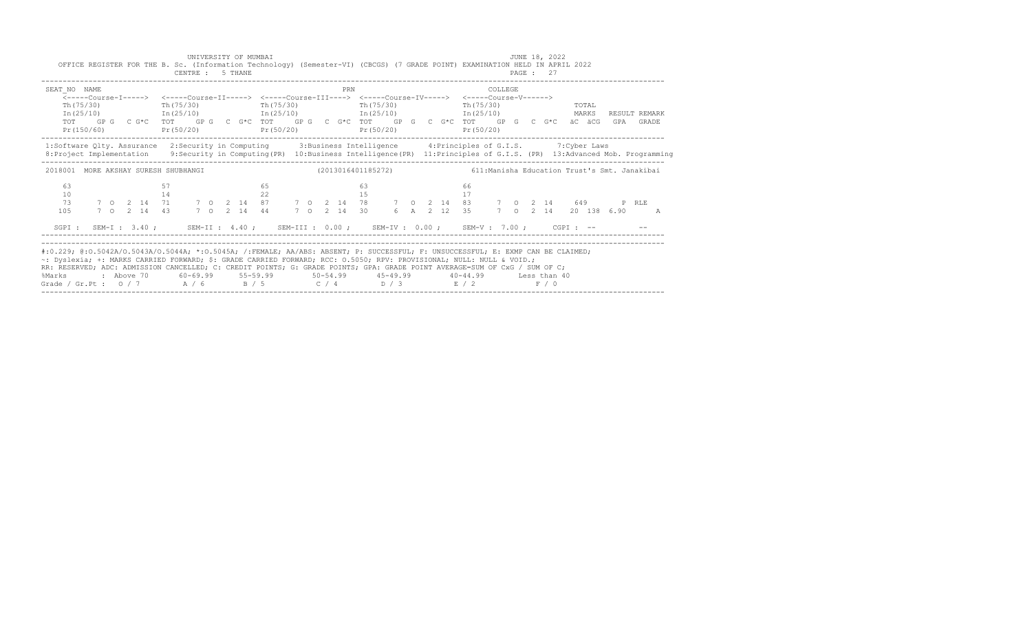| OFFICE REGISTER FOR THE B. Sc. (Information Technology) (Semester-VI) (CBCGS) (7 GRADE POINT) EXAMINATION HELD IN APRIL 2022                                                                                                                                                                                                                                                                                                                                  |  |  |          | CENTRE : 5 THANE        |  | UNIVERSITY OF MUMBAI |    |            |  |  |     |                                                                                            |  |  |          |                         |         |  | JUNE 18, 2022<br>PAGE : 27 |  |     |                        |  |
|---------------------------------------------------------------------------------------------------------------------------------------------------------------------------------------------------------------------------------------------------------------------------------------------------------------------------------------------------------------------------------------------------------------------------------------------------------------|--|--|----------|-------------------------|--|----------------------|----|------------|--|--|-----|--------------------------------------------------------------------------------------------|--|--|----------|-------------------------|---------|--|----------------------------|--|-----|------------------------|--|
| SEAT NO NAME<br><-----Course-T-----> <-----Course-TT-----> <-----Course-TTT----> <-----Course-TV-----> <-----Course-V------><br>$Th(75/30)$ Th(75/30)<br>$\text{In (25/10)}$ $\text{In (25/10)}$ $\text{In (25/10)}$ $\text{In (25/11)}$ $\text{In (25/11)}$ $\text{In (25/12)}$ $\text{MARKS}$<br>TOT GPG CG*C TOT GPG CG*C TOT GPG CG*C TOT GPG CG*C TOT GPG CG*C äCäCG<br>Pr(150/60)                                                                       |  |  |          | $Pr(50/20)$ $Pr(50/20)$ |  |                      |    | Th (75/30) |  |  | PRN | Th (75/30)<br>Pr(50/20)                                                                    |  |  |          | Th (75/30)<br>Pr(50/20) | COLLEGE |  | <b>TOTAL</b>               |  | GPA | RESULT REMARK<br>GRADE |  |
| 1:Software Qlty. Assurance 2:Security in Computing 3:Business Intelligence 4:Principles of G.I.S. 7:Cyber Laws<br>8: Project Implementation 9: Security in Computing (PR) 10: Business Intelligence (PR) 11: Principles of G.I.S. (PR) 13: Advanced Mob. Programming                                                                                                                                                                                          |  |  |          |                         |  |                      |    |            |  |  |     |                                                                                            |  |  |          |                         |         |  |                            |  |     |                        |  |
| 2018001 MORE AKSHAY SURESH SHUBHANGI (2013016401185272) 611:Manisha Education Trust's Smt. Janakibai                                                                                                                                                                                                                                                                                                                                                          |  |  |          |                         |  |                      |    |            |  |  |     |                                                                                            |  |  |          |                         |         |  |                            |  |     |                        |  |
| 63<br>10<br>73<br>105                                                                                                                                                                                                                                                                                                                                                                                                                                         |  |  | 57<br>14 |                         |  |                      | 65 | 22         |  |  |     | 63<br>15                                                                                   |  |  | 66<br>17 |                         |         |  |                            |  |     | $\overline{A}$         |  |
| SGPI: SEM-I: 3.40; SEM-II: 4.40; SEM-III: 0.00; SEM-IV: 0.00; SEM-V: 7.00; CGPI: --                                                                                                                                                                                                                                                                                                                                                                           |  |  |          |                         |  |                      |    |            |  |  |     |                                                                                            |  |  |          |                         |         |  |                            |  |     |                        |  |
| #:0.229; @:0.5042A/0.5043A/0.5044A; *:0.5045A; /:FEMALE; AA/ABS: ABSENT; P: SUCCESSFUL; F: UNSUCCESSFUL; E: EXMP CAN BE CLAIMED;<br>~: Dyslexia; +: MARKS CARRIED FORWARD; \$: GRADE CARRIED FORWARD; RCC: 0.5050; RPV: PROVISIONAL; NULL: NULL & VOID.;<br>RR: RESERVED; ADC: ADMISSION CANCELLED; C: CREDIT POINTS; G: GRADE POINTS; GPA: GRADE POINT AVERAGE=SUM OF CxG / SUM OF C;<br>%Marks<br>Grade / Gr.Pt : $0/7$ A / 6 B / 5 C / 4 D / 3 E / 2 F / 0 |  |  |          |                         |  |                      |    |            |  |  |     | : Above 70    60-69.99    55-59.99     50-54.99     45-49.99     40-44.99     Less than 40 |  |  |          |                         |         |  |                            |  |     |                        |  |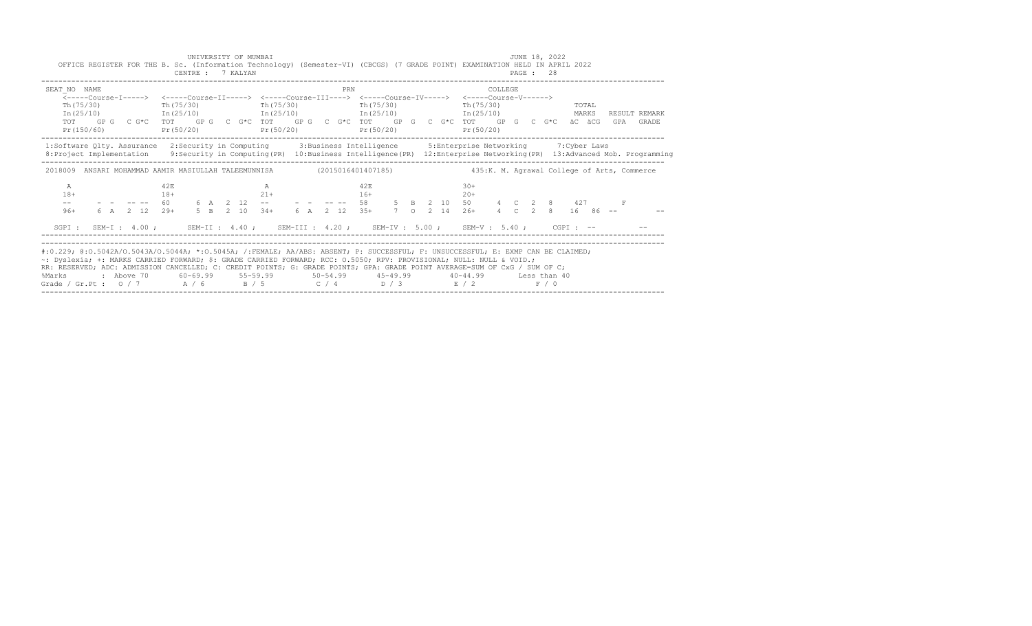|                                                                                                                                                                                                                                                                                                                                                                                                                                                        | OFFICE REGISTER FOR THE B. Sc. (Information Technology) (Semester-VI) (CBCGS) (7 GRADE POINT) EXAMINATION HELD IN APRIL 2022                           |                                                                                                                                                                      |              | CENTRE : 7 KALYAN                           |  | UNIVERSITY OF MUMBAI |  |                  |              |  |  |                |           |         | PAGE: 28 | JUNE 18, 2022         |                |                      |       |  |
|--------------------------------------------------------------------------------------------------------------------------------------------------------------------------------------------------------------------------------------------------------------------------------------------------------------------------------------------------------------------------------------------------------------------------------------------------------|--------------------------------------------------------------------------------------------------------------------------------------------------------|----------------------------------------------------------------------------------------------------------------------------------------------------------------------|--------------|---------------------------------------------|--|----------------------|--|------------------|--------------|--|--|----------------|-----------|---------|----------|-----------------------|----------------|----------------------|-------|--|
| SEAT NO NAME<br>TOT                                                                                                                                                                                                                                                                                                                                                                                                                                    | <-----Course-T-----> <-----Course-TT-----> <-----Course-TTT----> <-----Course-TV-----> <-----Course-V------><br>Th (75/30)<br>In (25/10)<br>Pr(150/60) | $Th(75/30)$ Th(75/30)<br>$\text{In (25/10)}$ $\text{In (25/10)}$ $\text{In (25/10)}$ $\text{In (25/11)}$                                                             |              | $Pr(50/20)$ $Pr(50/20)$ $Pr(50/20)$         |  |                      |  | PRN<br>Th(75/30) |              |  |  | Th (75/30)     | Pr(50/20) | COLLEGE |          |                       | TOTAL<br>MARKS | RESULT REMARK<br>GPA | GRADE |  |
| 1:Software Qlty. Assurance 2:Security in Computing 3:Business Intelligence 5:Enterprise Networking 7:Cyber Laws<br>8: Project Implementation 9: Security in Computing (PR) 10: Business Intelligence (PR) 12: Enterprise Networking (PR) 13: Advanced Mob. Programming                                                                                                                                                                                 |                                                                                                                                                        |                                                                                                                                                                      |              |                                             |  |                      |  |                  |              |  |  |                |           |         |          |                       |                |                      |       |  |
| 2018009 ANSARI MOHAMMAD AAMIR MASIULLAH TALEEMUNNISA (2015016401407185) 435:K.M. Aqrawal College of Arts, Commerce                                                                                                                                                                                                                                                                                                                                     |                                                                                                                                                        |                                                                                                                                                                      |              |                                             |  |                      |  |                  |              |  |  |                |           |         |          |                       |                |                      |       |  |
| A<br>$18+$<br>$- -$<br>$96+$                                                                                                                                                                                                                                                                                                                                                                                                                           |                                                                                                                                                        | $-$ - -- -- 60<br>6 A 2 12 -- -- -- -- -- 58<br>5 B 2 10 50<br>4 C 2 8<br>427<br>6 A 2 12 29+<br>5 B 2 10 34+<br>6 A 2 12 35+<br>7 O 2 14 26+<br>4 C 2 8<br>16 86 -- | 42E<br>$18+$ |                                             |  | A<br>$21+$           |  |                  | 42E<br>$16+$ |  |  | $30+$<br>$20+$ |           |         |          | $4$ C 2 8 16 86 --    |                |                      |       |  |
| SGPT :                                                                                                                                                                                                                                                                                                                                                                                                                                                 |                                                                                                                                                        | SEM-I: $4.00$ ; SEM-II: $4.40$ ; SEM-III: $4.20$ ; SEM-IV: $5.00$ ; SEM-V: $5.40$ ;                                                                                  |              |                                             |  |                      |  |                  |              |  |  |                |           |         |          | $CGPT:$ $--$          |                |                      |       |  |
| #:0.229; @:0.5042A/0.5043A/0.5044A; *:0.5045A; /:FEMALE; AA/ABS: ABSENT; P: SUCCESSFUL; F: UNSUCCESSFUL; E: EXMP CAN BE CLAIMED;<br>~: Dyslexia; +: MARKS CARRIED FORWARD; \$: GRADE CARRIED FORWARD; RCC: 0.5050; RPV: PROVISIONAL; NULL: NULL & VOID.;<br>RR: RESERVED; ADC: ADMISSION CANCELLED; C: CREDIT POINTS; G: GRADE POINTS; GPA: GRADE POINT AVERAGE=SUM OF CxG / SUM OF C;<br>%Marks<br>Grade / Gr.Pt: $0/7$ $A/6$ $B/5$ $C/4$ $D/3$ $E/2$ |                                                                                                                                                        | : Above 70                                                                                                                                                           |              | $60-69.99$ $55-59.99$ $50-54.99$ $45-49.99$ |  |                      |  |                  |              |  |  | $40 - 44.99$   |           |         |          | Less than 40<br>F / 0 |                |                      |       |  |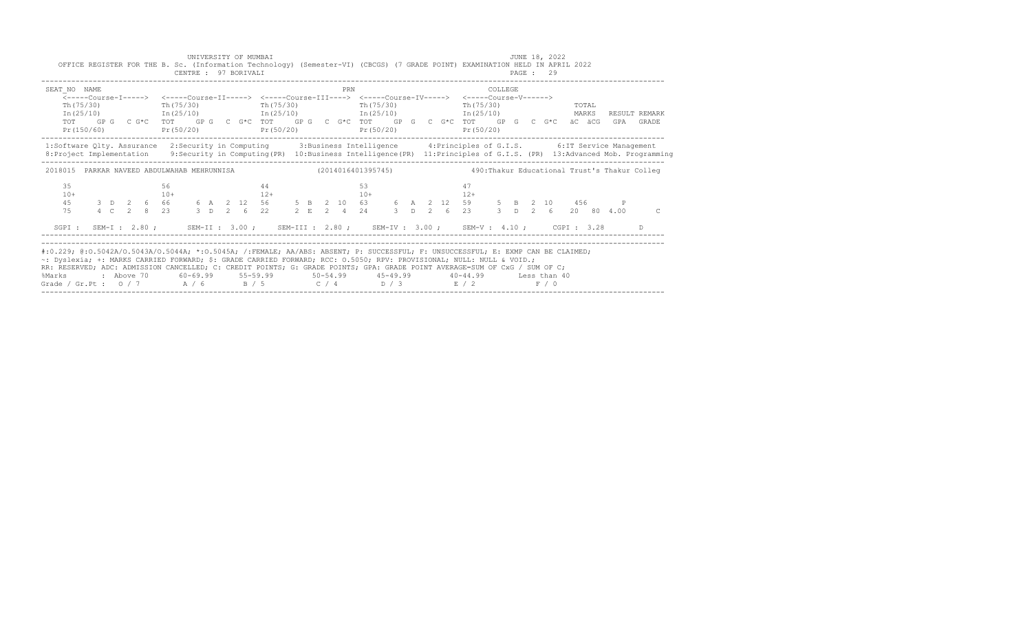| OFFICE REGISTER FOR THE B. Sc. (Information Technology) (Semester-VI) (CBCGS) (7 GRADE POINT) EXAMINATION HELD IN APRIL 2022                                                                                                                                                                                                                                                                                                                                  |  |  |             | CENTRE : 97 BORIVALI                                                                                                                                                                                                                                                            |  | UNIVERSITY OF MUMBAI |       |  |     |             |  |  |             |         |  | JUNE 18, 2022<br><b>PAGE : 29</b> |                  |  |                            |
|---------------------------------------------------------------------------------------------------------------------------------------------------------------------------------------------------------------------------------------------------------------------------------------------------------------------------------------------------------------------------------------------------------------------------------------------------------------|--|--|-------------|---------------------------------------------------------------------------------------------------------------------------------------------------------------------------------------------------------------------------------------------------------------------------------|--|----------------------|-------|--|-----|-------------|--|--|-------------|---------|--|-----------------------------------|------------------|--|----------------------------|
| SEAT NO NAME                                                                                                                                                                                                                                                                                                                                                                                                                                                  |  |  |             | Th(75/30) Th(75/30) Th(75/30) Th(75/30) Th(75/30)<br>$In (25/10)$ $In (25/10)$ $In (25/10)$ $In (25/10)$ $In (25/10)$ $In (25/10)$ MARKS<br>TOT GPG CG*C TOT GPG CG*C TOT GPG CG*C TOT GPG CG*C TOT GPG CG*C äCG<br>$Pr(50/20)$ $Pr(50/20)$ $Pr(50/20)$ $Pr(50/20)$ $Pr(50/20)$ |  |                      |       |  | PRN |             |  |  | Pr (50/20)  | COLLEGE |  |                                   | Th (75/30) TOTAL |  | RESULT REMARK<br>GPA GRADE |
| 1:Software Qlty. Assurance 2:Security in Computing 3:Business Intelligence 4:Principles of G.I.S. 6:IT Service Management<br>8: Project Implementation 9: Security in Computing (PR) 10: Business Intelligence (PR) 11: Principles of G.I.S. (PR) 13: Advanced Mob. Programming                                                                                                                                                                               |  |  |             |                                                                                                                                                                                                                                                                                 |  |                      |       |  |     |             |  |  |             |         |  |                                   |                  |  |                            |
| 2018015 PARKAR NAVEED ABDULWAHAB MEHRUNNISA (2014016401395745) 490:Thakur Educational Trust's Thakur Colleq                                                                                                                                                                                                                                                                                                                                                   |  |  |             |                                                                                                                                                                                                                                                                                 |  |                      |       |  |     |             |  |  |             |         |  |                                   |                  |  |                            |
| 35<br>$10+$<br>45<br>7.5                                                                                                                                                                                                                                                                                                                                                                                                                                      |  |  | 56<br>$10+$ | $3$ D 2 6 66 6 A 2 12 56 5 B 2 10 63 6 A 2 12 59 5 B 2 10 456 P<br>4 C 2 8 23 3 D 2 6 22 2 E 2 4 24 3 D 2 6 23 3 D 2 6 20 80 4.00                                                                                                                                               |  | 44                   | $12+$ |  |     | 53<br>$10+$ |  |  | 47<br>$12+$ |         |  |                                   |                  |  | $\subset$                  |
| SGPI: SEM-I: 2.80; SEM-II: 3.00; SEM-III: 2.80; SEM-IV: 3.00; SEM-V: 4.10; CGPI: 3.28 D                                                                                                                                                                                                                                                                                                                                                                       |  |  |             |                                                                                                                                                                                                                                                                                 |  |                      |       |  |     |             |  |  |             |         |  |                                   |                  |  |                            |
| #:0.229; @:0.5042A/0.5043A/0.5044A; *:0.5045A; /:FEMALE; AA/ABS: ABSENT; P: SUCCESSFUL; F: UNSUCCESSFUL; E: EXMP CAN BE CLAIMED;<br>~: Dyslexia; +: MARKS CARRIED FORWARD; \$: GRADE CARRIED FORWARD; RCC: 0.5050; RPV: PROVISIONAL; NULL: NULL & VOID.;<br>RR: RESERVED; ADC: ADMISSION CANCELLED; C: CREDIT POINTS; G: GRADE POINTS; GPA: GRADE POINT AVERAGE=SUM OF CxG / SUM OF C;<br>%Marks<br>Grade / Gr.Pt : $0/7$ $A/6$ $B/5$ $C/4$ $D/3$ $E/2$ $F/0$ |  |  |             | 2 Above 70    60-69.99    55-59.99     50-54.99     45-49.99     40-44.99     Less than 40                                                                                                                                                                                      |  |                      |       |  |     |             |  |  |             |         |  |                                   |                  |  |                            |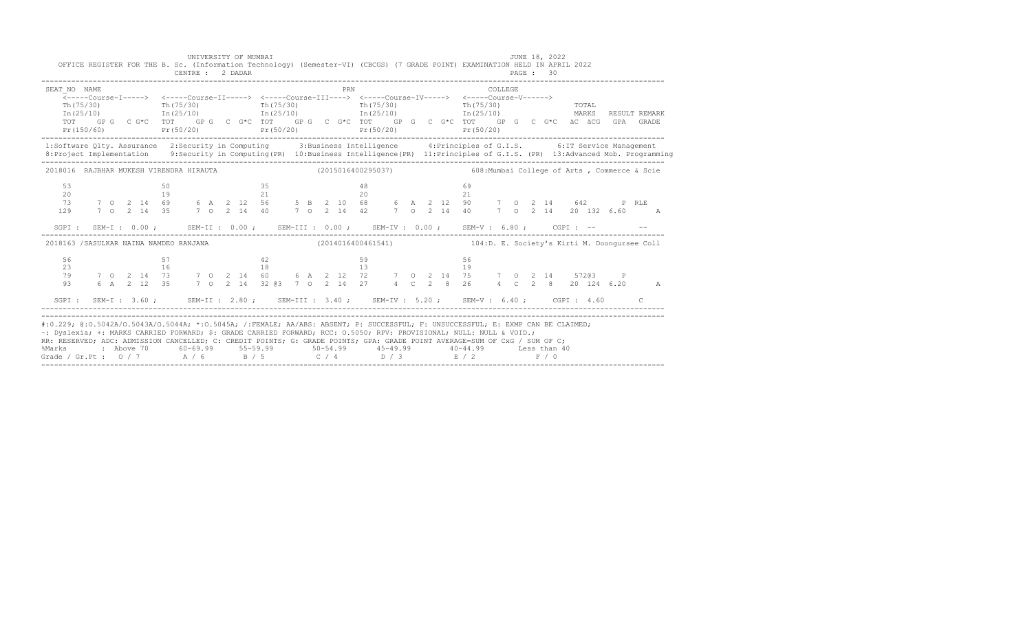|                                   | UNIVERSITY OF MUMBAI<br>CENTRE : 2 DADAR | OFFICE REGISTER FOR THE B. Sc. (Information Technology) (Semester-VI) (CBCGS) (7 GRADE POINT) EXAMINATION HELD IN APRIL 2022                                                                                                                                                                                                                                                                                                                                                                                                                     |    | JUNE 18, 2022<br>PAGE: 30 |               |
|-----------------------------------|------------------------------------------|--------------------------------------------------------------------------------------------------------------------------------------------------------------------------------------------------------------------------------------------------------------------------------------------------------------------------------------------------------------------------------------------------------------------------------------------------------------------------------------------------------------------------------------------------|----|---------------------------|---------------|
| SEAT NO NAME<br>In (25/10)<br>TOT |                                          | <b>PRN</b><br>Th(75/30) Th(75/30) Th(75/30) Th(75/30) Th(75/30) Th(75/30) Th(75/30) Th(75/30) Th(25/10) Th(25/10) Th(25/10)<br>GP G C G*C TOT GP G C G*C TOT GP G C G*C TOT GP G C G*C TOT GP G C G*C äC äCG GPA GRADE                                                                                                                                                                                                                                                                                                                           |    | COLLEGE                   | RESULT REMARK |
|                                   |                                          | 1:Software Qlty. Assurance 2:Security in Computing 3:Business Intelligence 4:Principles of G.I.S. 6:IT Service Management<br>8: Project Implementation 9: Security in Computing (PR) 10: Business Intelligence (PR) 11: Principles of G.I.S. (PR) 13: Advanced Mob. Programming                                                                                                                                                                                                                                                                  |    |                           |               |
|                                   |                                          | 2018016 RAJBHAR MUKESH VIRENDRA HIRAUTA (2015016400295037) 608: Mumbai College of Arts , Commerce & Scie                                                                                                                                                                                                                                                                                                                                                                                                                                         |    |                           |               |
| 53<br>20<br>73<br>129             |                                          | SGPI: SEM-I: 0.00; SEM-II: 0.00; SEM-III: 0.00; SEM-IV: 0.00; SEM-V: 6.80; CGPI: -- - -                                                                                                                                                                                                                                                                                                                                                                                                                                                          |    |                           |               |
|                                   |                                          | 2018163 /SASULKAR NAINA NAMDEO RANJANA (2014016400461541) 104:D. E. Society's Kirti M. Doonqursee Coll                                                                                                                                                                                                                                                                                                                                                                                                                                           |    |                           |               |
| 56<br>23<br>79<br>93              | 57<br>42                                 | 59                                                                                                                                                                                                                                                                                                                                                                                                                                                                                                                                               | 56 |                           | A             |
|                                   |                                          |                                                                                                                                                                                                                                                                                                                                                                                                                                                                                                                                                  |    |                           |               |
| %Marks                            |                                          | #:0.229; @:0.5042A/0.5043A/0.5044A; *:0.5045A; /:FEMALE; AA/ABS: ABSENT; P: SUCCESSFUL; F: UNSUCCESSFUL; E: EXMP CAN BE CLAIMED;<br>~: Dyslexia; +: MARKS CARRIED FORWARD; \$: GRADE CARRIED FORWARD; RCC: 0.5050; RPV: PROVISIONAL; NULL: NULL & VOID.;<br>RR: RESERVED; ADC: ADMISSION CANCELLED; C: CREDIT POINTS; G: GRADE POINTS; GPA: GRADE POINT AVERAGE=SUM OF CxG / SUM OF C;<br>: Above 70    60-69.99    55-59.99     50-54.99     45-49.99     40-44.99     Less than 40<br>Grade / Gr.Pt: $0/7$ $A/6$ $B/5$ $C/4$ $D/3$ $E/2$ $F/0$ |    |                           |               |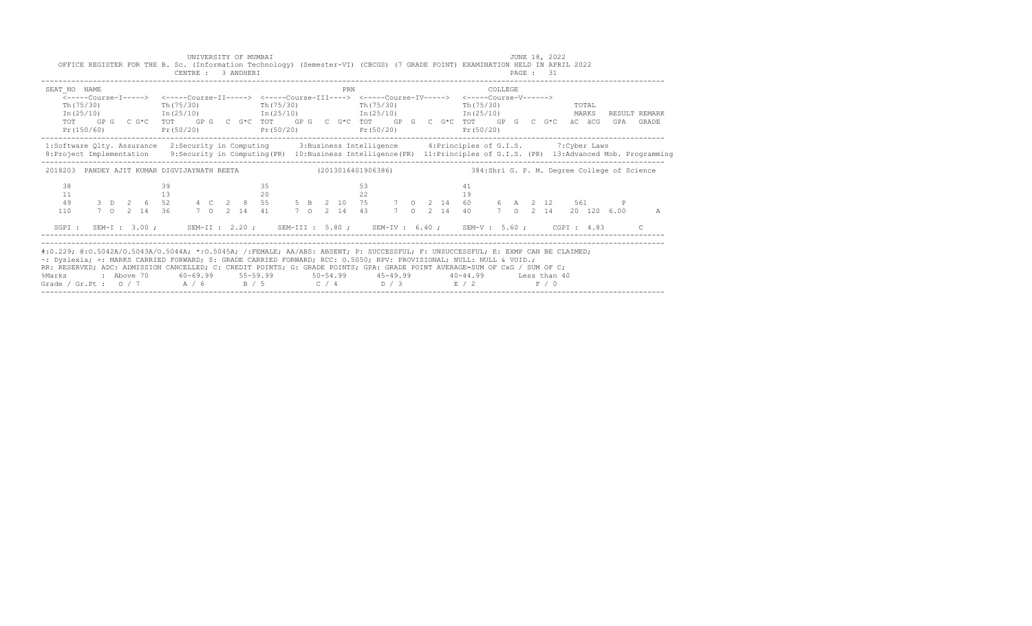| OFFICE REGISTER FOR THE B. Sc. (Information Technology) (Semester-VI) (CBCGS) (7 GRADE POINT) EXAMINATION HELD IN APRIL 2022                                                                                                                                                                                                                                                                                                                                                                                                                                 |  |          | CENTRE : 3 ANDHERI |  | UNIVERSITY OF MUMBAI |            |  |     |          |            |  |  |                         |         |  | JUNE 18, 2022<br><b>PAGE : 31</b> |                      |     |                        |
|--------------------------------------------------------------------------------------------------------------------------------------------------------------------------------------------------------------------------------------------------------------------------------------------------------------------------------------------------------------------------------------------------------------------------------------------------------------------------------------------------------------------------------------------------------------|--|----------|--------------------|--|----------------------|------------|--|-----|----------|------------|--|--|-------------------------|---------|--|-----------------------------------|----------------------|-----|------------------------|
| SEAT NO NAME<br><-----Course-T-----> <-----Course-TT-----> <-----Course-TTT----> <-----Course-TV-----> <-----Course-V------><br>$Th(75/30)$ Th( $75/30$ )<br>$\text{In (25/10)}$ $\text{In (25/10)}$ $\text{In (25/10)}$ $\text{In (25/11)}$ $\text{In (25/11)}$ $\text{In (25/12)}$ $\text{MARKS}$<br>TOT GP G C G*C TOT GP G C G*C TOT GP G C G*C TOT GP G C G*C TOT GP G C G*C äC äCG<br>$Pr(150/60)$ $Pr(50/20)$ $Pr(50/20)$ $Pr(50/20)$                                                                                                                 |  |          |                    |  |                      | Th (75/30) |  | PRN |          | Th (75/30) |  |  | Th (75/30)<br>Pr(50/20) | COLLEGE |  | TOTAL                             |                      | GPA | RESULT REMARK<br>GRADE |
| 1:Software Qlty. Assurance 2:Security in Computing 3:Business Intelligence 4:Principles of G.I.S. 7:Cyber Laws<br>8: Project Implementation 9: Security in Computing (PR) 10: Business Intelligence (PR) 11: Principles of G.I.S. (PR) 13: Advanced Mob. Programming                                                                                                                                                                                                                                                                                         |  |          |                    |  |                      |            |  |     |          |            |  |  |                         |         |  |                                   |                      |     |                        |
| 2018203 PANDEY AJIT KUMAR DIGVIJAYNATH REETA (2013016401906386) 384:Shri G. P. M. Degree College of Science                                                                                                                                                                                                                                                                                                                                                                                                                                                  |  |          |                    |  |                      |            |  |     |          |            |  |  |                         |         |  |                                   |                      |     |                        |
| 38<br>11<br>49<br>110                                                                                                                                                                                                                                                                                                                                                                                                                                                                                                                                        |  | 39<br>13 |                    |  |                      | 35<br>20   |  |     | 53<br>22 |            |  |  | 41<br>19                |         |  |                                   | 7 0 2 14 20 120 6.00 |     | A                      |
| SGPI: SEM-I: 3.00; SEM-II: 2.20; SEM-III: 5.80; SEM-IV: 6.40; SEM-V: 5.60; CGPI: 4.83                                                                                                                                                                                                                                                                                                                                                                                                                                                                        |  |          |                    |  |                      |            |  |     |          |            |  |  |                         |         |  |                                   |                      |     |                        |
| #:0.229; @:0.5042A/0.5043A/0.5044A; *:0.5045A; /:FEMALE; AA/ABS: ABSENT; P: SUCCESSFUL; F: UNSUCCESSFUL; E: EXMP CAN BE CLAIMED;<br>~: Dyslexia; +: MARKS CARRIED FORWARD; \$: GRADE CARRIED FORWARD; RCC: 0.5050; RPV: PROVISIONAL; NULL: NULL & VOID.;<br>RR: RESERVED; ADC: ADMISSION CANCELLED; C: CREDIT POINTS; G: GRADE POINTS; GPA: GRADE POINT AVERAGE=SUM OF CxG / SUM OF C;<br>: Above 70    60-69.99    55-59.99     50-54.99     45-49.99      40-44.99     Less than 40<br>%Marks<br>Grade / Gr.Pt : $0/7$ A / 6 B / 5 C / 4 D / 3 E / 2 F / 0 |  |          |                    |  |                      |            |  |     |          |            |  |  |                         |         |  |                                   |                      |     |                        |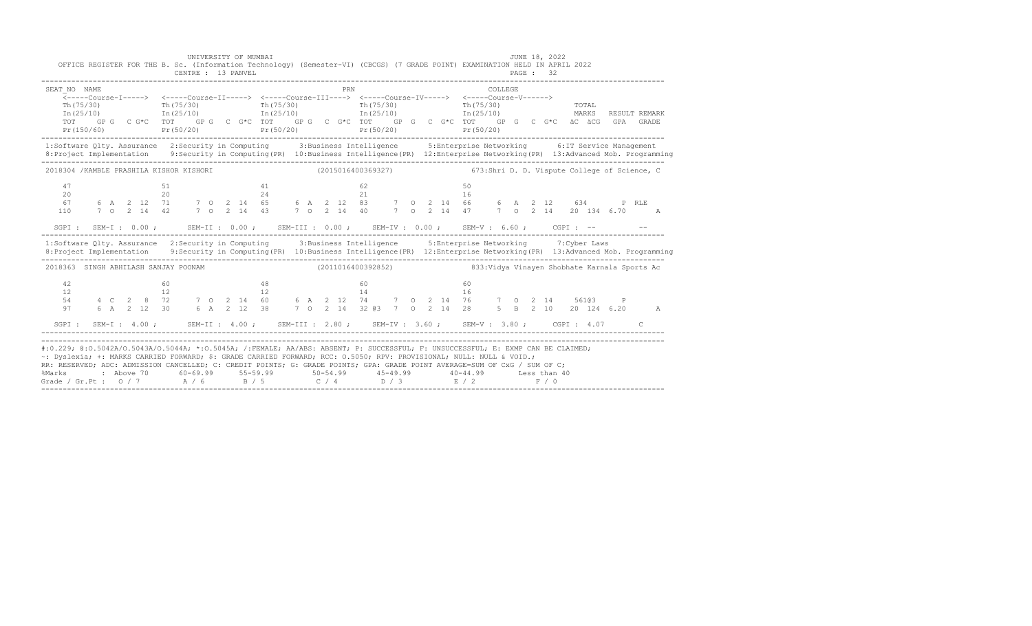|                                   | UNIVERSITY OF MUMBAI<br>CENTRE : 13 PANVEL |                                                                                                                                                                                                                                                                                                                                                                                                              | <b>JUNE 18, 2022</b><br>OFFICE REGISTER FOR THE B. Sc. (Information Technology) (Semester-VI) (CBCGS) (7 GRADE POINT) EXAMINATION HELD IN APRIL 2022<br>PAGE: 32                                                                                                                                     |
|-----------------------------------|--------------------------------------------|--------------------------------------------------------------------------------------------------------------------------------------------------------------------------------------------------------------------------------------------------------------------------------------------------------------------------------------------------------------------------------------------------------------|------------------------------------------------------------------------------------------------------------------------------------------------------------------------------------------------------------------------------------------------------------------------------------------------------|
| SEAT NO NAME<br>Th (75/30)<br>TOT |                                            | PRN<br>$\text{Th}(75/30)$ $\text{Th}(75/30)$ $\text{Th}(75/30)$ $\text{Th}(75/30)$                                                                                                                                                                                                                                                                                                                           | COLLEGE<br>TOTAL<br>$In (25/10)$ $In (25/10)$ $In (25/10)$ $In (25/10)$ $In (25/10)$ $In (25/10)$<br>RESULT REMARK<br>GP G C G*C TOT GP G C G*C TOT GP G C G*C TOT GP G C G*C TOT GP G C G*C äC äCG GPA GRADE<br>$Pr(50/20)$ $Pr(50/20)$ $Pr(50/20)$ $Pr(50/20)$ $Pr(50/20)$ $Pr(50/20)$ $Pr(50/20)$ |
|                                   |                                            |                                                                                                                                                                                                                                                                                                                                                                                                              | 1:Software Qlty. Assurance 2:Security in Computing 3:Business Intelligence 5:Enterprise Networking 6:IT Service Management<br>8: Project Implementation 9: Security in Computing (PR) 10: Business Intelligence (PR) 12: Enterprise Networking (PR) 13: Advanced Mob. Programming                    |
|                                   |                                            |                                                                                                                                                                                                                                                                                                                                                                                                              | 2018304 /KAMBLE PRASHILA KISHOR KISHORI (2015016400369327) 673:Shri D. D. Vispute College of Science, C                                                                                                                                                                                              |
| 47<br>20<br>67<br>110             | 51<br>41                                   | 62 11                                                                                                                                                                                                                                                                                                                                                                                                        | 50                                                                                                                                                                                                                                                                                                   |
|                                   |                                            |                                                                                                                                                                                                                                                                                                                                                                                                              | SGPI: SEM-I: 0.00; SEM-II: 0.00; SEM-III: 0.00; SEM-IV: 0.00; SEM-V: 6.60; CGPI: -- - -                                                                                                                                                                                                              |
|                                   |                                            |                                                                                                                                                                                                                                                                                                                                                                                                              | 1:Software Qlty. Assurance 2:Security in Computing 3:Business Intelligence 5:Enterprise Networking 7:Cyber Laws<br>8: Project Implementation 9: Security in Computing (PR) 10: Business Intelligence (PR) 12: Enterprise Networking (PR) 13: Advanced Mob. Programming                               |
|                                   |                                            |                                                                                                                                                                                                                                                                                                                                                                                                              | 2018363 SINGH ABHILASH SANJAY POONAM (2011016400392852) 833:Vidya Vinayen Shobhate Karnala Sports Ac                                                                                                                                                                                                 |
| 42.<br>12<br>54<br>97             | 48<br>60.                                  | $\begin{array}{c} 60 \\ 14 \end{array}$                                                                                                                                                                                                                                                                                                                                                                      | 60<br>6 A 2 12 30 6 A 2 12 38 7 O 2 14 32 @3 7 O 2 14 28 5 B 2 10 20 124 6.20 A                                                                                                                                                                                                                      |
|                                   |                                            |                                                                                                                                                                                                                                                                                                                                                                                                              | SGPI: SEM-I: 4.00; SEM-II: 4.00; SEM-III: 2.80; SEM-IV: 3.60; SEM-V: 3.80; CGPI: 4.07 C                                                                                                                                                                                                              |
| %Marks                            |                                            | ~: Dyslexia; +: MARKS CARRIED FORWARD; \$: GRADE CARRIED FORWARD; RCC: 0.5050; RPV: PROVISIONAL; NULL: NULL & VOID.;<br>RR: RESERVED; ADC: ADMISSION CANCELLED; C: CREDIT POINTS; G: GRADE POINTS; GPA: GRADE POINT AVERAGE=SUM OF CxG / SUM OF C;<br>: Above 70    60-69.99    55-59.99     50-54.99     45-49.99     40-44.99     Less than 40<br>Grade / Gr.Pt: $0/7$ $A/6$ $B/5$ $C/4$ $D/3$ $E/2$ $F/0$ | #:0.229; @:0.5042A/0.5043A/0.5044A; *:0.5045A; /:FEMALE; AA/ABS: ABSENT; P: SUCCESSFUL; F: UNSUCCESSFUL; E: EXMP CAN BE CLAIMED;                                                                                                                                                                     |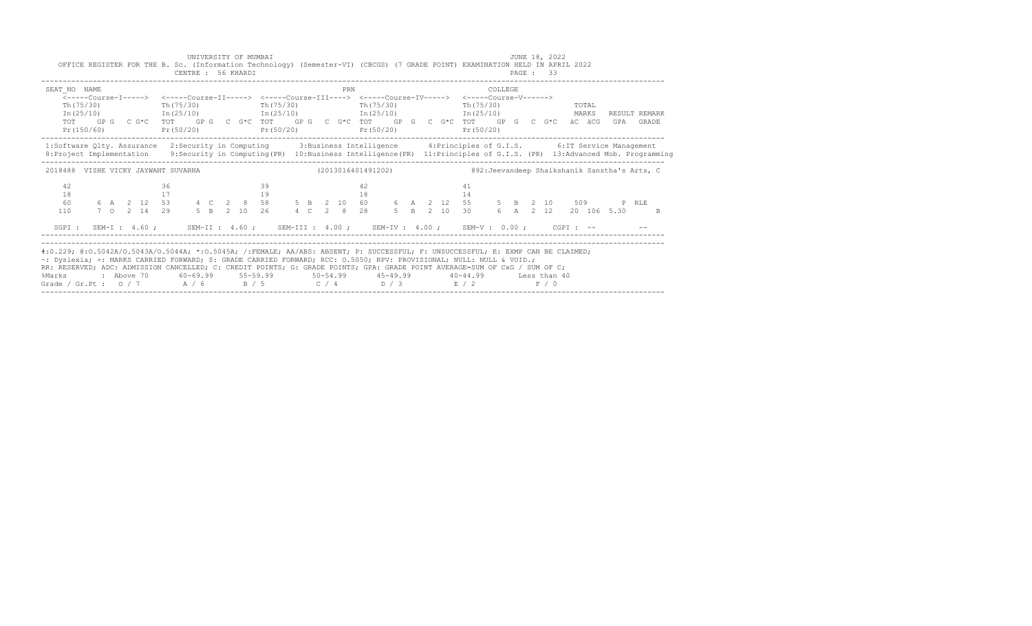|                       | UNIVERSITY OF MUMBAI<br>OFFICE REGISTER FOR THE B. Sc. (Information Technology) (Semester-VI) (CBCGS) (7 GRADE POINT) EXAMINATION HELD IN APRIL 2022<br>CENTRE : 56 KHARDI                                                                                                                                                                                                                                                                                                                                                                        |                   |           | JUNE 18, 2022<br>PAGE : 33                |                                                                                                                                                    |
|-----------------------|---------------------------------------------------------------------------------------------------------------------------------------------------------------------------------------------------------------------------------------------------------------------------------------------------------------------------------------------------------------------------------------------------------------------------------------------------------------------------------------------------------------------------------------------------|-------------------|-----------|-------------------------------------------|----------------------------------------------------------------------------------------------------------------------------------------------------|
| SEAT NO NAME          | <-----Course-T-----> <-----Course-TT-----> <-----Course-TTT----> <-----Course-TV-----> <-----Course-V------><br>$Th(75/30)$ Th(75/30)<br>$In (25/10)$ $In (25/10)$ $In (25/10)$ $In (25/10)$ $In (25/10)$ $In (25/10)$<br>TOT GPG CG*C TOT GPG CG*C TOT GPG CG*C TOT GPG CG*C TOT GPG CG*C äCäCG<br>Pr(150/60) Pr(50/20) Pr(50/20) Pr(50/20) Pr(50/20)                                                                                                                                                                                            | PRN<br>Th (75/30) | Th(75/30) | COLLEGE<br>$Th(75/30)$ TOTAL<br>Pr(50/20) | RESULT REMARK<br>GPA GRADE                                                                                                                         |
|                       | 1:Software Qlty. Assurance 2:Security in Computing 3:Business Intelligence 4:Principles of G.I.S. 6:IT Service Management                                                                                                                                                                                                                                                                                                                                                                                                                         |                   |           |                                           | 8: Project Implementation 9: Security in Computing (PR) 10: Business Intelligence (PR) 11: Principles of G.I.S. (PR) 13: Advanced Mob. Programming |
|                       | 2018488 VISHE VICKY JAYWANT SUVARNA (2013016401491202) 892: Jeevandeep Shaikshanik Sanstha's Arts, C                                                                                                                                                                                                                                                                                                                                                                                                                                              |                   |           |                                           |                                                                                                                                                    |
| 42<br>18<br>60<br>110 | 36<br>17                                                                                                                                                                                                                                                                                                                                                                                                                                                                                                                                          | 39<br>19          | 42<br>18  | 41<br>14                                  | 6 A 2 12 20 106 5.30 B                                                                                                                             |
|                       | SGPI: SEM-I: 4.60; SEM-II: 4.60; SEM-III: 4.00; SEM-IV: 4.00; SEM-V: 0.00; CGPI: --                                                                                                                                                                                                                                                                                                                                                                                                                                                               |                   |           |                                           |                                                                                                                                                    |
| %Marks                | #:0.229; @:0.5042A/0.5043A/0.5044A; *:0.5045A; /:FEMALE; AA/ABS: ABSENT; P: SUCCESSFUL; F: UNSUCCESSFUL; E: EXMP CAN BE CLAIMED;<br>~: Dyslexia; +: MARKS CARRIED FORWARD; \$: GRADE CARRIED FORWARD; RCC: 0.5050; RPV: PROVISIONAL; NULL: NULL & VOID.;<br>RR: RESERVED; ADC: ADMISSION CANCELLED; C: CREDIT POINTS; G: GRADE POINTS; GPA: GRADE POINT AVERAGE=SUM OF CxG / SUM OF C;<br>: Above 70    60-69.99    55-59.99     50-54.99     45-49.99     40-44.99     Less than 40<br>Grade / Gr.Pt : $0/7$ $A/6$ $B/5$ $C/4$ $D/3$ $E/2$ $F/0$ |                   |           |                                           |                                                                                                                                                    |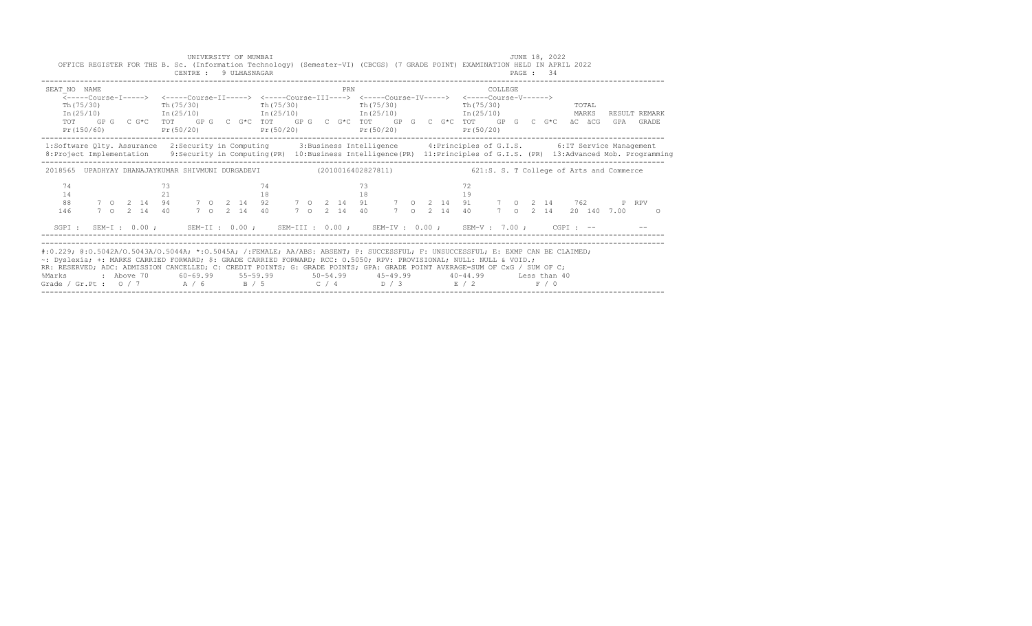| SEAT NO NAME                                                                                                                                                                                                                                       |            |             |    |           |  |            |                         | PRN |    |            |  | <-----Course-I-----> <-----Course-II-----> <-----Course-III----> <-----Course-IV-----> <-----Course-V------> | COLLEGE      |  |  |       |  |                        |  |
|----------------------------------------------------------------------------------------------------------------------------------------------------------------------------------------------------------------------------------------------------|------------|-------------|----|-----------|--|------------|-------------------------|-----|----|------------|--|--------------------------------------------------------------------------------------------------------------|--------------|--|--|-------|--|------------------------|--|
| Th (75/30)                                                                                                                                                                                                                                         |            |             |    | Th(75/30) |  | Th (75/30) |                         |     |    | Th (75/30) |  | Th (75/30)                                                                                                   |              |  |  | TOTAL |  |                        |  |
|                                                                                                                                                                                                                                                    |            |             |    |           |  |            |                         |     |    |            |  | $In (25/10)$ $In (25/10)$ $In (25/10)$ $In (25/10)$ $In (25/10)$                                             |              |  |  | MARKS |  | RESULT REMARK          |  |
| TOT                                                                                                                                                                                                                                                |            |             |    |           |  |            |                         |     |    |            |  | GP G C G*C TOT GP G C G*C TOT GP G C G*C TOT GP G C G*C TOT GP G C G*C äC äCG GPA GRADE                      |              |  |  |       |  |                        |  |
| Pr(150/60)                                                                                                                                                                                                                                         |            |             |    |           |  |            | $Pr(50/20)$ $Pr(50/20)$ |     |    | Pr(50/20)  |  | Pr(50/20)                                                                                                    |              |  |  |       |  |                        |  |
| 1:Software Qlty. Assurance 2:Security in Computing 3:Business Intelligence 4:Principles of G.I.S. 6:IT Service Management                                                                                                                          |            |             |    |           |  |            |                         |     |    |            |  |                                                                                                              |              |  |  |       |  |                        |  |
| 8: Project Implementation 9: Security in Computing (PR) 10: Business Intelligence (PR) 11: Principles of G.I.S. (PR) 13: Advanced Mob. Programming                                                                                                 |            |             |    |           |  |            |                         |     |    |            |  |                                                                                                              |              |  |  |       |  |                        |  |
| 2018565 UPADHYAY DHANAJAYKUMAR SHIVMUNI DURGADEVI (2010016402827811) 621:S. S. T College of Arts and Commerce                                                                                                                                      |            |             |    |           |  |            |                         |     |    |            |  |                                                                                                              |              |  |  |       |  |                        |  |
| 74                                                                                                                                                                                                                                                 |            |             |    |           |  | 74         |                         |     | 73 |            |  |                                                                                                              |              |  |  |       |  |                        |  |
| 14                                                                                                                                                                                                                                                 |            |             | 21 |           |  | 18         |                         |     | 18 |            |  | 19                                                                                                           |              |  |  |       |  |                        |  |
| 88                                                                                                                                                                                                                                                 |            |             |    |           |  |            |                         |     |    |            |  | 7 0 2 14 94 7 0 2 14 92 7 0 2 14 91 7 0 2 14 91 7 0 2 14 762 P RPV                                           |              |  |  |       |  |                        |  |
| 146                                                                                                                                                                                                                                                |            | 7 0 2 14 40 |    |           |  |            |                         |     |    |            |  | 7 0 2 14 40 7 0 2 14 40 7 0 2 14 40                                                                          |              |  |  |       |  | 7 0 2 14 20 140 7.00 0 |  |
|                                                                                                                                                                                                                                                    |            |             |    |           |  |            |                         |     |    |            |  | SGPI: SEM-I: 0.00; SEM-II: 0.00; SEM-III: 0.00; SEM-IV: 0.00; SEM-V: 7.00; CGPI: -- - --                     |              |  |  |       |  |                        |  |
|                                                                                                                                                                                                                                                    |            |             |    |           |  |            |                         |     |    |            |  |                                                                                                              |              |  |  |       |  |                        |  |
| #:0.229; @:0.5042A/0.5043A/0.5044A; *:0.5045A; /:FEMALE; AA/ABS: ABSENT; P: SUCCESSFUL; F: UNSUCCESSFUL; E: EXMP CAN BE CLAIMED;                                                                                                                   |            |             |    |           |  |            |                         |     |    |            |  |                                                                                                              |              |  |  |       |  |                        |  |
|                                                                                                                                                                                                                                                    |            |             |    |           |  |            |                         |     |    |            |  |                                                                                                              |              |  |  |       |  |                        |  |
|                                                                                                                                                                                                                                                    |            |             |    |           |  |            |                         |     |    |            |  |                                                                                                              |              |  |  |       |  |                        |  |
| ~: Dyslexia; +: MARKS CARRIED FORWARD; \$: GRADE CARRIED FORWARD; RCC: 0.5050; RPV: PROVISIONAL; NULL: NULL & VOID.;<br>RR: RESERVED; ADC: ADMISSION CANCELLED; C: CREDIT POINTS; G: GRADE POINTS; GPA: GRADE POINT AVERAGE=SUM OF CxG / SUM OF C; |            |             |    |           |  |            |                         |     |    |            |  |                                                                                                              |              |  |  |       |  |                        |  |
| %Marks                                                                                                                                                                                                                                             | : Above 70 |             |    |           |  |            |                         |     |    |            |  | $60-69.99$ $55-59.99$ $50-54.99$ $45-49.99$ $40-44.99$                                                       | Less than 40 |  |  |       |  |                        |  |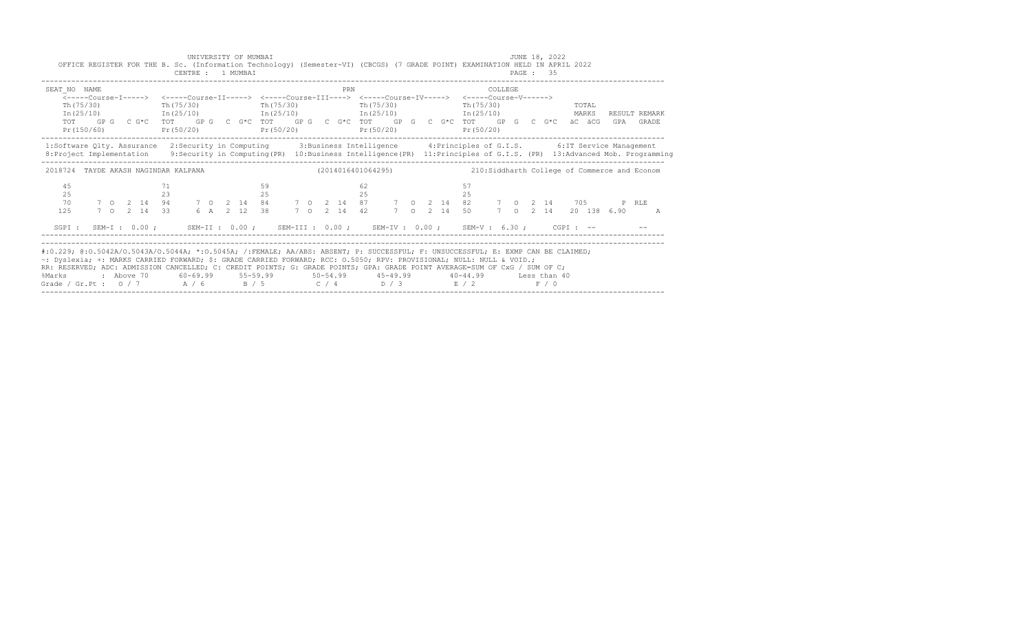|                                                                                                                                                                                                                                                                                                                                                                                                                                                               | OFFICE REGISTER FOR THE B. Sc. (Information Technology) (Semester-VI) (CBCGS) (7 GRADE POINT) EXAMINATION HELD IN APRIL 2022                                                                                                                                                                                                                           |  |          | CENTRE : 1 MUMBAI |  | UNIVERSITY OF MUMBAI |          |            |  |  |          |           |  |  |          |           |         | JUNE 18, 2022<br>PAGE: 35 |  |                        |                            |
|---------------------------------------------------------------------------------------------------------------------------------------------------------------------------------------------------------------------------------------------------------------------------------------------------------------------------------------------------------------------------------------------------------------------------------------------------------------|--------------------------------------------------------------------------------------------------------------------------------------------------------------------------------------------------------------------------------------------------------------------------------------------------------------------------------------------------------|--|----------|-------------------|--|----------------------|----------|------------|--|--|----------|-----------|--|--|----------|-----------|---------|---------------------------|--|------------------------|----------------------------|
| SEAT NO NAME                                                                                                                                                                                                                                                                                                                                                                                                                                                  | <-----Course-T-----> <-----Course-TT-----> <-----Course-TTT----> <-----Course-TV-----> <-----Course-V------><br>$Th(75/30)$ Th(75/30)<br>$In (25/10)$ $In (25/10)$ $In (25/10)$ $In (25/10)$ $In (25/10)$ $In (25/10)$<br>TOT GPG CG*C TOT GPG CG*C TOT GPG CG*C TOT GPG CG*C TOT GPG CG*C äCäCG<br>Pr(150/60) Pr(50/20) Pr(50/20) Pr(50/20) Pr(50/20) |  |          |                   |  |                      |          | Th (75/30) |  |  | PRN      | Th(75/30) |  |  |          | Pr(50/20) | COLLEGE | $Th(75/30)$ TOTAL         |  |                        | RESULT REMARK<br>GPA GRADE |
| 1:Software Qlty. Assurance 2:Security in Computing 3:Business Intelligence 4:Principles of G.I.S. 6:IT Service Management<br>8: Project Implementation 9: Security in Computing (PR) 10: Business Intelligence (PR) 11: Principles of G.I.S. (PR) 13: Advanced Mob. Programming                                                                                                                                                                               |                                                                                                                                                                                                                                                                                                                                                        |  |          |                   |  |                      |          |            |  |  |          |           |  |  |          |           |         |                           |  |                        |                            |
| 2018724 TAYDE AKASH NAGINDAR KALPANA (2014016401064295) 210:Siddharth College of Commerce and Econom                                                                                                                                                                                                                                                                                                                                                          |                                                                                                                                                                                                                                                                                                                                                        |  |          |                   |  |                      |          |            |  |  |          |           |  |  |          |           |         |                           |  |                        |                            |
| 45<br>25<br>70<br>125                                                                                                                                                                                                                                                                                                                                                                                                                                         |                                                                                                                                                                                                                                                                                                                                                        |  | 71<br>23 |                   |  |                      | 59<br>25 |            |  |  | 62<br>25 |           |  |  | 57<br>25 |           |         |                           |  | 7 0 2 14 20 138 6.90 A |                            |
| SGPI: SEM-I: 0.00; SEM-II: 0.00; SEM-III: 0.00; SEM-IV: 0.00; SEM-V: 6.30; CGPI: --                                                                                                                                                                                                                                                                                                                                                                           |                                                                                                                                                                                                                                                                                                                                                        |  |          |                   |  |                      |          |            |  |  |          |           |  |  |          |           |         |                           |  |                        |                            |
| #:0.229; @:0.5042A/0.5043A/0.5044A; *:0.5045A; /:FEMALE; AA/ABS: ABSENT; P: SUCCESSFUL; F: UNSUCCESSFUL; E: EXMP CAN BE CLAIMED;<br>~: Dyslexia; +: MARKS CARRIED FORWARD; \$: GRADE CARRIED FORWARD; RCC: 0.5050; RPV: PROVISIONAL; NULL: NULL & VOID.;<br>RR: RESERVED; ADC: ADMISSION CANCELLED; C: CREDIT POINTS; G: GRADE POINTS; GPA: GRADE POINT AVERAGE=SUM OF CxG / SUM OF C;<br>%Marks<br>Grade / Gr.Pt : $0/7$ $A/6$ $B/5$ $C/4$ $D/3$ $E/2$ $F/0$ | : Above 70    60-69.99    55-59.99     50-54.99     45-49.99     40-44.99     Less than 40                                                                                                                                                                                                                                                             |  |          |                   |  |                      |          |            |  |  |          |           |  |  |          |           |         |                           |  |                        |                            |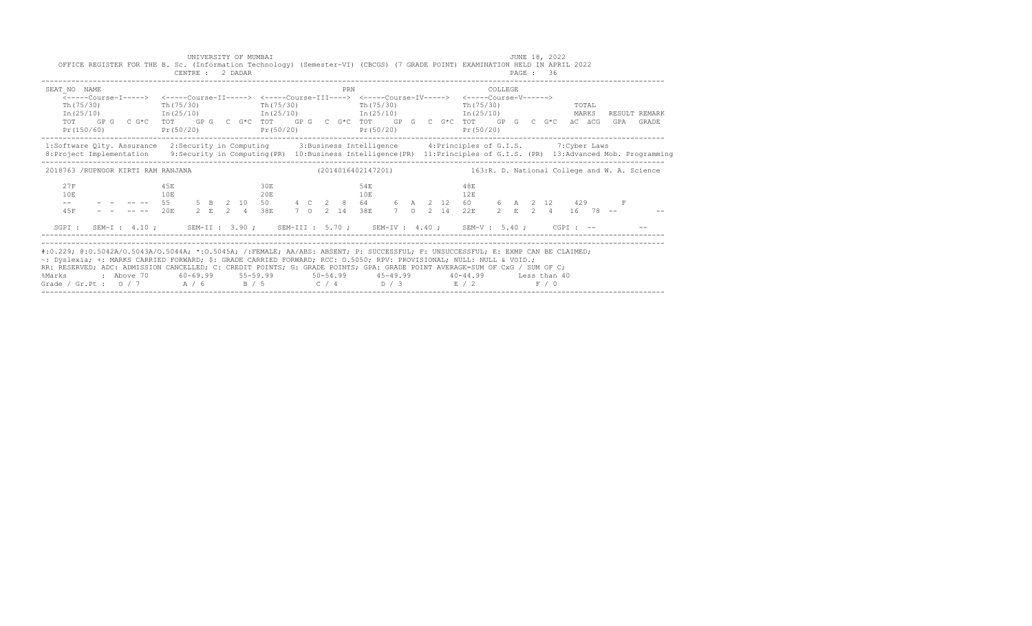|                                                                                                                                                                                                                                                                                                                                                                                                                                                               | UNIVERSITY OF MUMBAI<br>OFFICE REGISTER FOR THE B. Sc. (Information Technology) (Semester-VI) (CBCGS) (7 GRADE POINT) EXAMINATION HELD IN APRIL 2022<br>CENTRE : 2 DADAR                                                                               |            |            | JUNE 18, 2022<br><b>PAGE : 36</b>                               |                                                                                                                                                    |
|---------------------------------------------------------------------------------------------------------------------------------------------------------------------------------------------------------------------------------------------------------------------------------------------------------------------------------------------------------------------------------------------------------------------------------------------------------------|--------------------------------------------------------------------------------------------------------------------------------------------------------------------------------------------------------------------------------------------------------|------------|------------|-----------------------------------------------------------------|----------------------------------------------------------------------------------------------------------------------------------------------------|
| SEAT NO NAME                                                                                                                                                                                                                                                                                                                                                                                                                                                  | Th $(75/30)$ Th $(75/30)$ Th $(75/30)$ Th $(75/30)$<br>$In (25/10)$ $In (25/10)$ $In (25/10)$ $In (25/10)$ $In (25/10)$ $In (25/10)$<br>TOT GPG CG*C TOT GPG CG*C TOT GPG CG*C TOT GPG CG*C TOT GPG CG*C äCGCG<br>$Pr(150/60)$ $Pr(50/20)$ $Pr(50/20)$ | PRN        | Pr(50/20)  | COLLEGE<br>Th (75/30)<br><b>TOTAL</b><br>Pr (50/20)             | RESULT REMARK<br>GPA GRADE                                                                                                                         |
| 1:Software Qlty. Assurance 2:Security in Computing 3:Business Intelligence 4:Principles of G.I.S. 7:Cyber Laws                                                                                                                                                                                                                                                                                                                                                |                                                                                                                                                                                                                                                        |            |            |                                                                 | 8: Project Implementation 9: Security in Computing (PR) 10: Business Intelligence (PR) 11: Principles of G.I.S. (PR) 13: Advanced Mob. Programming |
| 2018763 /RUPNOOR KIRTI RAM RANJANA                                                                                                                                                                                                                                                                                                                                                                                                                            |                                                                                                                                                                                                                                                        |            |            | (2014016402147201) 163:R. D. National College and W. A. Science |                                                                                                                                                    |
| 27F<br>10E<br>45F                                                                                                                                                                                                                                                                                                                                                                                                                                             | 4.5E<br>10E<br>-- - - ---- 55 5 B 2 10 50 4 C 2 8 64 6 A 2 12 60 6 A 2 12 429 F<br>$-$ ---- 20E 2 E 2 4 38E 7 O 2 14 38E 7 O 2 14 22E 2 E 2 4 16 78 --                                                                                                 | 30E<br>20E | 54E<br>10E | 48F<br>12E                                                      |                                                                                                                                                    |
| SGPI: SEM-I: 4.10; SEM-II: 3.90; SEM-III: 5.70; SEM-IV: 4.40; SEM-V: 5.40; CGPI: -- - -                                                                                                                                                                                                                                                                                                                                                                       |                                                                                                                                                                                                                                                        |            |            |                                                                 |                                                                                                                                                    |
| #:0.229; @:0.5042A/0.5043A/0.5044A; *:0.5045A; /:FEMALE; AA/ABS: ABSENT; P: SUCCESSFUL; F: UNSUCCESSFUL; E: EXMP CAN BE CLAIMED;<br>~: Dyslexia; +: MARKS CARRIED FORWARD; \$: GRADE CARRIED FORWARD; RCC: 0.5050; RPV: PROVISIONAL; NULL: NULL & VOID.;<br>RR: RESERVED; ADC: ADMISSION CANCELLED; C: CREDIT POINTS; G: GRADE POINTS; GPA: GRADE POINT AVERAGE=SUM OF CxG / SUM OF C;<br>%Marks<br>Grade / Gr.Pt : $0/7$ A / 6 B / 5 C / 4 D / 3 E / 2 F / 0 | : Above 70    60-69.99    55-59.99     50-54.99     45-49.99     40-44.99     Less than 40                                                                                                                                                             |            |            |                                                                 |                                                                                                                                                    |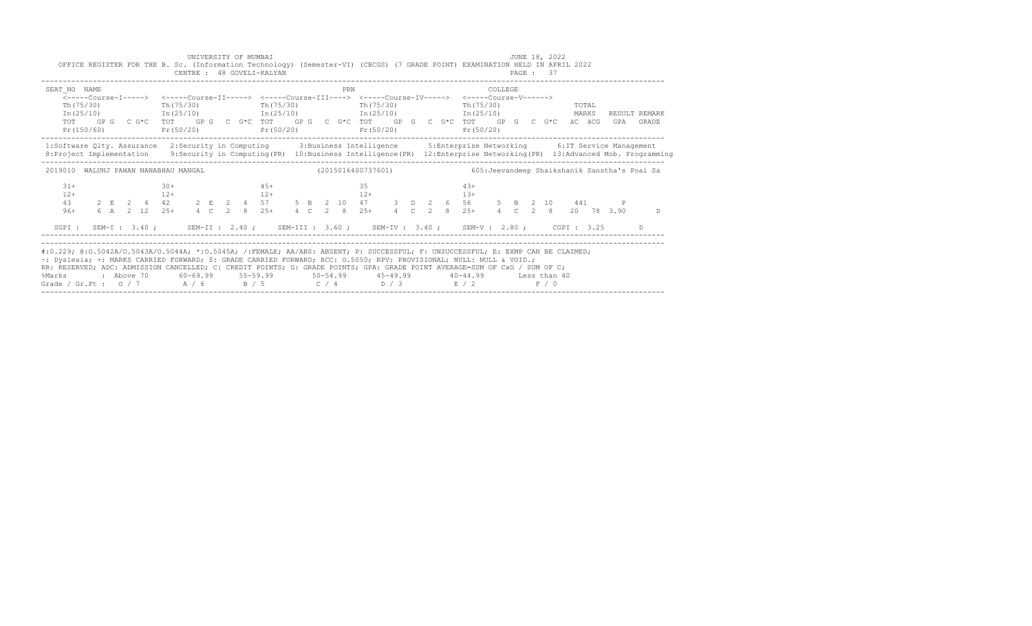| SEAT NO NAME<br>Th (75/30)           | $Pr(150/60)$ $Pr(50/20)$ $Pr(50/20)$ | PRN<br><-----Course-I-----> <-----Course-II-----> <-----Course-III----> <-----Course-IV-----> <-----Course-V------><br>Th (75/30) Th (75/30) Th (75/30) Th (75/30) Th (75/30) | COLLEGE<br>TOTAL<br>$In (25/10)$ $In (25/10)$ $In (25/10)$ $In (25/10)$ $In (25/10)$ $In (25/10)$ $In (25/10)$ $In (25/10)$<br>TOT GPG CG*C TOT GPG CG*C TOT GPG CG*C TOT GPG CG*C TOT GPG CG*C TOT GPG CG*C aCGCGGPA GRADE<br>$Pr(50/20)$ $Pr(50/20)$                            |
|--------------------------------------|--------------------------------------|-------------------------------------------------------------------------------------------------------------------------------------------------------------------------------|-----------------------------------------------------------------------------------------------------------------------------------------------------------------------------------------------------------------------------------------------------------------------------------|
|                                      |                                      |                                                                                                                                                                               | 1:Software Qlty. Assurance 2:Security in Computing 3:Business Intelligence 5:Enterprise Networking 6:IT Service Management<br>8: Project Implementation 9: Security in Computing (PR) 10: Business Intelligence (PR) 12: Enterprise Networking (PR) 13: Advanced Mob. Programming |
| 2019010 WALUNJ PAWAN NANABHAU MANGAL |                                      | (2015016400737601)                                                                                                                                                            | 605: Jeevandeep Shaikshanik Sanstha's Poai Sa                                                                                                                                                                                                                                     |
| $31+$<br>$12+$<br>$96+$              | $30+$<br>$12+$                       | $4.5+$<br>35<br>$12+$<br>$12+$                                                                                                                                                | $4.3+$<br>$13+$<br>43  2  E  2  4  42  2  E  2  4  57  5  B  2  10  47  3  D  2  6  56  5  B  2  10  441<br>6 A 2 12 25 + 4 C 2 8 25 + 4 C 2 8 25 + 4 C 2 8 25 + 4 C 2 8 20 78 3.90<br>D                                                                                          |
|                                      |                                      |                                                                                                                                                                               | SGPI: SEM-I: 3.40; SEM-II: 2.40; SEM-III: 3.60; SEM-IV: 3.40; SEM-V: 2.80; CGPI: 3.25 D                                                                                                                                                                                           |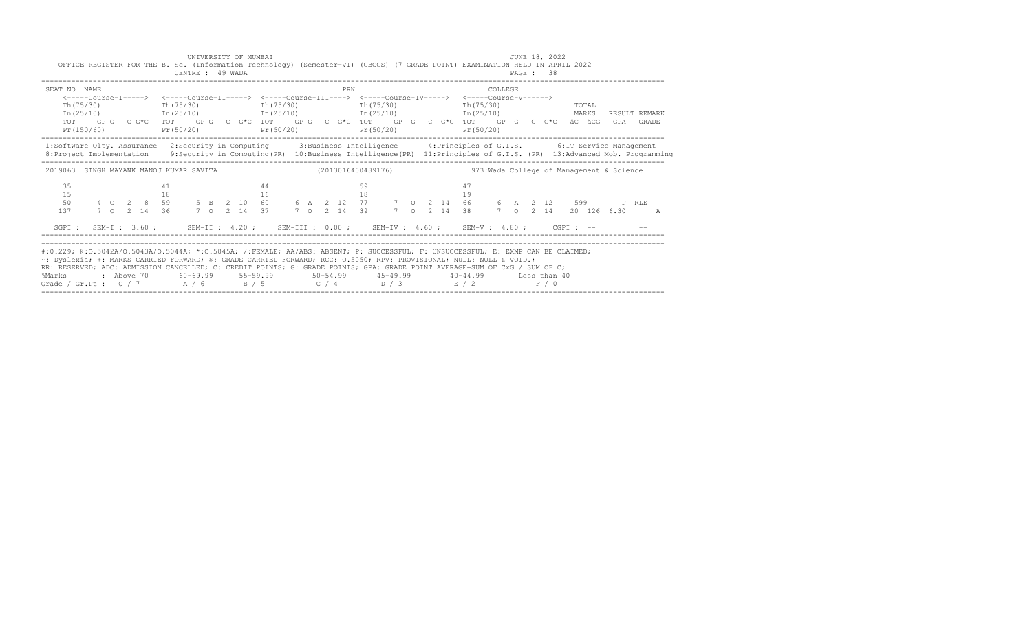|                                                                                                                                                                                                                                                                                                                                                                                                                                                               |  |  |    | OFFICE REGISTER FOR THE B. Sc. (Information Technology) (Semester-VI) (CBCGS) (7 GRADE POINT) EXAMINATION HELD IN APRIL 2022<br>CENTRE : 49 WADA                                                                                                                                                       |  |  | UNIVERSITY OF MUMBAI |  |  |     |                        |  |  |                                |  |          | JUNE 18, 2022<br><b>PAGE : 38</b> |  |  |                            |
|---------------------------------------------------------------------------------------------------------------------------------------------------------------------------------------------------------------------------------------------------------------------------------------------------------------------------------------------------------------------------------------------------------------------------------------------------------------|--|--|----|--------------------------------------------------------------------------------------------------------------------------------------------------------------------------------------------------------------------------------------------------------------------------------------------------------|--|--|----------------------|--|--|-----|------------------------|--|--|--------------------------------|--|----------|-----------------------------------|--|--|----------------------------|
| SEAT NO NAME                                                                                                                                                                                                                                                                                                                                                                                                                                                  |  |  |    | $Th(75/30)$ $Th(75/30)$ $Th(75/30)$<br>$In (25/10)$ $In (25/10)$ $In (25/10)$ $In (25/10)$ $In (25/10)$ $In (25/10)$ MARKS<br>TOT GPG CG*C TOT GPG CG*C TOT GPG CG*C TOT GPG CG*C TOT GPG CG*C äCGCG<br>$Pr(150/60)$ $Pr(50/20)$ $Pr(50/20)$                                                           |  |  |                      |  |  | PRN | Th(75/30)<br>Pr(50/20) |  |  | Th (75/30) TOTAL<br>Pr (50/20) |  | COLLEGE. |                                   |  |  | RESULT REMARK<br>GPA GRADE |
| 1:Software Qlty. Assurance 2:Security in Computing 3:Business Intelligence 4:Principles of G.I.S. 6:IT Service Management<br>8: Project Implementation 9: Security in Computing (PR) 10: Business Intelligence (PR) 11: Principles of G.I.S. (PR) 13: Advanced Mob. Programming                                                                                                                                                                               |  |  |    |                                                                                                                                                                                                                                                                                                        |  |  |                      |  |  |     |                        |  |  |                                |  |          |                                   |  |  |                            |
| 2019063 SINGH MAYANK MANOJ KUMAR SAVITA (2013016400489176) 473: Wada College of Management & Science                                                                                                                                                                                                                                                                                                                                                          |  |  |    |                                                                                                                                                                                                                                                                                                        |  |  |                      |  |  |     |                        |  |  |                                |  |          |                                   |  |  |                            |
| 35<br>15<br>50<br>137                                                                                                                                                                                                                                                                                                                                                                                                                                         |  |  | 41 | $18$ and $16$ and $19$ and $19$ and $19$ and $19$ and $19$ and $19$ and $19$ and $19$ and $19$ and $19$ and $19$ and $19$ and $19$ and $19$ and $19$ and $19$ and $19$ and $19$ and $19$ and $19$ and $19$ and $19$ and $19$<br>7 0 2 14 36 7 0 2 14 37 7 0 2 14 39 7 0 2 14 38 7 0 2 14 20 126 6.30 A |  |  | 44                   |  |  |     | 59                     |  |  | 47                             |  |          |                                   |  |  |                            |
| SGPI: SEM-I: 3.60; SEM-II: 4.20; SEM-III: 0.00; SEM-IV: 4.60; SEM-V: 4.80; CGPI: -- - -                                                                                                                                                                                                                                                                                                                                                                       |  |  |    |                                                                                                                                                                                                                                                                                                        |  |  |                      |  |  |     |                        |  |  |                                |  |          |                                   |  |  |                            |
| #:0.229; @:0.5042A/0.5043A/0.5044A; *:0.5045A; /:FEMALE; AA/ABS: ABSENT; P: SUCCESSFUL; F: UNSUCCESSFUL; E: EXMP CAN BE CLAIMED;<br>~: Dyslexia; +: MARKS CARRIED FORWARD; \$: GRADE CARRIED FORWARD; RCC: 0.5050; RPV: PROVISIONAL; NULL: NULL & VOID.;<br>RR: RESERVED; ADC: ADMISSION CANCELLED; C: CREDIT POINTS; G: GRADE POINTS; GPA: GRADE POINT AVERAGE=SUM OF CxG / SUM OF C;<br>%Marks<br>Grade / Gr.Pt : $0/7$ $A/6$ $B/5$ $C/4$ $D/3$ $E/2$ $F/0$ |  |  |    | 2 Above 70    60-69.99    55-59.99     50-54.99     45-49.99     40-44.99     Less than 40                                                                                                                                                                                                             |  |  |                      |  |  |     |                        |  |  |                                |  |          |                                   |  |  |                            |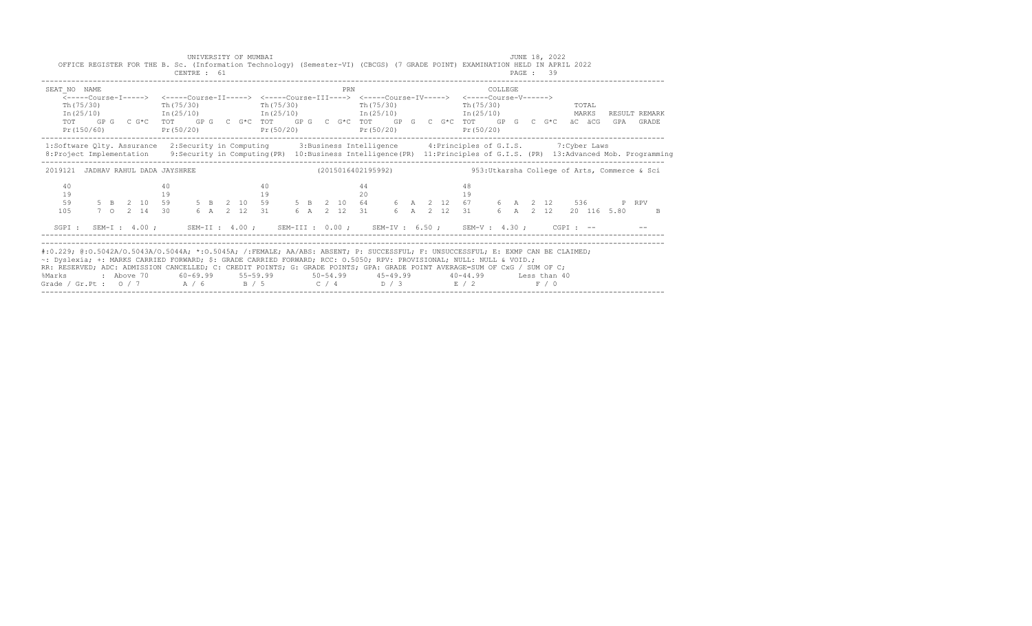|                                                                                                                                                                                                                                                                                                                                                                                                                                                               |  |  |          | OFFICE REGISTER FOR THE B. Sc. (Information Technology) (Semester-VI) (CBCGS) (7 GRADE POINT) EXAMINATION HELD IN APRIL 2022<br>CENTRE : 61                                                                                                                                                                                                            | UNIVERSITY OF MUMBAI |  |            |  |     |          |           |  |  |           |         |  | JUNE 18, 2022<br>PAGE: 39 |                   |  |                                                                                                                                              |
|---------------------------------------------------------------------------------------------------------------------------------------------------------------------------------------------------------------------------------------------------------------------------------------------------------------------------------------------------------------------------------------------------------------------------------------------------------------|--|--|----------|--------------------------------------------------------------------------------------------------------------------------------------------------------------------------------------------------------------------------------------------------------------------------------------------------------------------------------------------------------|----------------------|--|------------|--|-----|----------|-----------|--|--|-----------|---------|--|---------------------------|-------------------|--|----------------------------------------------------------------------------------------------------------------------------------------------|
| SEAT NO NAME                                                                                                                                                                                                                                                                                                                                                                                                                                                  |  |  |          | <-----Course-T-----> <-----Course-TT-----> <-----Course-TTT----> <-----Course-TV-----> <-----Course-V------><br>$Th(75/30)$ Th(75/30)<br>$In (25/10)$ $In (25/10)$ $In (25/10)$ $In (25/10)$ $In (25/10)$ $In (25/10)$<br>TOT GPG CG*C TOT GPG CG*C TOT GPG CG*C TOT GPG CG*C TOT GPG CG*C äCäCG<br>Pr(150/60) Pr(50/20) Pr(50/20) Pr(50/20) Pr(50/20) |                      |  | Th (75/30) |  | PRN |          | Th(75/30) |  |  | Pr(50/20) | COLLEGE |  |                           | $Th(75/30)$ TOTAL |  | RESULT REMARK<br>GPA GRADE                                                                                                                   |
| 1:Software Qlty. Assurance 2:Security in Computing 3:Business Intelligence 4:Principles of G.I.S. 7:Cyber Laws<br>8: Project Implementation 9: Security in Computing (PR) 10: Business Intelligence (PR) 11: Principles of G.I.S. (PR) 13: Advanced Mob. Programming                                                                                                                                                                                          |  |  |          |                                                                                                                                                                                                                                                                                                                                                        |                      |  |            |  |     |          |           |  |  |           |         |  |                           |                   |  |                                                                                                                                              |
| 2019121 JADHAV RAHUL DADA JAYSHREE                                                                                                                                                                                                                                                                                                                                                                                                                            |  |  |          |                                                                                                                                                                                                                                                                                                                                                        |                      |  |            |  |     |          |           |  |  |           |         |  |                           |                   |  | $(2015016402195992)$ 953:Utkarsha College of Arts, Commerce & Sci                                                                            |
| 40<br>19<br>59<br>105                                                                                                                                                                                                                                                                                                                                                                                                                                         |  |  | 40<br>19 |                                                                                                                                                                                                                                                                                                                                                        |                      |  | 40<br>19   |  |     | 44<br>20 |           |  |  | 48<br>19  |         |  |                           |                   |  | 5 B 2 10 59 5 B 2 10 59 5 B 2 10 64 6 A 2 12 67 6 A 2 12 536 P RPV<br>7 O 2 14 30 6 A 2 12 31 6 A 2 12 31 6 A 2 12 31 6 A 2 12 20 116 5.80 B |
| SGPI: SEM-I: 4.00; SEM-II: 4.00; SEM-III: 0.00; SEM-IV: 6.50; SEM-V: 4.30; CGPI: --                                                                                                                                                                                                                                                                                                                                                                           |  |  |          |                                                                                                                                                                                                                                                                                                                                                        |                      |  |            |  |     |          |           |  |  |           |         |  |                           |                   |  |                                                                                                                                              |
| #:0.229; @:0.5042A/0.5043A/0.5044A; *:0.5045A; /:FEMALE; AA/ABS: ABSENT; P: SUCCESSFUL; F: UNSUCCESSFUL; E: EXMP CAN BE CLAIMED;<br>~: Dyslexia; +: MARKS CARRIED FORWARD; \$: GRADE CARRIED FORWARD; RCC: 0.5050; RPV: PROVISIONAL; NULL: NULL & VOID.;<br>RR: RESERVED; ADC: ADMISSION CANCELLED; C: CREDIT POINTS; G: GRADE POINTS; GPA: GRADE POINT AVERAGE=SUM OF CxG / SUM OF C;<br>%Marks<br>Grade / Gr.Pt : $0/7$ $A/6$ $B/5$ $C/4$ $D/3$ $E/2$ $F/0$ |  |  |          | : Above 70    60-69.99    55-59.99     50-54.99     45-49.99     40-44.99     Less than 40                                                                                                                                                                                                                                                             |                      |  |            |  |     |          |           |  |  |           |         |  |                           |                   |  |                                                                                                                                              |